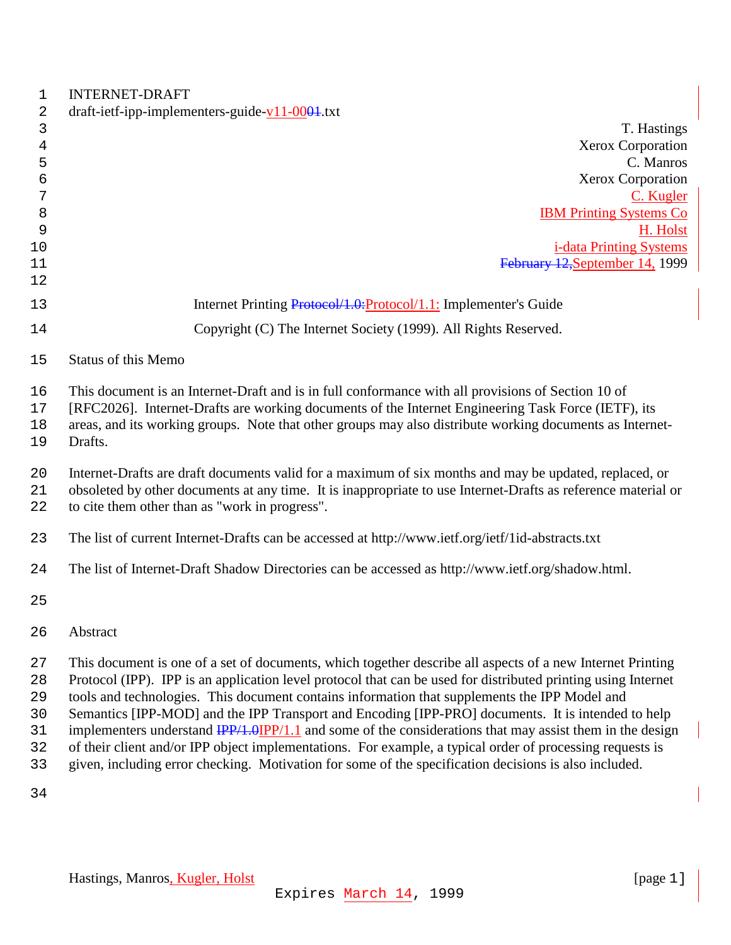| 1                                      | <b>INTERNET-DRAFT</b>                                                                                                                                                                                                                                                                                                                                                                                                                                                                                                                                                                                                                                                                                                                                                                   |
|----------------------------------------|-----------------------------------------------------------------------------------------------------------------------------------------------------------------------------------------------------------------------------------------------------------------------------------------------------------------------------------------------------------------------------------------------------------------------------------------------------------------------------------------------------------------------------------------------------------------------------------------------------------------------------------------------------------------------------------------------------------------------------------------------------------------------------------------|
| 2                                      | draft-ietf-ipp-implementers-guide- $v11-0004$ .txt                                                                                                                                                                                                                                                                                                                                                                                                                                                                                                                                                                                                                                                                                                                                      |
| 3<br>$\overline{4}$<br>5               | T. Hastings<br><b>Xerox Corporation</b><br>C. Manros                                                                                                                                                                                                                                                                                                                                                                                                                                                                                                                                                                                                                                                                                                                                    |
| 6                                      | Xerox Corporation                                                                                                                                                                                                                                                                                                                                                                                                                                                                                                                                                                                                                                                                                                                                                                       |
| 7                                      | C. Kugler                                                                                                                                                                                                                                                                                                                                                                                                                                                                                                                                                                                                                                                                                                                                                                               |
| 8                                      | <b>IBM Printing Systems Co</b>                                                                                                                                                                                                                                                                                                                                                                                                                                                                                                                                                                                                                                                                                                                                                          |
| 9                                      | H. Holst                                                                                                                                                                                                                                                                                                                                                                                                                                                                                                                                                                                                                                                                                                                                                                                |
| 10                                     | <i>i-data Printing Systems</i>                                                                                                                                                                                                                                                                                                                                                                                                                                                                                                                                                                                                                                                                                                                                                          |
| 11                                     | February 12, September 14, 1999                                                                                                                                                                                                                                                                                                                                                                                                                                                                                                                                                                                                                                                                                                                                                         |
| 12<br>13                               | Internet Printing Protocol/1.0: Protocol/1.1: Implementer's Guide                                                                                                                                                                                                                                                                                                                                                                                                                                                                                                                                                                                                                                                                                                                       |
| 14                                     | Copyright (C) The Internet Society (1999). All Rights Reserved.                                                                                                                                                                                                                                                                                                                                                                                                                                                                                                                                                                                                                                                                                                                         |
|                                        |                                                                                                                                                                                                                                                                                                                                                                                                                                                                                                                                                                                                                                                                                                                                                                                         |
| 15                                     | Status of this Memo                                                                                                                                                                                                                                                                                                                                                                                                                                                                                                                                                                                                                                                                                                                                                                     |
| 16<br>17<br>18<br>19                   | This document is an Internet-Draft and is in full conformance with all provisions of Section 10 of<br>[RFC2026]. Internet-Drafts are working documents of the Internet Engineering Task Force (IETF), its<br>areas, and its working groups. Note that other groups may also distribute working documents as Internet-<br>Drafts.                                                                                                                                                                                                                                                                                                                                                                                                                                                        |
| 20<br>21<br>22                         | Internet-Drafts are draft documents valid for a maximum of six months and may be updated, replaced, or<br>obsoleted by other documents at any time. It is inappropriate to use Internet-Drafts as reference material or<br>to cite them other than as "work in progress".                                                                                                                                                                                                                                                                                                                                                                                                                                                                                                               |
| 23                                     | The list of current Internet-Drafts can be accessed at http://www.ietf.org/ietf/1id-abstracts.txt                                                                                                                                                                                                                                                                                                                                                                                                                                                                                                                                                                                                                                                                                       |
| 24                                     | The list of Internet-Draft Shadow Directories can be accessed as http://www.ietf.org/shadow.html.                                                                                                                                                                                                                                                                                                                                                                                                                                                                                                                                                                                                                                                                                       |
| 25                                     |                                                                                                                                                                                                                                                                                                                                                                                                                                                                                                                                                                                                                                                                                                                                                                                         |
| 26                                     | Abstract                                                                                                                                                                                                                                                                                                                                                                                                                                                                                                                                                                                                                                                                                                                                                                                |
| 27<br>28<br>29<br>30<br>31<br>32<br>33 | This document is one of a set of documents, which together describe all aspects of a new Internet Printing<br>Protocol (IPP). IPP is an application level protocol that can be used for distributed printing using Internet<br>tools and technologies. This document contains information that supplements the IPP Model and<br>Semantics [IPP-MOD] and the IPP Transport and Encoding [IPP-PRO] documents. It is intended to help<br>implementers understand $\frac{IPP}{1.0} \frac{IPP}{1.1}$ and some of the considerations that may assist them in the design<br>of their client and/or IPP object implementations. For example, a typical order of processing requests is<br>given, including error checking. Motivation for some of the specification decisions is also included. |
|                                        |                                                                                                                                                                                                                                                                                                                                                                                                                                                                                                                                                                                                                                                                                                                                                                                         |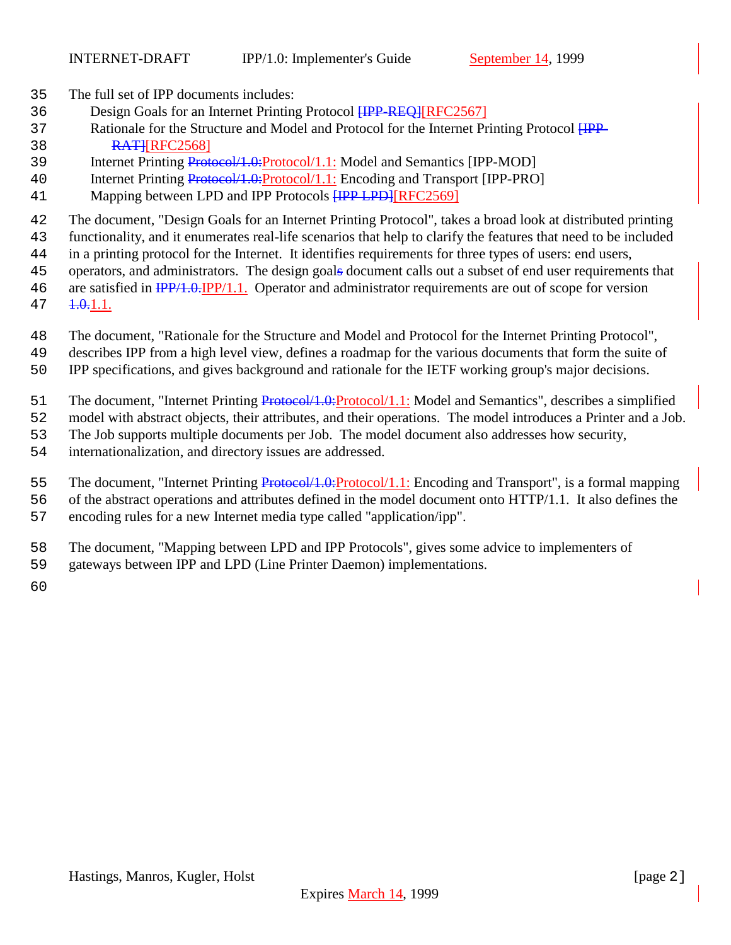- The full set of IPP documents includes:
- 36 Design Goals for an Internet Printing Protocol **HPP-REQ]**[RFC2567]
- 37 Rationale for the Structure and Model and Protocol for the Internet Printing Protocol  $HPP-$ **RATHRFC2568**
- Internet Printing Protocol/1.0:Protocol/1.1: Model and Semantics [IPP-MOD]
- 40 Internet Printing Protocol/1.0:Protocol/1.1: Encoding and Transport [IPP-PRO]
- 41 Mapping between LPD and IPP Protocols **[IPP LPD]**[RFC2569]
- The document, "Design Goals for an Internet Printing Protocol", takes a broad look at distributed printing
- functionality, and it enumerates real-life scenarios that help to clarify the features that need to be included
- in a printing protocol for the Internet. It identifies requirements for three types of users: end users,
- operators, and administrators. The design goals document calls out a subset of end user requirements that
- 46 are satisfied in  $\frac{IPP}{1.0.1}$   $\frac{IPP}{1.1.0}$  Operator and administrator requirements are out of scope for version
- $47 \quad \textcolor{red}{4.0.11}.$
- The document, "Rationale for the Structure and Model and Protocol for the Internet Printing Protocol",
- describes IPP from a high level view, defines a roadmap for the various documents that form the suite of
- IPP specifications, and gives background and rationale for the IETF working group's major decisions.
- 51 The document, "Internet Printing Protocol/1.0: Protocol/1.1: Model and Semantics", describes a simplified
- model with abstract objects, their attributes, and their operations. The model introduces a Printer and a Job.
- The Job supports multiple documents per Job. The model document also addresses how security,
- internationalization, and directory issues are addressed.
- 55 The document, "Internet Printing Protocol/1.0:Protocol/1.1: Encoding and Transport", is a formal mapping
- of the abstract operations and attributes defined in the model document onto HTTP/1.1. It also defines the
- encoding rules for a new Internet media type called "application/ipp".
- The document, "Mapping between LPD and IPP Protocols", gives some advice to implementers of
- gateways between IPP and LPD (Line Printer Daemon) implementations.
-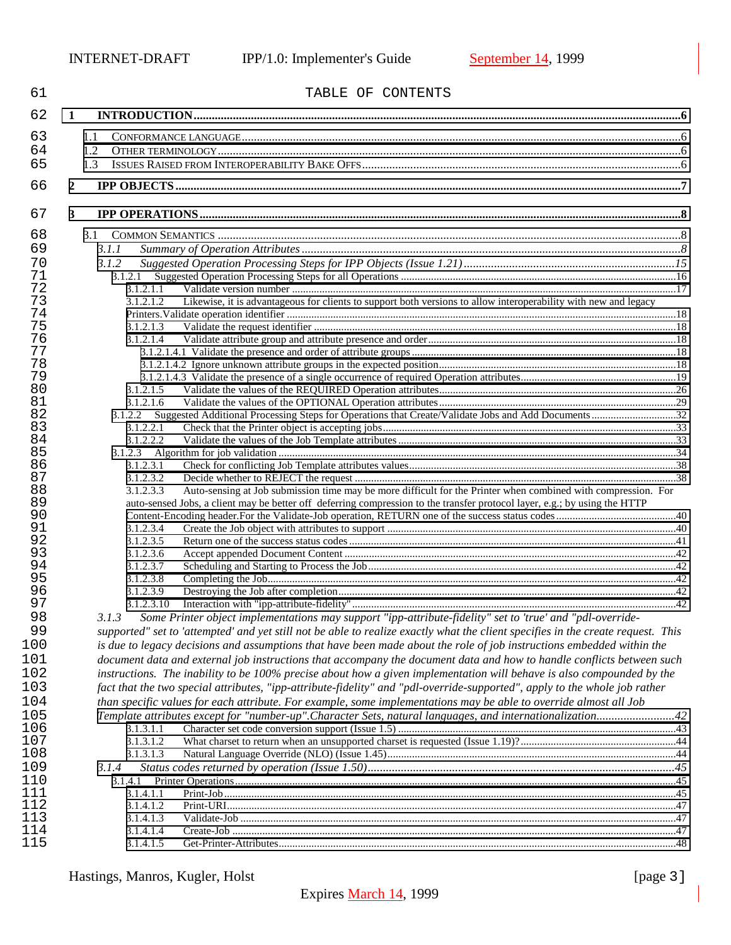| 61       |                        | TABLE OF CONTENTS                                                                                                                |  |
|----------|------------------------|----------------------------------------------------------------------------------------------------------------------------------|--|
| 62       | 1                      |                                                                                                                                  |  |
| 63       | 1.1                    |                                                                                                                                  |  |
| 64       | 1.2                    |                                                                                                                                  |  |
| 65       | 1.3                    |                                                                                                                                  |  |
|          |                        |                                                                                                                                  |  |
| 66       | 2                      |                                                                                                                                  |  |
| 67       | 3                      |                                                                                                                                  |  |
| 68       | 3.1                    |                                                                                                                                  |  |
| 69       | 3.1.1                  |                                                                                                                                  |  |
| 70       | 3.1.2                  |                                                                                                                                  |  |
| 71       |                        |                                                                                                                                  |  |
| 72       | 3.1.2.1.1              |                                                                                                                                  |  |
| 73       | 3.1.2.1.2              | Likewise, it is advantageous for clients to support both versions to allow interoperability with new and legacy                  |  |
| 74       |                        |                                                                                                                                  |  |
| 75       | 3.1.2.1.3              |                                                                                                                                  |  |
| 76       | 3.1.2.1.4              |                                                                                                                                  |  |
| 77       |                        |                                                                                                                                  |  |
| 78       |                        |                                                                                                                                  |  |
| 79       |                        |                                                                                                                                  |  |
| 80       | 3.1.2.1.5              |                                                                                                                                  |  |
| 81       | 3.1.2.1.6              |                                                                                                                                  |  |
| 82       |                        |                                                                                                                                  |  |
| 83       | 3.1.2.2.1              |                                                                                                                                  |  |
| 84       | 3.1.2.2.2              |                                                                                                                                  |  |
| 85       |                        |                                                                                                                                  |  |
| 86       | 3.1.2.3.1              |                                                                                                                                  |  |
| 87       | 3.1.2.3.2              |                                                                                                                                  |  |
| 88       | 3.1.2.3.3              | Auto-sensing at Job submission time may be more difficult for the Printer when combined with compression. For                    |  |
| 89<br>90 |                        | auto-sensed Jobs, a client may be better off deferring compression to the transfer protocol layer, e.g.; by using the HTTP       |  |
| 91       |                        |                                                                                                                                  |  |
| 92       | 3.1.2.3.4<br>3.1.2.3.5 |                                                                                                                                  |  |
| 93       | 3.1.2.3.6              |                                                                                                                                  |  |
| 94       |                        |                                                                                                                                  |  |
| 95       | 3.1.2.3.7<br>3.1.2.3.8 |                                                                                                                                  |  |
| 96       | 3.1.2.3.9              |                                                                                                                                  |  |
| 97       | 3.1.2.3.10             |                                                                                                                                  |  |
| 98       | 3.1.3                  | Some Printer object implementations may support "ipp-attribute-fidelity" set to 'true' and "pdl-override-                        |  |
| 99       |                        | supported" set to 'attempted' and yet still not be able to realize exactly what the client specifies in the create request. This |  |
|          |                        |                                                                                                                                  |  |
| 100      |                        | is due to legacy decisions and assumptions that have been made about the role of job instructions embedded within the            |  |
| 101      |                        | document data and external job instructions that accompany the document data and how to handle conflicts between such            |  |
| 102      |                        | instructions. The inability to be 100% precise about how a given implementation will behave is also compounded by the            |  |
| 103      |                        | fact that the two special attributes, "ipp-attribute-fidelity" and "pdl-override-supported", apply to the whole job rather       |  |
| 104      |                        | than specific values for each attribute. For example, some implementations may be able to override almost all Job                |  |
| 105      |                        |                                                                                                                                  |  |
| 106      | 3.1.3.1.1              |                                                                                                                                  |  |
| 107      | 3.1.3.1.2              |                                                                                                                                  |  |
| 108      | 3.1.3.1.3              |                                                                                                                                  |  |
| 109      | 3.1.4                  |                                                                                                                                  |  |
| 110      | 3.1.4.1                |                                                                                                                                  |  |
| 111      | 3.1.4.1.1              |                                                                                                                                  |  |
| 112      | 3.1.4.1.2              |                                                                                                                                  |  |
| 113      | 3.1.4.1.3              |                                                                                                                                  |  |
| 114      | 3.1.4.1.4              |                                                                                                                                  |  |
| 115      | 3.1.4.1.5              |                                                                                                                                  |  |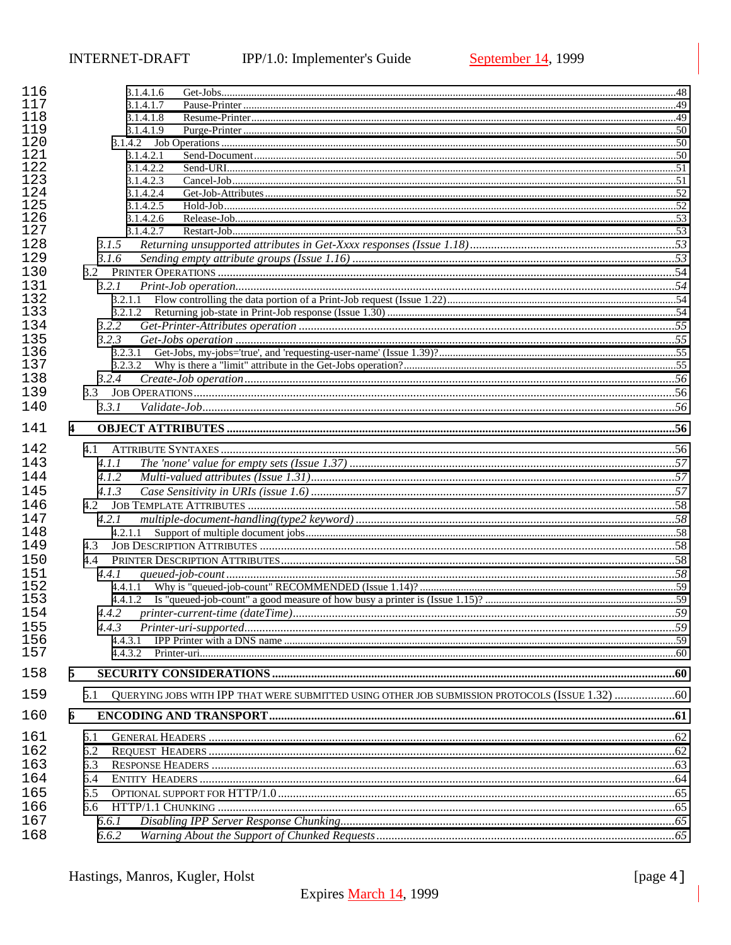| 116<br>117 | 3.1.4.1.6                                                                                              |  |
|------------|--------------------------------------------------------------------------------------------------------|--|
| 118        | 3.1.4.1.7                                                                                              |  |
| 119        | 3.1.4.1.8                                                                                              |  |
| 120        | 3.1.4.1.9                                                                                              |  |
| 121        | 3.1.4.2.1                                                                                              |  |
| 122        | 3.1.4.2.2                                                                                              |  |
| 123        | 3.1.4.2.3                                                                                              |  |
| 124        | 3.1.4.2.4                                                                                              |  |
| 125        | 3.1.4.2.5                                                                                              |  |
| 126        | 3.1.4.2.6                                                                                              |  |
| 127        | 3.1.4.2.7                                                                                              |  |
| 128        |                                                                                                        |  |
|            | 3.1.5                                                                                                  |  |
| 129        | 3.1.6                                                                                                  |  |
| 130        |                                                                                                        |  |
| 131        | 3.2.1                                                                                                  |  |
| 132        | 3.2.1.1                                                                                                |  |
| 133        |                                                                                                        |  |
| 134        | 3.2.2                                                                                                  |  |
| 135        | 3.2.3                                                                                                  |  |
| 136        |                                                                                                        |  |
| 137        |                                                                                                        |  |
| 138        | 3.2.4                                                                                                  |  |
| 139        | 3.3                                                                                                    |  |
| 140        | 3.3.1                                                                                                  |  |
|            |                                                                                                        |  |
| 141        | $\overline{\mathbf{4}}$                                                                                |  |
| 142        |                                                                                                        |  |
| 143        | 4.1.1                                                                                                  |  |
|            |                                                                                                        |  |
| 144        | 4.1.2                                                                                                  |  |
| 145        | 4.1.3                                                                                                  |  |
| 146        |                                                                                                        |  |
| 147        | 4.2.1                                                                                                  |  |
| 148        | 4.2.1.1                                                                                                |  |
| 149        | 4.3                                                                                                    |  |
| 150        | 4.4                                                                                                    |  |
| 151        | 4.4.1                                                                                                  |  |
| 152        | 4.4.1.1                                                                                                |  |
| 153        |                                                                                                        |  |
| 154        | 4.4.2                                                                                                  |  |
|            |                                                                                                        |  |
| 155        | 4.4.3                                                                                                  |  |
| 156        | 4.4.3.1                                                                                                |  |
| 157        | 4.4.3.2                                                                                                |  |
| 158        | 5                                                                                                      |  |
| 159        | QUERYING JOBS WITH IPP THAT WERE SUBMITTED USING OTHER JOB SUBMISSION PROTOCOLS (ISSUE 1.32) 60<br>5.1 |  |
| 160        | 6                                                                                                      |  |
| 161        |                                                                                                        |  |
|            | 6.1                                                                                                    |  |
| 162        | 6.2                                                                                                    |  |
| 163        | 6.3                                                                                                    |  |
| 164        | 6.4                                                                                                    |  |
| 165        | 6.5                                                                                                    |  |
| 166        | 6.6                                                                                                    |  |
| 167        | 6.6.1                                                                                                  |  |
| 168        | 6.6.2                                                                                                  |  |
|            |                                                                                                        |  |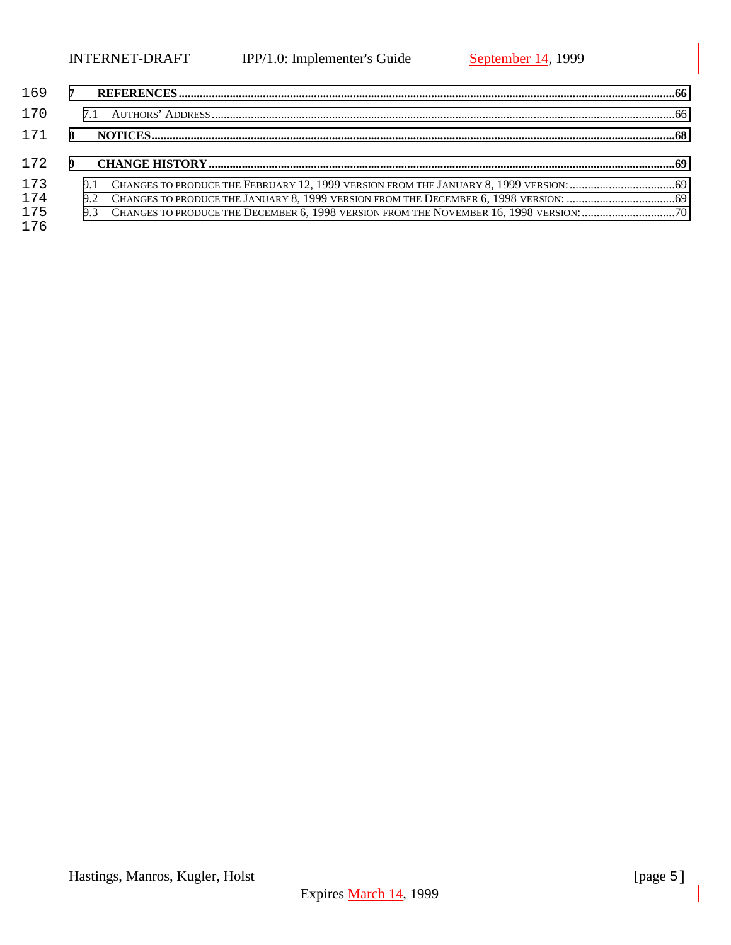| 169           | $-7$ |  |
|---------------|------|--|
| 170           |      |  |
| 171 8         |      |  |
| $172 \quad 9$ |      |  |
| 173           |      |  |
| 174           |      |  |
| 175<br>176    |      |  |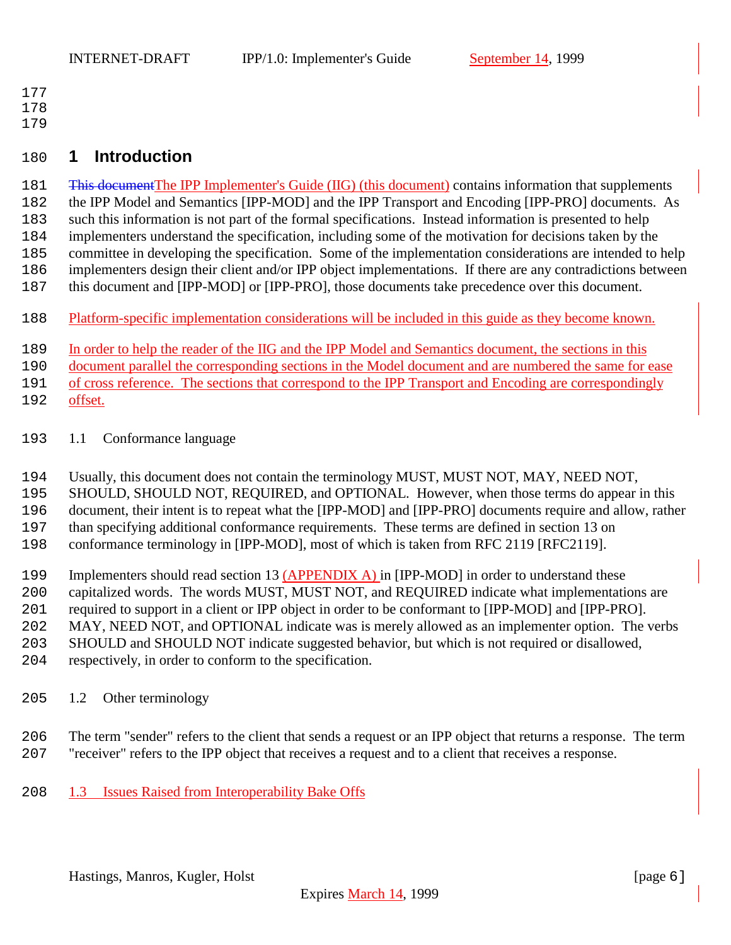- <span id="page-5-0"></span>
- 
- 

# **1 Introduction**

181 <del>This document</del>The IPP Implementer's Guide (IIG) (this document) contains information that supplements the IPP Model and Semantics [IPP-MOD] and the IPP Transport and Encoding [IPP-PRO] documents. As such this information is not part of the formal specifications. Instead information is presented to help implementers understand the specification, including some of the motivation for decisions taken by the committee in developing the specification. Some of the implementation considerations are intended to help implementers design their client and/or IPP object implementations. If there are any contradictions between 187 this document and [IPP-MOD] or [IPP-PRO], those documents take precedence over this document.

Platform-specific implementation considerations will be included in this guide as they become known.

In order to help the reader of the IIG and the IPP Model and Semantics document, the sections in this

document parallel the corresponding sections in the Model document and are numbered the same for ease

of cross reference. The sections that correspond to the IPP Transport and Encoding are correspondingly

- offset.
- 1.1 Conformance language
- Usually, this document does not contain the terminology MUST, MUST NOT, MAY, NEED NOT,
- SHOULD, SHOULD NOT, REQUIRED, and OPTIONAL. However, when those terms do appear in this
- document, their intent is to repeat what the [IPP-MOD] and [IPP-PRO] documents require and allow, rather

than specifying additional conformance requirements. These terms are defined in section 13 on

conformance terminology in [IPP-MOD], most of which is taken from RFC 2119 [RFC2119].

199 Implementers should read section 13 (APPENDIX A) in [IPP-MOD] in order to understand these

- capitalized words. The words MUST, MUST NOT, and REQUIRED indicate what implementations are
- required to support in a client or IPP object in order to be conformant to [IPP-MOD] and [IPP-PRO].

MAY, NEED NOT, and OPTIONAL indicate was is merely allowed as an implementer option. The verbs

SHOULD and SHOULD NOT indicate suggested behavior, but which is not required or disallowed,

- respectively, in order to conform to the specification.
- 1.2 Other terminology
- The term "sender" refers to the client that sends a request or an IPP object that returns a response. The term "receiver" refers to the IPP object that receives a request and to a client that receives a response.
- 1.3 Issues Raised from Interoperability Bake Offs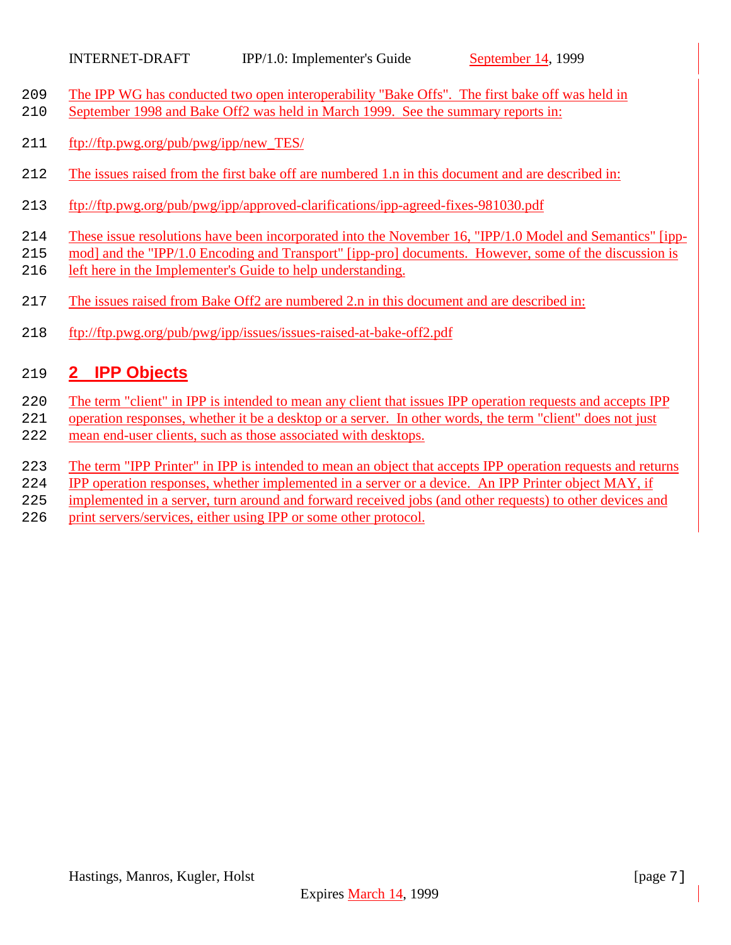- <span id="page-6-0"></span>209 The IPP WG has conducted two open interoperability "Bake Offs". The first bake off was held in
- September 1998 and Bake Off2 was held in March 1999. See the summary reports in:
- ftp://ftp.pwg.org/pub/pwg/ipp/new\_TES/
- The issues raised from the first bake off are numbered 1.n in this document and are described in:
- ftp://ftp.pwg.org/pub/pwg/ipp/approved-clarifications/ipp-agreed-fixes-981030.pdf
- These issue resolutions have been incorporated into the November 16, "IPP/1.0 Model and Semantics" [ipp-
- mod] and the "IPP/1.0 Encoding and Transport" [ipp-pro] documents. However, some of the discussion is
- left here in the Implementer's Guide to help understanding.
- 217 The issues raised from Bake Off2 are numbered 2.n in this document and are described in:
- ftp://ftp.pwg.org/pub/pwg/ipp/issues/issues-raised-at-bake-off2.pdf

# **2 IPP Objects**

- The term "client" in IPP is intended to mean any client that issues IPP operation requests and accepts IPP
- operation responses, whether it be a desktop or a server. In other words, the term "client" does not just
- mean end-user clients, such as those associated with desktops.
- The term "IPP Printer" in IPP is intended to mean an object that accepts IPP operation requests and returns
- IPP operation responses, whether implemented in a server or a device. An IPP Printer object MAY, if
- implemented in a server, turn around and forward received jobs (and other requests) to other devices and
- print servers/services, either using IPP or some other protocol.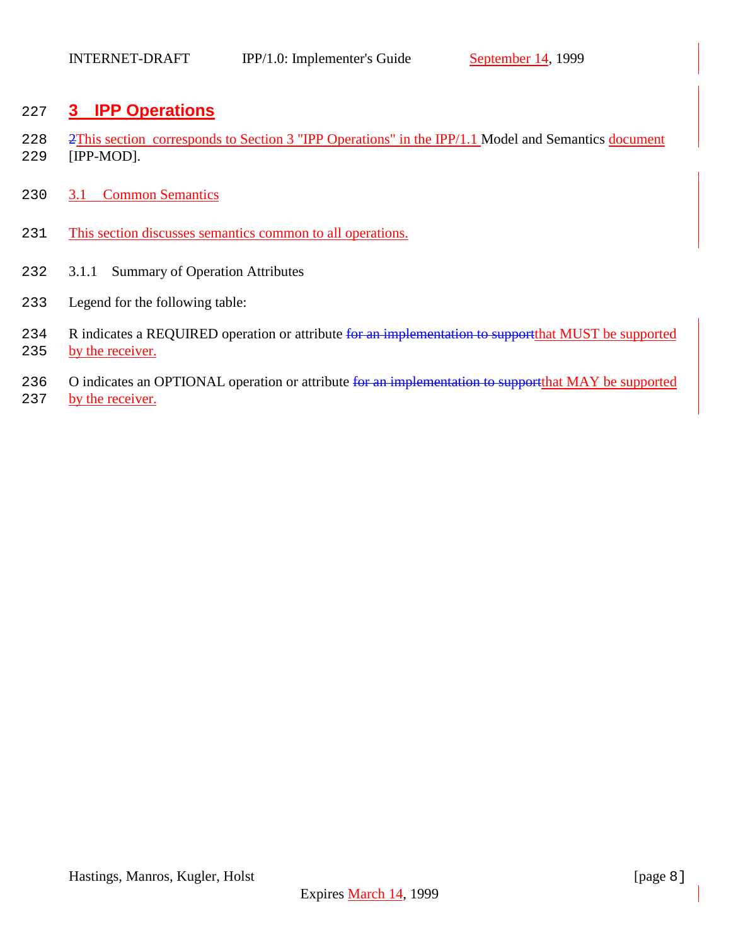# <span id="page-7-0"></span>227 **3 IPP Operations**

- 228 2This section corresponds to Section 3 "IPP Operations" in the IPP/1.1 Model and Semantics document 229 [IPP-MOD].
- 230 3.1 Common Semantics
- 231 This section discusses semantics common to all operations.
- 232 3.1.1 Summary of Operation Attributes
- 233 Legend for the following table:
- 234 R indicates a REQUIRED operation or attribute for an implementation to support that MUST be supported 235 by the receiver.
- 236 O indicates an OPTIONAL operation or attribute for an implementation to support that MAY be supported
- 237 by the receiver.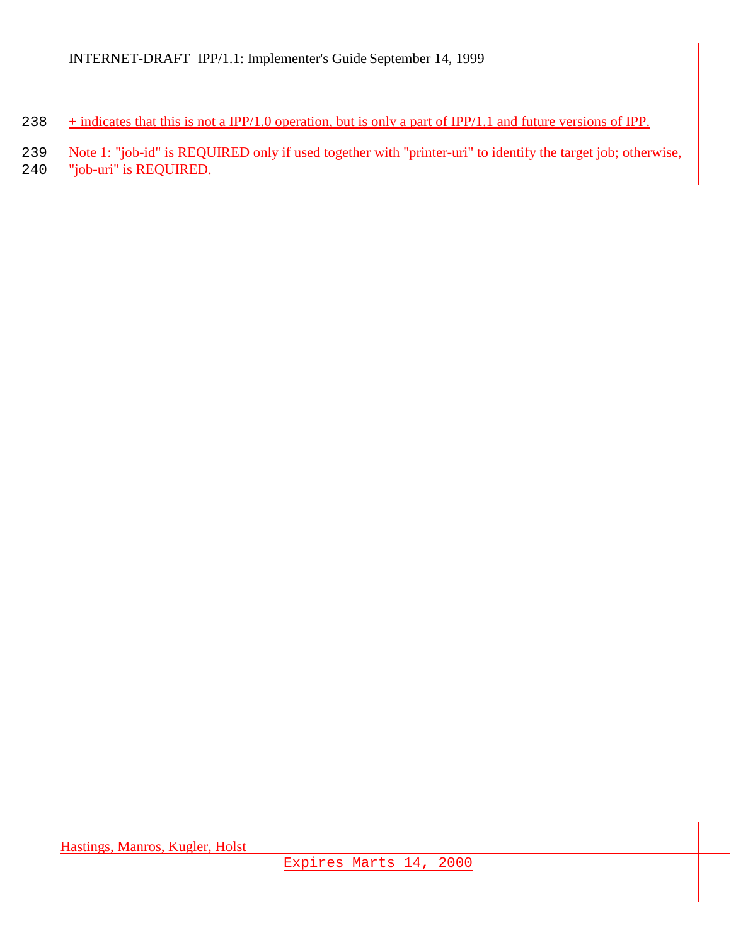- 238  $+$  indicates that this is not a IPP/1.0 operation, but is only a part of IPP/1.1 and future versions of IPP.
- 239 Note 1: "job-id" is REQUIRED only if used together with "printer-uri" to identify the target job; otherwise,
- 240 "job-uri" is REQUIRED.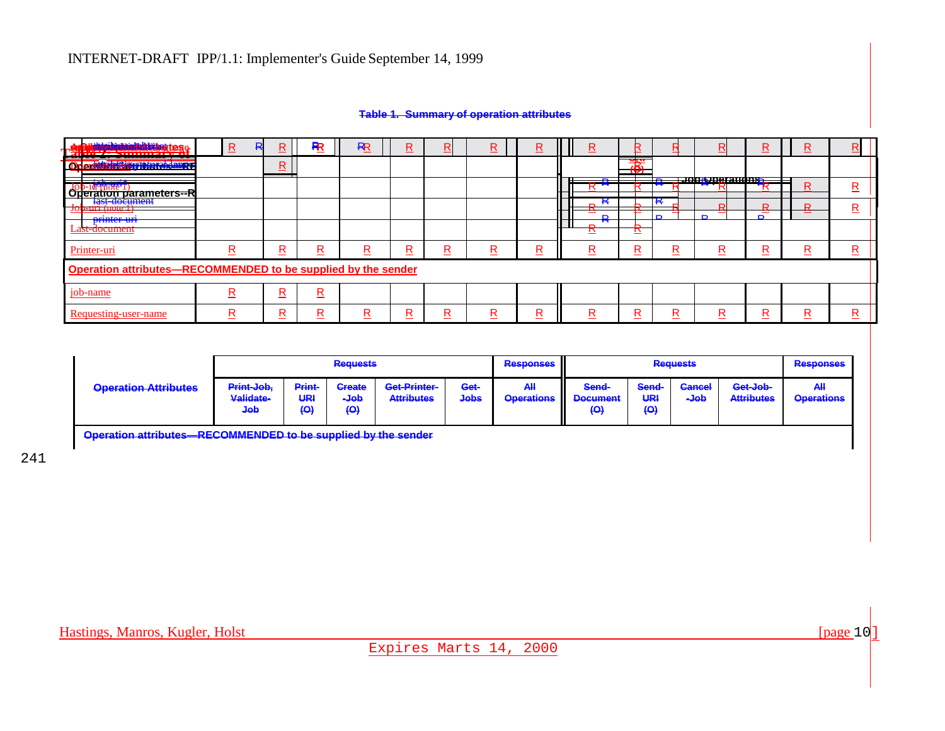#### **Table 1. Summary of operation attributes**

| <u>an maria di San Gabriel Belgislage</u><br>. 1              | $\mathbf R$<br>ĸ | ĸ                       | R        | R | R | Б | <u>R</u> | <u>R</u> | <u>R</u>          | r  |        |                | <u>R</u> | R | B |
|---------------------------------------------------------------|------------------|-------------------------|----------|---|---|---|----------|----------|-------------------|----|--------|----------------|----------|---|---|
| ---<br>Onerrichteit in Hamardang                              |                  | $\overline{\mathsf{R}}$ |          |   |   |   |          |          |                   | uш |        |                |          |   |   |
| "(note I<br>$JOD-10$<br>ation parameters--R<br><b>Orier</b>   |                  |                         |          |   |   |   |          |          |                   |    |        | HADRIDA AHADA. |          | R | R |
| last document<br><b>D-UNI-MORFI</b><br>┓                      |                  |                         |          |   |   |   |          |          | $\mathbf{r}$      |    | к<br>D | D.<br>D        | D<br>D.  | R | R |
| <b>USED LA VERSION</b><br>Last-document                       |                  |                         |          |   |   |   |          |          | $\mathbf{r}$<br>n |    |        |                |          |   |   |
| Printer-uri                                                   | D                | R                       | <u>R</u> | R | R | R | R        | R        | R                 | R  | R      | D              | n        | R | R |
| Operation attributes-RECOMMENDED to be supplied by the sender |                  |                         |          |   |   |   |          |          |                   |    |        |                |          |   |   |
| job-name                                                      | n                | R                       | R        |   |   |   |          |          |                   |    |        |                |          |   |   |
| Requesting-user-name                                          | n                | R<br>-                  | R        |   | R | D | D        | R        | R                 | D  | R      | D              | D        | R | R |

|                             |                                |                                          | <b>Requests</b>                                  |                                   |                     | <b>Responses</b>         |                                                     |                          | <b>Requests</b>       |                               | <b>Responses</b>                |
|-----------------------------|--------------------------------|------------------------------------------|--------------------------------------------------|-----------------------------------|---------------------|--------------------------|-----------------------------------------------------|--------------------------|-----------------------|-------------------------------|---------------------------------|
| <b>Operation Attributes</b> | Print-Job,<br>Validate-<br>dob | Print-<br>URI<br>$\left( \Theta \right)$ | <b>Create</b><br>dob-<br>$\left( \Theta \right)$ | Get-Printer-<br><b>Attributes</b> | Get-<br><b>Jobs</b> | All<br><b>Operations</b> | Send-<br><b>Document</b><br>$\left( \Theta \right)$ | Send-<br>URI<br>$\Theta$ | <b>Cancel</b><br>dob- | Get-Job-<br><b>Attributes</b> | <b>All</b><br><b>Operations</b> |

**Operation attributes—RECOMMENDED to be supplied by the sender**

241

Expires Marts 14, 2000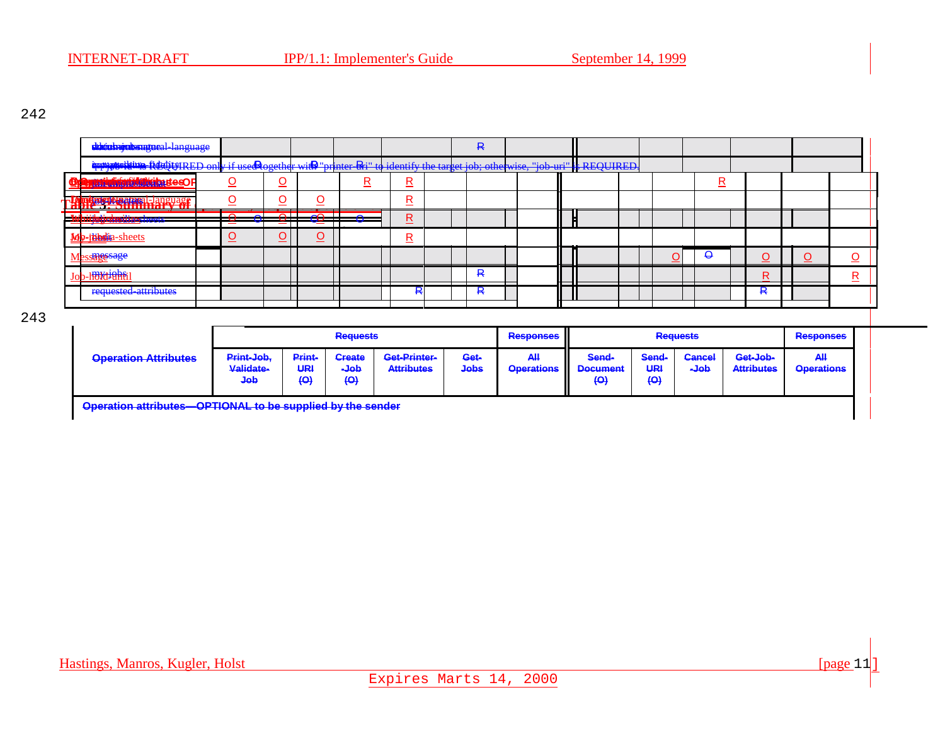243

|     | dthiuhujubsnutueal language                                                                                                         |                                       |                               |                      |                                                       |                                   | R                   |                         |   |                                 |                                         |                                          |   |                               |                         |                         |  |
|-----|-------------------------------------------------------------------------------------------------------------------------------------|---------------------------------------|-------------------------------|----------------------|-------------------------------------------------------|-----------------------------------|---------------------|-------------------------|---|---------------------------------|-----------------------------------------|------------------------------------------|---|-------------------------------|-------------------------|-------------------------|--|
|     | <del>immatelling RDGURED only if use@ogether wi@"printer &amp;i" to identify the target job; otherwise, "job uri" * REQUIRED.</del> |                                       |                               |                      |                                                       |                                   |                     |                         |   |                                 |                                         |                                          |   |                               |                         |                         |  |
|     | <b>Tathfrintin Hally deso F</b>                                                                                                     | O                                     | <u>୦</u>                      |                      | R                                                     | R                                 |                     |                         |   |                                 |                                         |                                          | R |                               |                         |                         |  |
|     | <b>PAPIESE LE REPERTED EN 2008 PRODUCTION DE LA PRODUCTION DE LA PRODUCTION DE LA PRODUCTION DE LA PRODUCTION DE L</b>              |                                       | <u>୦</u>                      | O                    |                                                       | R                                 |                     |                         |   |                                 |                                         |                                          |   |                               |                         |                         |  |
| ЦŅ, | <b>luijajoksitusk</b> eett                                                                                                          | ≂<br>≂<br>--<br>——                    | $\overline{\phantom{0}}$<br>= | $-60$<br>≂           | ÷.                                                    | R<br>_                            |                     |                         |   |                                 |                                         |                                          |   |                               |                         |                         |  |
|     | Mo-itibulia-sheets                                                                                                                  | <u>୦</u>                              | $\overline{\mathsf{O}}$       | $\overline{\Omega}$  |                                                       | R                                 |                     |                         |   |                                 |                                         |                                          |   |                               |                         |                         |  |
|     | Messares sage                                                                                                                       |                                       |                               |                      |                                                       |                                   |                     |                         |   |                                 |                                         | $\Theta$<br>O                            |   | O                             | O                       | $\overline{\mathsf{O}}$ |  |
|     | Jo <mark>b-I<del>IBIdİûht</del>i</mark>                                                                                             |                                       | ┯                             |                      | --                                                    | —<br>—                            | R                   |                         | — |                                 |                                         |                                          |   | R                             |                         | R.                      |  |
|     | requested attributes                                                                                                                |                                       |                               |                      |                                                       | ₽                                 | R                   |                         |   |                                 |                                         |                                          |   | ₽                             |                         |                         |  |
|     |                                                                                                                                     |                                       |                               |                      |                                                       |                                   |                     |                         |   |                                 |                                         |                                          |   |                               |                         |                         |  |
|     |                                                                                                                                     |                                       |                               |                      | <b>Requests</b>                                       |                                   |                     | <b>Responses</b>        |   |                                 |                                         | <b>Requests</b>                          |   |                               | <b>Responses</b>        |                         |  |
|     | <b>Operation Attributes</b>                                                                                                         | Print-Job,<br>Validate-<br><b>dob</b> |                               | Print-<br>URI<br>(O) | <b>Create</b><br>$\overline{\mathsf{de}}$<br>$\Theta$ | Get-Printer-<br><b>Attributes</b> | Get-<br><b>Jobs</b> | AH<br><b>Operations</b> |   | Send-<br><b>Document</b><br>(O) | Send-<br>URI<br>$\left( \Theta \right)$ | <b>Cancel</b><br>$\overline{\mathbf{a}}$ |   | Get-Job-<br><b>Attributes</b> | AH<br><b>Operations</b> |                         |  |

**Operation attributes—OPTIONAL to be supplied by the sender**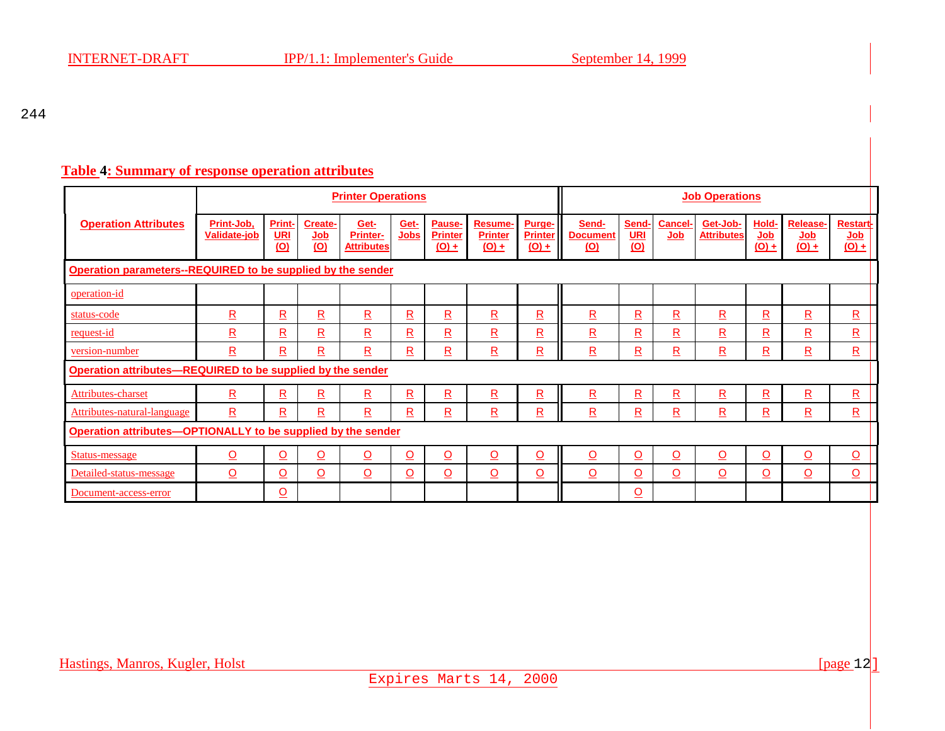#### **Table 4: Summary of response operation attributes**

|                                                              |                                                             |                             |                                         | <b>Printer Operations</b>             |                          |                                     |                                      |                                     | <b>Job Operations</b>                  |                                  |                          |                               |                                     |                                                               |                                                 |  |
|--------------------------------------------------------------|-------------------------------------------------------------|-----------------------------|-----------------------------------------|---------------------------------------|--------------------------|-------------------------------------|--------------------------------------|-------------------------------------|----------------------------------------|----------------------------------|--------------------------|-------------------------------|-------------------------------------|---------------------------------------------------------------|-------------------------------------------------|--|
| <b>Operation Attributes</b>                                  | Print-Job,<br>Validate-job                                  | <b>Print-</b><br>URI<br>(0) | <b>Create-</b><br>Job<br>$\overline{O}$ | Get-<br>Printer-<br><b>Attributes</b> | Get-<br>Jobs             | Pause-<br><b>Printer</b><br>$(0) +$ | Resume-<br><b>Printer</b><br>$(O) +$ | Purge-<br><b>Printer</b><br>$(0) +$ | Send-<br><b>Document</b><br><u>(O)</u> | <b>Send</b><br><u>URI</u><br>(0) | <b>Cancel-</b><br>Job    | Get-Job-<br><b>Attributes</b> | Hold-<br>Job<br>$\underline{(O)} +$ | Release-<br>$\underline{\mathsf{Job}}$<br>$\underline{(O)} +$ | <b>Restart-</b><br>$Job$<br>$\underline{(O)} +$ |  |
|                                                              | Operation parameters--REQUIRED to be supplied by the sender |                             |                                         |                                       |                          |                                     |                                      |                                     |                                        |                                  |                          |                               |                                     |                                                               |                                                 |  |
| operation-id                                                 |                                                             |                             |                                         |                                       |                          |                                     |                                      |                                     |                                        |                                  |                          |                               |                                     |                                                               |                                                 |  |
| status-code                                                  | $\overline{\mathbf{R}}$                                     | R                           | $\overline{\mathbf{R}}$                 | ${\underline{\mathsf R}}$             | $\overline{\mathbf{R}}$  | R                                   | $\overline{\mathbf{R}}$              | $\overline{\mathbf{R}}$             | $\underline{\mathsf{R}}$               | $\overline{\mathbf{R}}$          | $\underline{\mathsf{R}}$ | $\overline{\mathbf{R}}$       | $\underline{\mathsf{R}}$            | $\overline{\mathbf{R}}$                                       | ${\underline{\mathsf R}}$                       |  |
| request-id                                                   | $\overline{\mathsf{R}}$                                     | R                           | $\overline{\mathbf{R}}$                 | $\mathbf{R}$                          | $\overline{\mathbf{R}}$  | R                                   | $\overline{\mathsf{R}}$              | $\overline{\mathbf{R}}$             | $\overline{\mathbf{R}}$                | $\overline{\mathbf{R}}$          | $\overline{\mathbf{R}}$  | $\overline{\mathbf{R}}$       | $\overline{\mathbf{R}}$             | $\overline{\mathbf{R}}$                                       | $\overline{\mathsf{R}}$                         |  |
| version-number                                               | $\overline{\mathbf{R}}$                                     | R                           | $\overline{\mathbf{R}}$                 | $\overline{\mathbf{R}}$               | $\overline{\mathbf{R}}$  | $\overline{\mathbf{R}}$             | $\overline{\mathbf{R}}$              | $\overline{\mathbf{R}}$             | $\overline{\mathbf{R}}$                | $\overline{\mathbf{R}}$          | $\underline{\mathsf{R}}$ | $\overline{\mathbf{R}}$       | $\overline{\mathbf{R}}$             | $\underline{\mathsf{R}}$                                      | ${\underline{\mathsf R}}$                       |  |
| Operation attributes-REQUIRED to be supplied by the sender   |                                                             |                             |                                         |                                       |                          |                                     |                                      |                                     |                                        |                                  |                          |                               |                                     |                                                               |                                                 |  |
| Attributes-charset                                           | $\underline{\mathsf{R}}$                                    | $\underline{\mathsf{R}}$    | $\underline{\mathsf{R}}$                | $\underline{\mathsf{R}}$              | $\underline{\mathsf{R}}$ | $\underline{\mathsf{R}}$            | $\underline{\mathsf{R}}$             | $\underline{\mathsf{R}}$            | $\underline{\mathsf{R}}$               | $\underline{\mathsf{R}}$         | $\underline{\mathsf{R}}$ | $\overline{\mathsf{R}}$       | $\underline{\mathsf{R}}$            | $\underline{\mathsf{R}}$                                      | $\underline{\mathsf{R}}$                        |  |
| Attributes-natural-language                                  | $\overline{\mathbf{R}}$                                     | $\overline{\mathbf{R}}$     | $\overline{\mathbf{R}}$                 | $\overline{\mathbf{R}}$               | $\underline{\mathsf{R}}$ | $\underline{\mathsf{R}}$            | $\underline{\mathsf{R}}$             | $\underline{\mathsf{R}}$            | $\underline{\mathsf{R}}$               | $\overline{\mathbf{R}}$          | $\underline{\mathsf{R}}$ | $\overline{\mathbf{R}}$       | $\underline{\mathsf{R}}$            | $\underline{\mathsf{R}}$                                      | $\underline{\mathsf{R}}$                        |  |
| Operation attributes-OPTIONALLY to be supplied by the sender |                                                             |                             |                                         |                                       |                          |                                     |                                      |                                     |                                        |                                  |                          |                               |                                     |                                                               |                                                 |  |
| <b>Status-message</b>                                        | $\overline{\mathsf{O}}$                                     | $\overline{\mathsf{O}}$     | $\overline{\mathsf{O}}$                 | $\underline{\mathsf{O}}$              | $\overline{O}$           | $\overline{\mathsf{O}}$             | $\overline{\mathsf{O}}$              | $\overline{\mathsf{O}}$             | $\overline{\mathsf{O}}$                | $\overline{\mathsf{O}}$          | <u>୦</u>                 | $\overline{\mathsf{O}}$       | $\overline{\mathsf{O}}$             | $\overline{\mathsf{O}}$                                       | $\underline{\mathsf{O}}$                        |  |
| Detailed-status-message                                      | $\overline{O}$                                              | $\overline{O}$              | $\overline{\Omega}$                     | $\Omega$                              | $\overline{\mathsf{O}}$  | <u>o</u>                            | $\overline{\mathsf{O}}$              | $\overline{\mathsf{O}}$             | $\overline{O}$                         | $\overline{\mathsf{O}}$          | $\overline{O}$           | $\overline{O}$                | $\overline{\Omega}$                 | $\overline{O}$                                                | $\overline{\mathsf{O}}$                         |  |
| Document-access-error                                        |                                                             | $\overline{\mathsf{O}}$     |                                         |                                       |                          |                                     |                                      |                                     |                                        | $\overline{\mathsf{O}}$          |                          |                               |                                     |                                                               |                                                 |  |

Expires Marts 14, 2000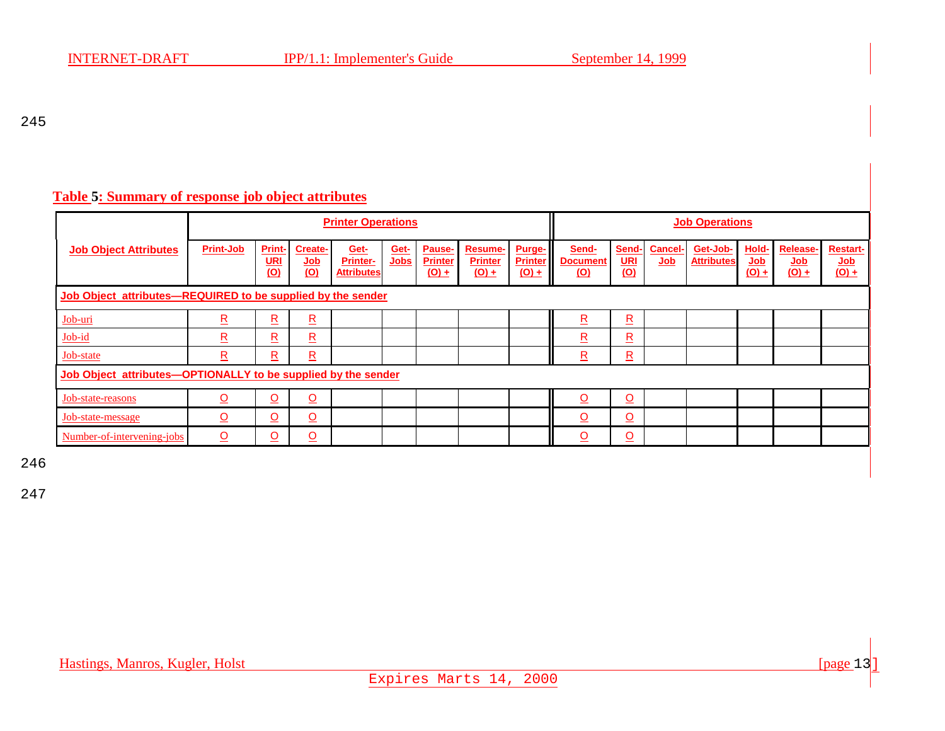### **Table 5: Summary of response job object attributes**

|                                                               |                         |                                    |                                                   | <b>Printer Operations</b>                    |              |                                     |                                                  | <b>Job Operations</b>               |                                        |                          |                                              |                               |                                              |                                                               |                                   |  |
|---------------------------------------------------------------|-------------------------|------------------------------------|---------------------------------------------------|----------------------------------------------|--------------|-------------------------------------|--------------------------------------------------|-------------------------------------|----------------------------------------|--------------------------|----------------------------------------------|-------------------------------|----------------------------------------------|---------------------------------------------------------------|-----------------------------------|--|
| <b>Job Object Attributes</b>                                  | <b>Print-Job</b>        | Print-<br><u>URI</u><br><u>(O)</u> | <b>Create-</b><br>$\underline{\text{Job}}$<br>(0) | Get-<br><b>Printer-</b><br><b>Attributes</b> | Get-<br>Jobs | Pause-<br><b>Printer</b><br>$(O) +$ | Resume-<br><b>Printer</b><br>$\underline{(O)} +$ | Purge-<br><b>Printer</b><br>$(O) +$ | Send-<br><b>Document</b><br><u>(O)</u> | Send-<br>URI<br>$\omega$ | <b>Cancel-</b><br>$\underline{\mathsf{Job}}$ | Get-Job-<br><b>Attributes</b> | Hold-<br>$\underline{\text{Job}}$<br>$(0) +$ | Release-<br>$\underline{\mathsf{Job}}$<br>$\underline{(O)} +$ | <b>Restart-</b><br>Job<br>$(0) +$ |  |
| Job Object attributes-REQUIRED to be supplied by the sender   |                         |                                    |                                                   |                                              |              |                                     |                                                  |                                     |                                        |                          |                                              |                               |                                              |                                                               |                                   |  |
| Job-uri                                                       | $\overline{\mathbf{R}}$ | $\overline{\mathsf{R}}$            | $\overline{\mathbf{R}}$                           |                                              |              |                                     |                                                  |                                     | $\overline{\mathbf{R}}$                | $\overline{\mathbf{R}}$  |                                              |                               |                                              |                                                               |                                   |  |
| Job-id                                                        | $\overline{\mathbf{R}}$ | $\overline{\mathsf{R}}$            | $\underline{\mathsf{R}}$                          |                                              |              |                                     |                                                  |                                     | R                                      | $\underline{\mathsf{R}}$ |                                              |                               |                                              |                                                               |                                   |  |
| Job-state                                                     | $\overline{\mathbf{R}}$ | $\overline{\mathsf{R}}$            | $\overline{\mathtt{R}}$                           |                                              |              |                                     |                                                  |                                     | $\overline{\mathbf{R}}$                | $\overline{\mathbf{R}}$  |                                              |                               |                                              |                                                               |                                   |  |
| Job Object attributes-OPTIONALLY to be supplied by the sender |                         |                                    |                                                   |                                              |              |                                     |                                                  |                                     |                                        |                          |                                              |                               |                                              |                                                               |                                   |  |
| Job-state-reasons                                             | <u>୦</u>                | $\overline{O}$                     | $\overline{\mathsf{O}}$                           |                                              |              |                                     |                                                  |                                     | $\Omega$                               | $\Omega$                 |                                              |                               |                                              |                                                               |                                   |  |
| Job-state-message                                             | $\Omega$                | $\overline{O}$                     | $\overline{\Omega}$                               |                                              |              |                                     |                                                  |                                     | $\Omega$                               | $\Omega$                 |                                              |                               |                                              |                                                               |                                   |  |
| Number-of-intervening-jobs                                    | $\Omega$                | $\overline{\mathsf{O}}$            | <u>୦</u>                                          |                                              |              |                                     |                                                  |                                     | $\Omega$                               | <u>୦</u>                 |                                              |                               |                                              |                                                               |                                   |  |

246

247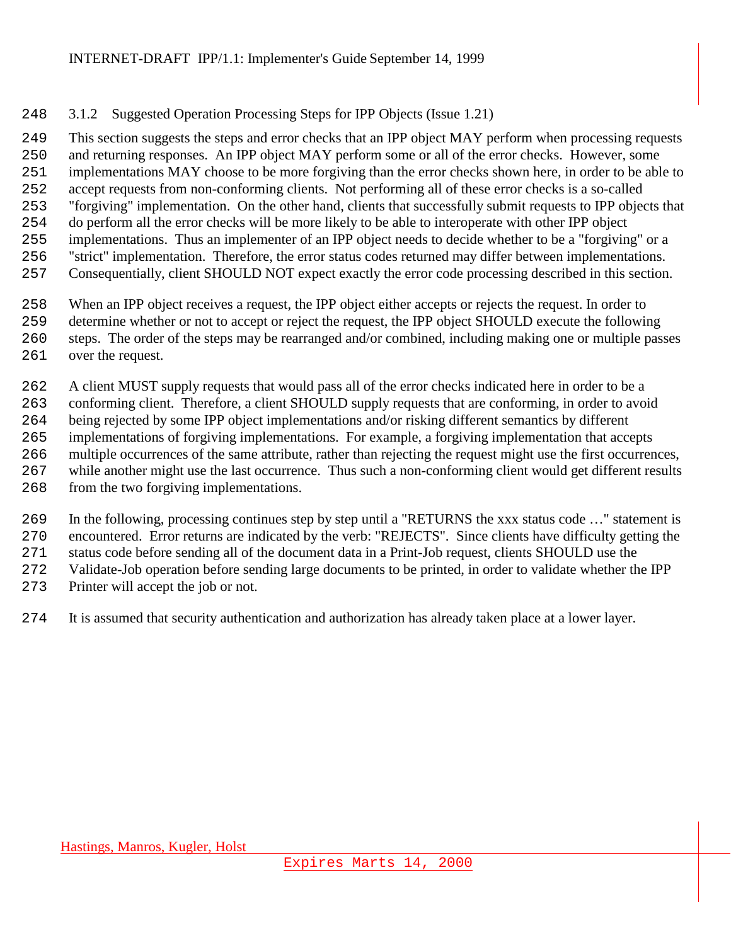# <span id="page-14-0"></span>3.1.2 Suggested Operation Processing Steps for IPP Objects (Issue 1.21)

 This section suggests the steps and error checks that an IPP object MAY perform when processing requests and returning responses. An IPP object MAY perform some or all of the error checks. However, some implementations MAY choose to be more forgiving than the error checks shown here, in order to be able to accept requests from non-conforming clients. Not performing all of these error checks is a so-called "forgiving" implementation. On the other hand, clients that successfully submit requests to IPP objects that do perform all the error checks will be more likely to be able to interoperate with other IPP object implementations. Thus an implementer of an IPP object needs to decide whether to be a "forgiving" or a "strict" implementation. Therefore, the error status codes returned may differ between implementations. Consequentially, client SHOULD NOT expect exactly the error code processing described in this section.

When an IPP object receives a request, the IPP object either accepts or rejects the request. In order to

- determine whether or not to accept or reject the request, the IPP object SHOULD execute the following
- steps. The order of the steps may be rearranged and/or combined, including making one or multiple passes
- over the request.

A client MUST supply requests that would pass all of the error checks indicated here in order to be a

conforming client. Therefore, a client SHOULD supply requests that are conforming, in order to avoid

being rejected by some IPP object implementations and/or risking different semantics by different

implementations of forgiving implementations. For example, a forgiving implementation that accepts

- multiple occurrences of the same attribute, rather than rejecting the request might use the first occurrences, while another might use the last occurrence. Thus such a non-conforming client would get different results
- from the two forgiving implementations.

 In the following, processing continues step by step until a "RETURNS the xxx status code …" statement is encountered. Error returns are indicated by the verb: "REJECTS". Since clients have difficulty getting the

status code before sending all of the document data in a Print-Job request, clients SHOULD use the

Validate-Job operation before sending large documents to be printed, in order to validate whether the IPP

Printer will accept the job or not.

It is assumed that security authentication and authorization has already taken place at a lower layer.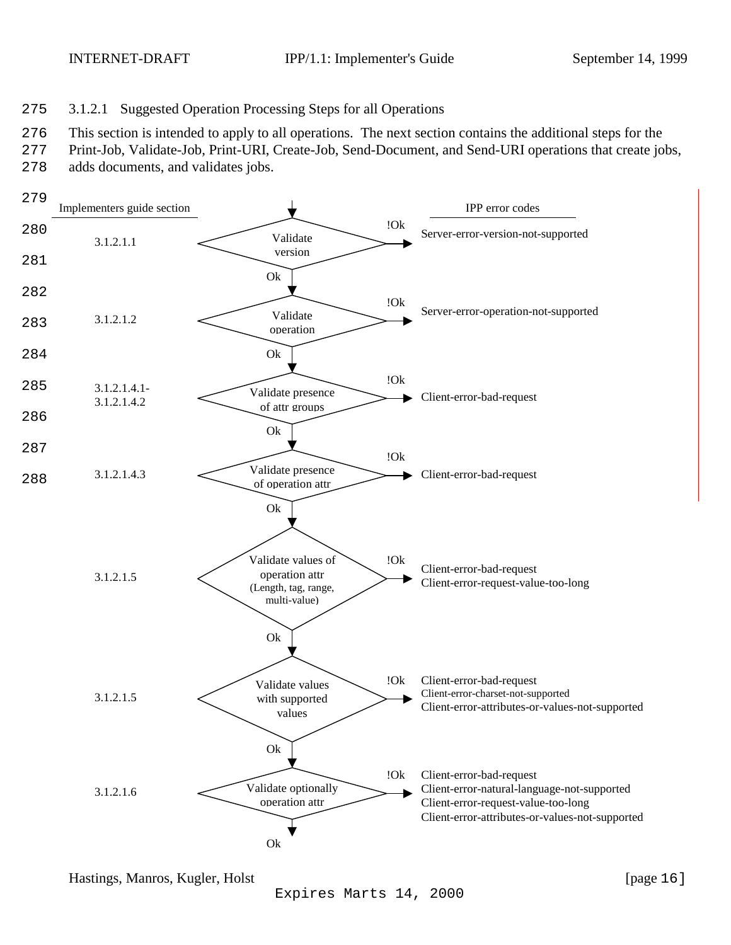<span id="page-15-0"></span>

#### 275 3.1.2.1 Suggested Operation Processing Steps for all Operations

276 This section is intended to apply to all operations. The next section contains the additional steps for the

- 277 Print-Job, Validate-Job, Print-URI, Create-Job, Send-Document, and Send-URI operations that create jobs,
- 278 adds documents, and validates jobs.

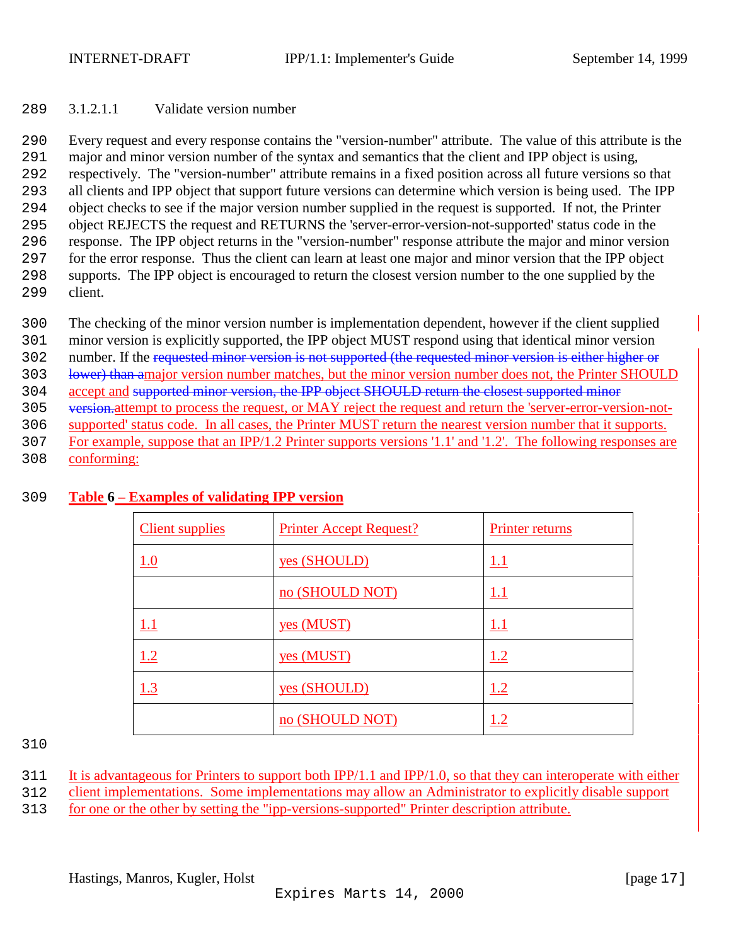#### <span id="page-16-0"></span>289 3.1.2.1.1 Validate version number

 Every request and every response contains the "version-number" attribute. The value of this attribute is the major and minor version number of the syntax and semantics that the client and IPP object is using, respectively. The "version-number" attribute remains in a fixed position across all future versions so that all clients and IPP object that support future versions can determine which version is being used. The IPP object checks to see if the major version number supplied in the request is supported. If not, the Printer object REJECTS the request and RETURNS the 'server-error-version-not-supported' status code in the response. The IPP object returns in the "version-number" response attribute the major and minor version for the error response. Thus the client can learn at least one major and minor version that the IPP object supports. The IPP object is encouraged to return the closest version number to the one supplied by the 299 client.

- 300 The checking of the minor version number is implementation dependent, however if the client supplied
- 301 minor version is explicitly supported, the IPP object MUST respond using that identical minor version
- 302 number. If the requested minor version is not supported (the requested minor version is either higher or
- 303 lower) than amajor version number matches, but the minor version number does not, the Printer SHOULD
- 304 accept and supported minor version, the IPP object SHOULD return the closest supported minor
- 305 version-attempt to process the request, or MAY reject the request and return the 'server-error-version-not-
- 306 supported' status code. In all cases, the Printer MUST return the nearest version number that it supports.
- 307 For example, suppose that an IPP/1.2 Printer supports versions '1.1' and '1.2'. The following responses are
- 308 conforming:

| <b>Client supplies</b> | <b>Printer Accept Request?</b> | Printer returns |
|------------------------|--------------------------------|-----------------|
| 1.0                    | yes (SHOULD)                   | 1.1             |
|                        | no (SHOULD NOT)                | $1.1\,$         |
| 1.1                    | yes (MUST)                     | 1.1             |
| 1.2                    | yes (MUST)                     | 1.2             |
| 1.3                    | yes (SHOULD)                   | 1.2             |
|                        | no (SHOULD NOT)                |                 |

#### 309 **Table 6 – Examples of validating IPP version**

310

- 311 It is advantageous for Printers to support both IPP/1.1 and IPP/1.0, so that they can interoperate with either
- 312 client implementations. Some implementations may allow an Administrator to explicitly disable support
- 313 for one or the other by setting the "ipp-versions-supported" Printer description attribute.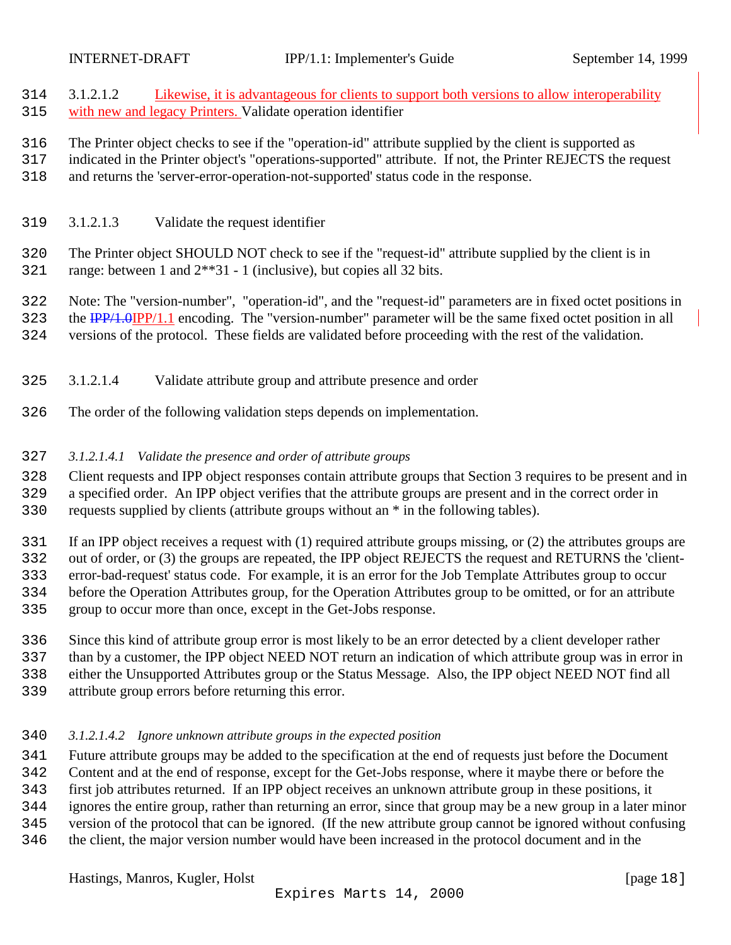<span id="page-17-0"></span> 3.1.2.1.2 Likewise, it is advantageous for clients to support both versions to allow interoperability with new and legacy Printers. Validate operation identifier

The Printer object checks to see if the "operation-id" attribute supplied by the client is supported as

indicated in the Printer object's "operations-supported" attribute. If not, the Printer REJECTS the request

and returns the 'server-error-operation-not-supported' status code in the response.

3.1.2.1.3 Validate the request identifier

 The Printer object SHOULD NOT check to see if the "request-id" attribute supplied by the client is in range: between 1 and 2\*\*31 - 1 (inclusive), but copies all 32 bits.

 Note: The "version-number", "operation-id", and the "request-id" parameters are in fixed octet positions in 323 the IPP/1.0IPP/1.1 encoding. The "version-number" parameter will be the same fixed octet position in all versions of the protocol. These fields are validated before proceeding with the rest of the validation.

- 3.1.2.1.4 Validate attribute group and attribute presence and order
- The order of the following validation steps depends on implementation.

#### *3.1.2.1.4.1 Validate the presence and order of attribute groups*

Client requests and IPP object responses contain attribute groups that Section 3 requires to be present and in

a specified order. An IPP object verifies that the attribute groups are present and in the correct order in

requests supplied by clients (attribute groups without an \* in the following tables).

If an IPP object receives a request with (1) required attribute groups missing, or (2) the attributes groups are

out of order, or (3) the groups are repeated, the IPP object REJECTS the request and RETURNS the 'client-

error-bad-request' status code. For example, it is an error for the Job Template Attributes group to occur

- before the Operation Attributes group, for the Operation Attributes group to be omitted, or for an attribute
- group to occur more than once, except in the Get-Jobs response.
- Since this kind of attribute group error is most likely to be an error detected by a client developer rather
- than by a customer, the IPP object NEED NOT return an indication of which attribute group was in error in

either the Unsupported Attributes group or the Status Message. Also, the IPP object NEED NOT find all

attribute group errors before returning this error.

#### *3.1.2.1.4.2 Ignore unknown attribute groups in the expected position*

Future attribute groups may be added to the specification at the end of requests just before the Document

Content and at the end of response, except for the Get-Jobs response, where it maybe there or before the

- first job attributes returned. If an IPP object receives an unknown attribute group in these positions, it
- ignores the entire group, rather than returning an error, since that group may be a new group in a later minor
- version of the protocol that can be ignored. (If the new attribute group cannot be ignored without confusing
- the client, the major version number would have been increased in the protocol document and in the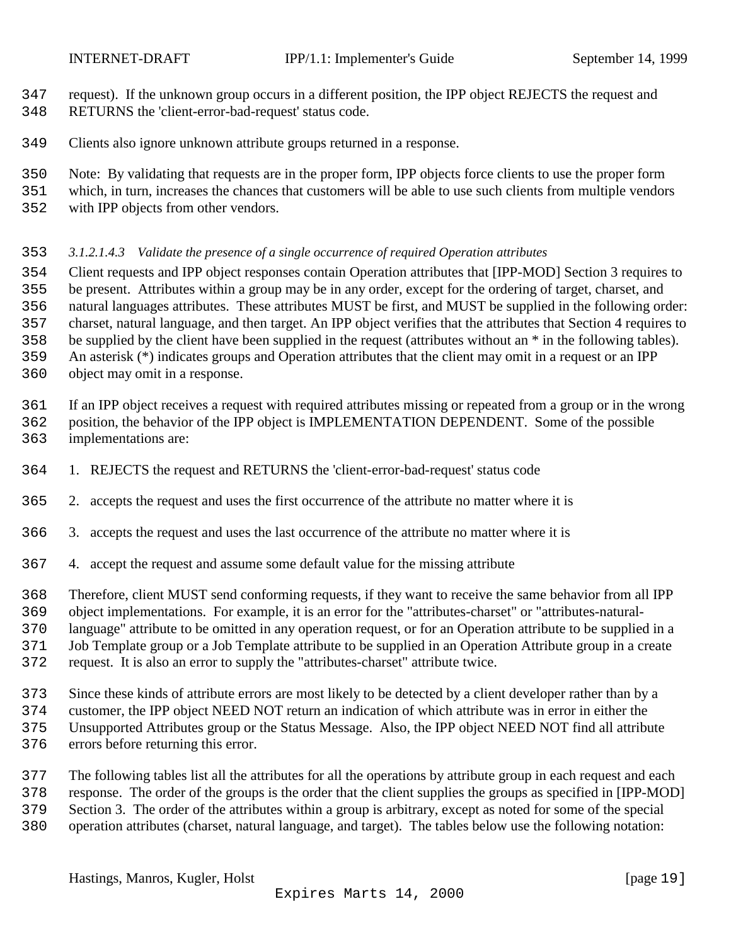<span id="page-18-0"></span>

- request). If the unknown group occurs in a different position, the IPP object REJECTS the request and
- RETURNS the 'client-error-bad-request' status code.
- Clients also ignore unknown attribute groups returned in a response.
- Note: By validating that requests are in the proper form, IPP objects force clients to use the proper form
- which, in turn, increases the chances that customers will be able to use such clients from multiple vendors
- with IPP objects from other vendors.

### *3.1.2.1.4.3 Validate the presence of a single occurrence of required Operation attributes*

- Client requests and IPP object responses contain Operation attributes that [IPP-MOD] Section 3 requires to be present. Attributes within a group may be in any order, except for the ordering of target, charset, and natural languages attributes. These attributes MUST be first, and MUST be supplied in the following order: charset, natural language, and then target. An IPP object verifies that the attributes that Section 4 requires to be supplied by the client have been supplied in the request (attributes without an \* in the following tables).
- An asterisk (\*) indicates groups and Operation attributes that the client may omit in a request or an IPP
- object may omit in a response.
- If an IPP object receives a request with required attributes missing or repeated from a group or in the wrong
- position, the behavior of the IPP object is IMPLEMENTATION DEPENDENT. Some of the possible implementations are:
- 1. REJECTS the request and RETURNS the 'client-error-bad-request' status code
- 2. accepts the request and uses the first occurrence of the attribute no matter where it is
- 3. accepts the request and uses the last occurrence of the attribute no matter where it is
- 4. accept the request and assume some default value for the missing attribute
- Therefore, client MUST send conforming requests, if they want to receive the same behavior from all IPP
- object implementations. For example, it is an error for the "attributes-charset" or "attributes-natural-
- language" attribute to be omitted in any operation request, or for an Operation attribute to be supplied in a
- Job Template group or a Job Template attribute to be supplied in an Operation Attribute group in a create
- request. It is also an error to supply the "attributes-charset" attribute twice.
- Since these kinds of attribute errors are most likely to be detected by a client developer rather than by a
- customer, the IPP object NEED NOT return an indication of which attribute was in error in either the
- Unsupported Attributes group or the Status Message. Also, the IPP object NEED NOT find all attribute
- errors before returning this error.
- The following tables list all the attributes for all the operations by attribute group in each request and each
- response. The order of the groups is the order that the client supplies the groups as specified in [IPP-MOD]
- Section 3. The order of the attributes within a group is arbitrary, except as noted for some of the special
- operation attributes (charset, natural language, and target). The tables below use the following notation: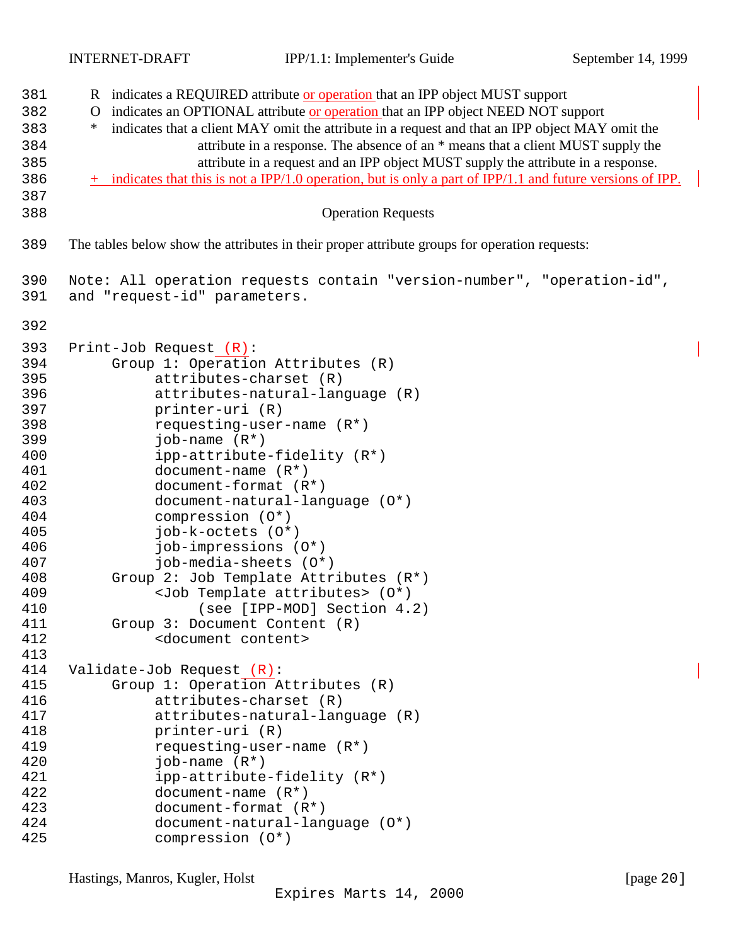| 381        | R indicates a REQUIRED attribute or operation that an IPP object MUST support                               |
|------------|-------------------------------------------------------------------------------------------------------------|
| 382        | indicates an OPTIONAL attribute or operation that an IPP object NEED NOT support<br>O                       |
| 383        | indicates that a client MAY omit the attribute in a request and that an IPP object MAY omit the<br>$\ast$   |
| 384        | attribute in a response. The absence of an * means that a client MUST supply the                            |
| 385        | attribute in a request and an IPP object MUST supply the attribute in a response.                           |
| 386        | + indicates that this is not a IPP/1.0 operation, but is only a part of IPP/1.1 and future versions of IPP. |
| 387        |                                                                                                             |
| 388        | <b>Operation Requests</b>                                                                                   |
|            |                                                                                                             |
| 389        | The tables below show the attributes in their proper attribute groups for operation requests:               |
| 390        | Note: All operation requests contain "version-number", "operation-id",                                      |
| 391        | and "request-id" parameters.                                                                                |
| 392        |                                                                                                             |
| 393        | Print-Job Request (R):                                                                                      |
| 394        | Group 1: Operation Attributes (R)                                                                           |
| 395        | attributes-charset (R)                                                                                      |
| 396        | attributes-natural-language (R)                                                                             |
| 397        | printer-uri (R)                                                                                             |
| 398        | requesting-user-name $(R^*)$                                                                                |
| 399        | job-name $(R^*)$                                                                                            |
| 400        | ipp-attribute-fidelity (R*)                                                                                 |
| 401        | document-name $(R^*)$                                                                                       |
| 402        | document-format (R*)                                                                                        |
| 403        | document-natural-language (0*)                                                                              |
| 404        | compression (0*)                                                                                            |
| 405        | job-k-octets (0*)                                                                                           |
| 406        | job-impressions (0*)<br>job-media-sheets (0*)                                                               |
| 407<br>408 | Group 2: Job Template Attributes (R*)                                                                       |
| 409        | <job attributes="" template=""> (0*)</job>                                                                  |
| 410        | (see [IPP-MOD] Section 4.2)                                                                                 |
| 411        | Group 3: Document Content (R)                                                                               |
| 412        | <document content=""></document>                                                                            |
| 413        |                                                                                                             |
| 414        | Validate-Job Request (R):                                                                                   |
| 415        | Group 1: Operation Attributes (R)                                                                           |
| 416        | attributes-charset (R)                                                                                      |
| 417        | attributes-natural-language (R)                                                                             |
| 418        | printer-uri (R)                                                                                             |
| 419        | requesting-user-name $(R^*)$                                                                                |
| 420        | job-name $(R^*)$                                                                                            |
| 421        | ipp-attribute-fidelity (R*)                                                                                 |
| 422        | $document-name (R*)$                                                                                        |
| 423        | document-format (R*)                                                                                        |
| 424        | document-natural-language (0*)                                                                              |
| 425        | compression (O*)                                                                                            |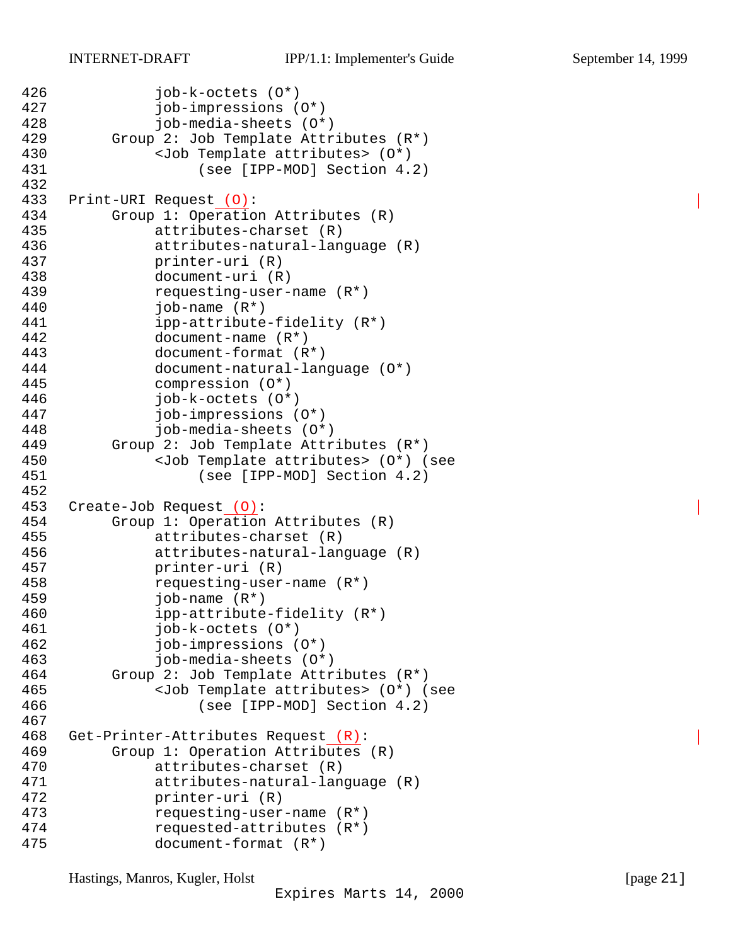```
426 job-k-octets (O*)
427 job-impressions (O*)
428 job-media-sheets (O*)
429 Group 2: Job Template Attributes (R*)
430 <Job Template attributes> (O*)
431 (see [IPP-MOD] Section 4.2)
432
433 Print-URI Request (O):
434 Group 1: Operation Attributes (R)
435 attributes-charset (R)
436 attributes-natural-language (R)
437 printer-uri (R)
438 document-uri (R)
439 requesting-user-name (R*)
440 job-name (R*)
441 ipp-attribute-fidelity (R*)
442 document-name (R*)
443 document-format (R*)
444 document-natural-language (O*)
445 compression (O*)
446 job-k-octets (O*)
447 job-impressions (O*)
448 job-media-sheets (O*)
449 Group 2: Job Template Attributes (R*)
450 <Job Template attributes> (O*) (see
451 (see [IPP-MOD] Section 4.2)
452
453 Create-Job Request (O):
454 Group 1: Operation Attributes (R)
455 attributes-charset (R)
456 attributes-natural-language (R)
457 printer-uri (R)
458 requesting-user-name (R*)
459 job-name (R*)
460 ipp-attribute-fidelity (R*)
461 job-k-octets (O*)
462 job-impressions (O*)
463 job-media-sheets (O*)
464 Group 2: Job Template Attributes (R*)
465 <Job Template attributes> (O*) (see
466 (see [IPP-MOD] Section 4.2)
467
468 Get-Printer-Attributes Request (R):
469 Group 1: Operation Attributes (R)
470 attributes-charset (R)
471 attributes-natural-language (R)
472 printer-uri (R)
473 requesting-user-name (R*)
474 requested-attributes (R*)
475 document-format (R*)
```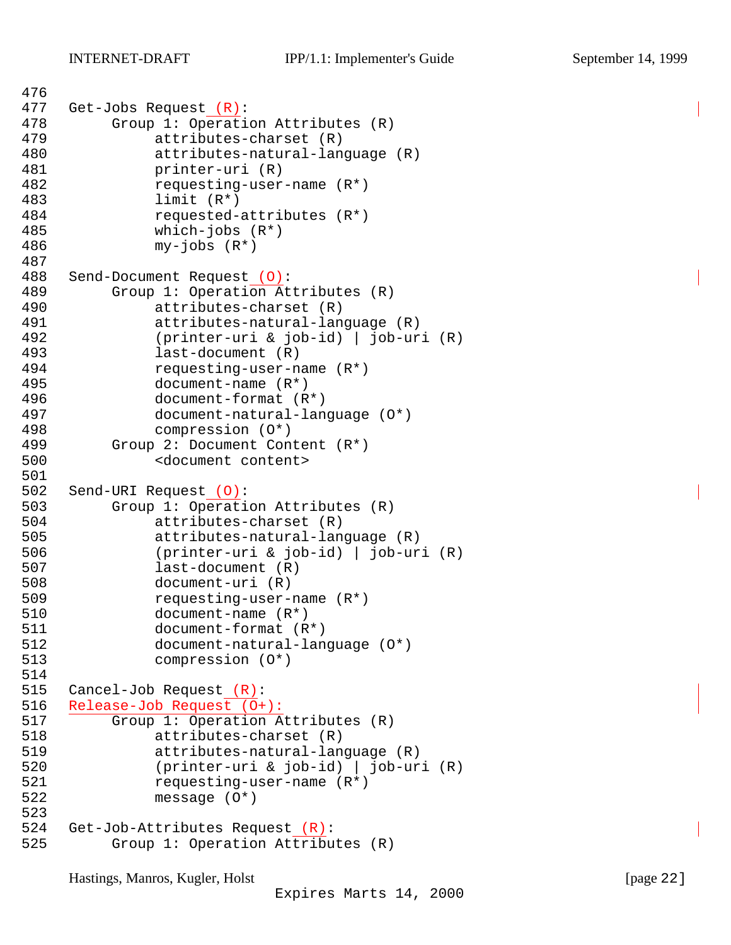```
476
477 Get-Jobs Request (R):
478 Group 1: Operation Attributes (R)
479 attributes-charset (R)
480 attributes-natural-language (R)
481 printer-uri (R)
482 requesting-user-name (R*)
483 limit (R*)
484 requested-attributes (R*)
485 which-jobs (R*)
486 my-jobs (R*)
487
488 Send-Document Request (O):
489 Group 1: Operation Attributes (R)
490 attributes-charset (R)
491 attributes-natural-language (R)
492 (printer-uri & job-id) | job-uri (R)
493 last-document (R)
494 requesting-user-name (R*)
495 document-name (R*)
496 document-format (R*)
497 document-natural-language (O*)
498 compression (O*)
499 Group 2: Document Content (R*)
500 <document content>
501
502 Send-URI Request (O):
503 Group 1: Operation Attributes (R)
504 attributes-charset (R)
505 attributes-natural-language (R)
506 (printer-uri & job-id) | job-uri (R)
507 last-document (R)
508 document-uri (R)
509 requesting-user-name (R*)
510 document-name (R*)
511 document-format (R*)
512 document-natural-language (O*)
513 compression (O*)
514
515 Cancel-Job Request (R):
516 Release-Job Request (O+):
517 Group 1: Operation Attributes (R)
518 attributes-charset (R)
519 attributes-natural-language (R)
520 (printer-uri & job-id) | job-uri (R)
521 requesting-user-name (R*)
522 message (O*)
523
524 Get-Job-Attributes Request (R):
525 Group 1: Operation Attributes (R)
```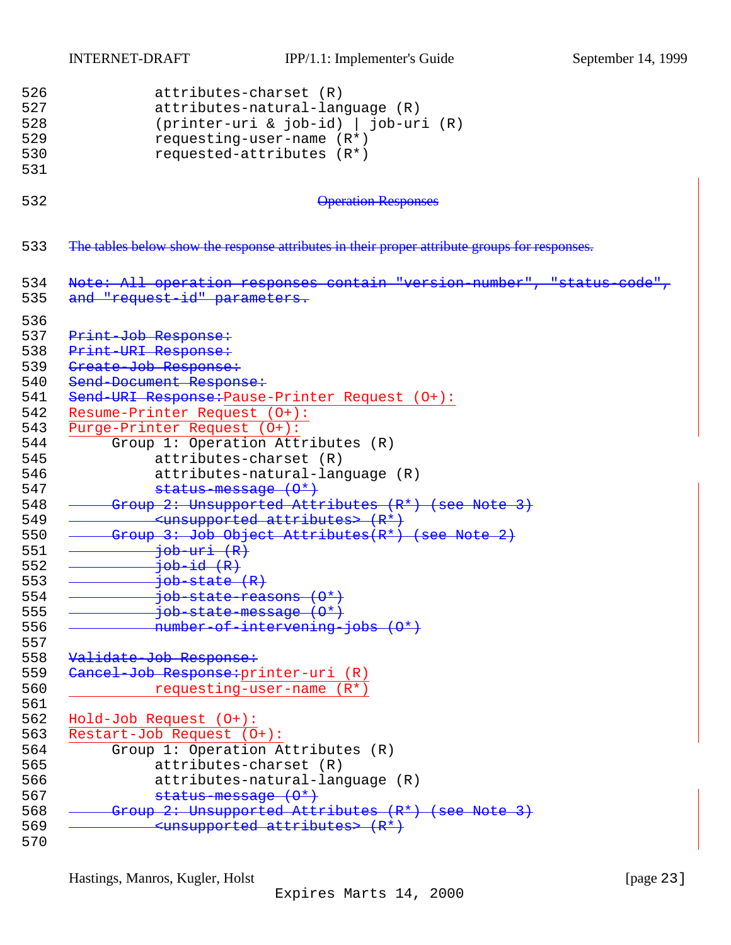INTERNET-DRAFT IPP/1.1: Implementer's Guide September 14, 1999

```
526 attributes-charset (R)
527 attributes-natural-language (R)
528 (printer-uri & job-id) | job-uri (R)
529 requesting-user-name (R*)
530 requested-attributes (R*)
531
532 Operation Responses
533 The tables below show the response attributes in their proper attribute groups for responses.
534 Note: All operation responses contain "version number", "status-code",
535 and "request-id" parameters.
536
537 Print-Job Response:
538 Print-URI Response:
539 Create Job Response:
540 Send-Document Response:
541 Send-URI Response: Pause-Printer Request (0+):
542 Resume-Printer Request (O+):
543 Purge-Printer Request (O+):
544 Group 1: Operation Attributes (R)
545 attributes-charset (R)
546 attributes-natural-language (R)
547 status-message (\theta^*)548 <del>- Group 2: Unsupported Attributes (R<sup>*</sup>) (see Note 3)</del>
549 - Consumeted attributes> (R*)
550 <del>- Group 3: Job Object Attributes(R<sup>*</sup>) (see Note 2)</del>
551 <del>- job uri (R)</del><br>552 <del>- job id (R)</del>
               552 job-id (R)
553 \longrightarrow job-state (R)554 <del>- job-state-reasons (0*)</del>
555 \longrightarrow job-state-message (0*)556 <del>- number-of-intervening-jobs (0*)</del>
557
558 Validate-Job Response:
559 Cancel Job Response: printer-uri (R)<br>560 requesting-user-name (R*)
         requesting-user-name (R*)
561
562 Hold-Job Request (O+):
563 Restart-Job Request (O+):
564 Group 1: Operation Attributes (R)
565 attributes-charset (R)
566 attributes-natural-language (R)
567 status-message (\theta^*)568 <del>- Group 2: Unsupported Attributes (R<sup>*</sup>) (see Note 3)</del>
569 - Commission Commission Cunsupported attributes> (R<sup>*</sup>)
```
570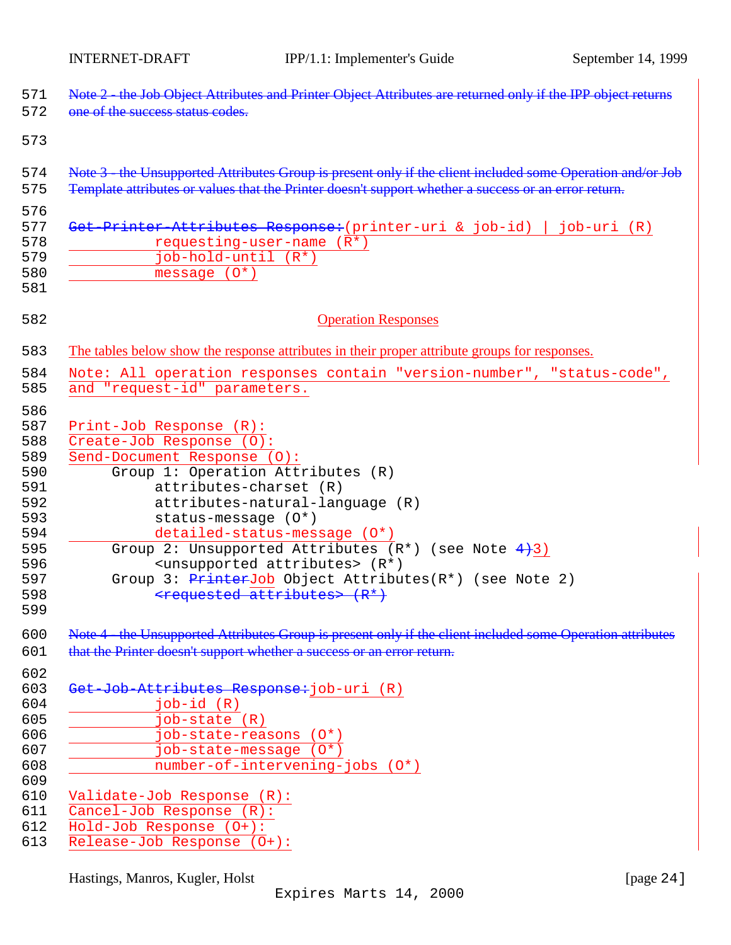| 571        | Note 2 - the Job Object Attributes and Printer Object Attributes are returned only if the IPP object returns |
|------------|--------------------------------------------------------------------------------------------------------------|
| 572        | one of the success status codes.                                                                             |
| 573        |                                                                                                              |
| 574        | Note 3 - the Unsupported Attributes Group is present only if the client included some Operation and/or Job   |
| 575        | Template attributes or values that the Printer doesn't support whether a success or an error return.         |
| 576        |                                                                                                              |
| 577        | Get-Printer-Attributes Response: (printer-uri & job-id)   job-uri (R)                                        |
| 578        | requesting-user-name $(\overline{R^*})$                                                                      |
| 579        | job-hold-until (R*)                                                                                          |
| 580        | message $(0^*)$                                                                                              |
| 581        |                                                                                                              |
| 582        | <b>Operation Responses</b>                                                                                   |
| 583        | The tables below show the response attributes in their proper attribute groups for responses.                |
| 584        | Note: All operation responses contain "version-number", "status-code",                                       |
| 585        | and "request-id" parameters.                                                                                 |
| 586        |                                                                                                              |
| 587        | Print-Job Response (R):                                                                                      |
| 588        | Create-Job Response $(0)$ :                                                                                  |
| 589        | Send-Document Response (0):                                                                                  |
| 590        | Group 1: Operation Attributes (R)                                                                            |
| 591        | attributes-charset (R)                                                                                       |
| 592        | attributes-natural-language (R)                                                                              |
| 593        | status-message (0*)                                                                                          |
| 594        | detailed-status-message (0*)                                                                                 |
| 595        | Group 2: Unsupported Attributes $(R^*)$ (see Note $4+3$ )                                                    |
| 596        | <unsupported attributes=""> (R*)</unsupported>                                                               |
| 597        | Group 3: $PrinterJob Object Attributes(R*)$ (see Note 2)                                                     |
| 598        | <requested attributes=""> (R*)</requested>                                                                   |
| 599        |                                                                                                              |
| 600        | Note 4 the Unsupported Attributes Group is present only if the client included some Operation attributes     |
| 601        | that the Printer doesn't support whether a success or an error return.                                       |
| 602        |                                                                                                              |
| 603        | Get-Job-Attributes Response: job-uri (R)                                                                     |
| 604        | $job-id(R)$                                                                                                  |
| 605        | job-state (R)                                                                                                |
| 606        | job-state-reasons (0*)                                                                                       |
| 607        | job-state-message (O*)                                                                                       |
| 608        | number-of-intervening-jobs (0*)                                                                              |
| 609        |                                                                                                              |
| 610<br>611 | Validate-Job Response (R):                                                                                   |
|            | Cancel-Job Response (R):                                                                                     |
| 612        | Hold-Job Response (O+):                                                                                      |
| 613        | Release-Job Response (O+):                                                                                   |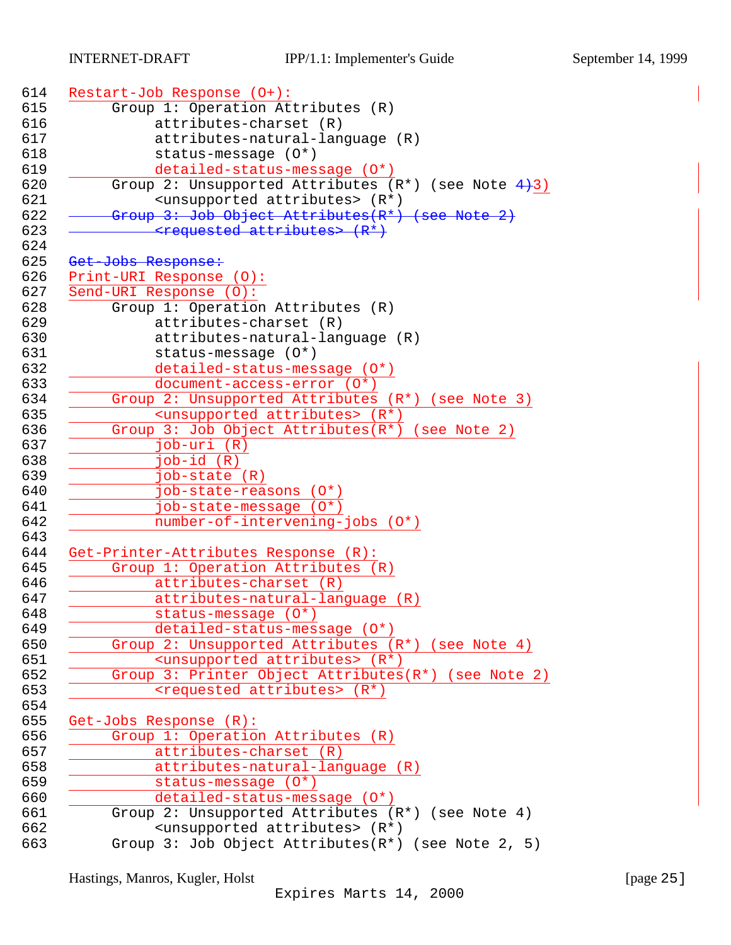| Restart-Job Response (O+):                                |
|-----------------------------------------------------------|
| Group 1: Operation Attributes (R)                         |
| attributes-charset (R)                                    |
| attributes-natural-language (R)                           |
| status-message (0*)                                       |
| detailed-status-message (0*)                              |
| Group 2: Unsupported Attributes $(R^*)$ (see Note $4+3$ ) |
| <unsupported attributes=""> (R*)</unsupported>            |
| Group 3: Job Object Attributes(R*) (see Note 2)           |
| <requested attributes=""> (R*)</requested>                |
| Get-Jobs Response:                                        |
| Print-URI Response (0):                                   |
| Send-URI Response (0):                                    |
| Group 1: Operation Attributes (R)                         |
| attributes-charset (R)                                    |
| attributes-natural-language (R)                           |
| $status-message (0*)$                                     |
| detailed-status-message (0*)                              |
| document-access-error (0*)                                |
| Group 2: Unsupported Attributes (R*) (see Note 3)         |
| <unsupported attributes=""> (R*)</unsupported>            |
| Group 3: Job Object Attributes $(R^*)$ (see Note 2)       |
| $job-uri(R)$                                              |
|                                                           |
| $job-id(R)$                                               |
| job-state (R)<br>job-state-reasons (0*)                   |
| job-state-message (0*)                                    |
| number-of-intervening-jobs (0*)                           |
|                                                           |
| Get-Printer-Attributes Response (R):                      |
| Group 1: Operation Attributes (R)                         |
| attributes-charset (R)                                    |
| attributes-natural-language (R)                           |
| status-message (O*)                                       |
| detailed-status-message (0*)                              |
| Group 2: Unsupported Attributes (R*) (see Note 4)         |
| <unsupported attributes=""> (R*)</unsupported>            |
| Group 3: Printer Object Attributes(R*) (see Note 2)       |
| <requested attributes=""> (R*)</requested>                |
|                                                           |
| Get-Jobs Response (R):                                    |
| Group 1: Operation Attributes (R)                         |
| attributes-charset (R)                                    |
| attributes-natural-language (R)                           |
| status-message (0*)                                       |
| detailed-status-message (0*)                              |
| Group 2: Unsupported Attributes (R*) (see Note 4)         |
| <unsupported attributes=""> (R*)</unsupported>            |
| Group 3: Job Object Attributes $(R^*)$ (see Note 2, 5)    |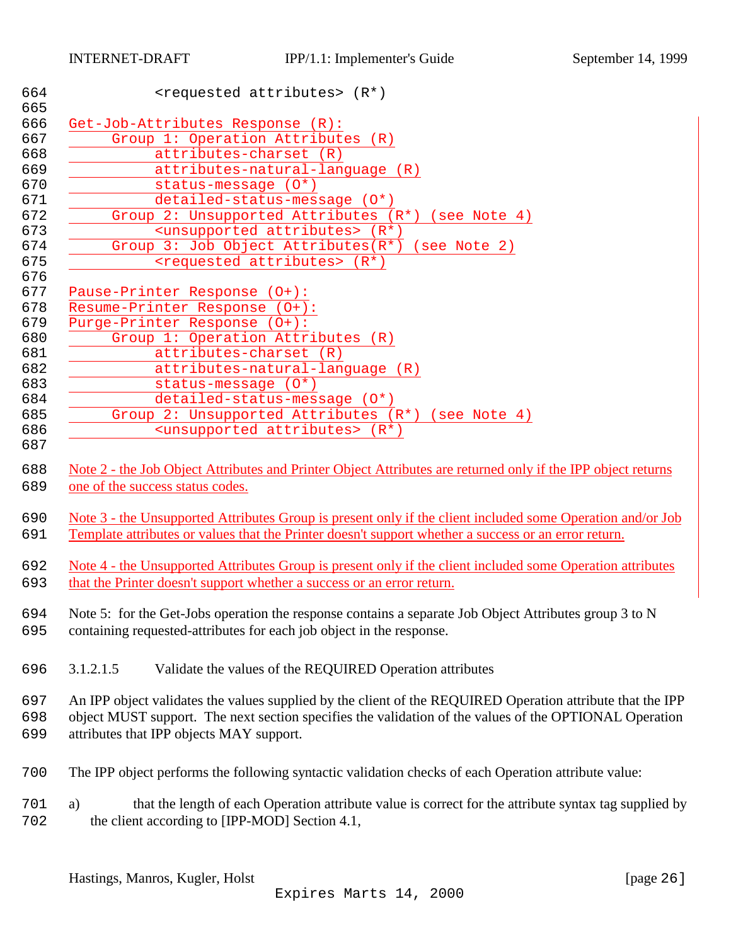<span id="page-25-0"></span>

| 664<br>665 | <requested attributes=""> (R*)</requested>                                                                   |
|------------|--------------------------------------------------------------------------------------------------------------|
| 666        | Get-Job-Attributes Response (R):                                                                             |
| 667        | Group 1: Operation Attributes (R)                                                                            |
| 668        | attributes-charset (R)                                                                                       |
| 669        | attributes-natural-language (R)                                                                              |
| 670        | status-message (0*)                                                                                          |
| 671        | detailed-status-message (0*)                                                                                 |
| 672        | Group 2: Unsupported Attributes (R*) (see Note 4)                                                            |
| 673        | <unsupported attributes=""> (R*)</unsupported>                                                               |
| 674        | Group 3: Job Object Attributes(R*) (see Note 2)                                                              |
| 675        | <requested attributes=""> (R*)</requested>                                                                   |
| 676        |                                                                                                              |
| 677        | Pause-Printer Response (0+):                                                                                 |
| 678        | Resume-Printer Response (0+):                                                                                |
| 679        | Purge-Printer Response (0+):                                                                                 |
| 680        | Group 1: Operation Attributes (R)                                                                            |
| 681        | attributes-charset (R)                                                                                       |
| 682        | attributes-natural-language (R)                                                                              |
| 683        | status-message $(0^*)$                                                                                       |
| 684        | detailed-status-message (0*)                                                                                 |
| 685        | Group 2: Unsupported Attributes (R*) (see Note 4)                                                            |
| 686        | <unsupported attributes=""> (R*)</unsupported>                                                               |
| 687        |                                                                                                              |
| 688        | Note 2 - the Job Object Attributes and Printer Object Attributes are returned only if the IPP object returns |
| 689        | one of the success status codes.                                                                             |
|            |                                                                                                              |
| 690        | Note 3 - the Unsupported Attributes Group is present only if the client included some Operation and/or Job   |
| 691        | Template attributes or values that the Printer doesn't support whether a success or an error return.         |
|            |                                                                                                              |
| 692        | Note 4 - the Unsupported Attributes Group is present only if the client included some Operation attributes   |
| 693        | that the Printer doesn't support whether a success or an error return.                                       |
|            |                                                                                                              |
| 694        | Note 5: for the Get-Jobs operation the response contains a separate Job Object Attributes group 3 to N       |
| 695        | containing requested-attributes for each job object in the response.                                         |
|            |                                                                                                              |
| 696        | 3.1.2.1.5<br>Validate the values of the REQUIRED Operation attributes                                        |
|            |                                                                                                              |
| 697        | An IPP object validates the values supplied by the client of the REQUIRED Operation attribute that the IPP   |
| 698        | object MUST support. The next section specifies the validation of the values of the OPTIONAL Operation       |
| 699        | attributes that IPP objects MAY support.                                                                     |
|            |                                                                                                              |
| 700        | The IPP object performs the following syntactic validation checks of each Operation attribute value:         |
|            |                                                                                                              |
| 701        | that the length of each Operation attribute value is correct for the attribute syntax tag supplied by<br>a)  |
| 702        | the client according to [IPP-MOD] Section 4.1,                                                               |
|            |                                                                                                              |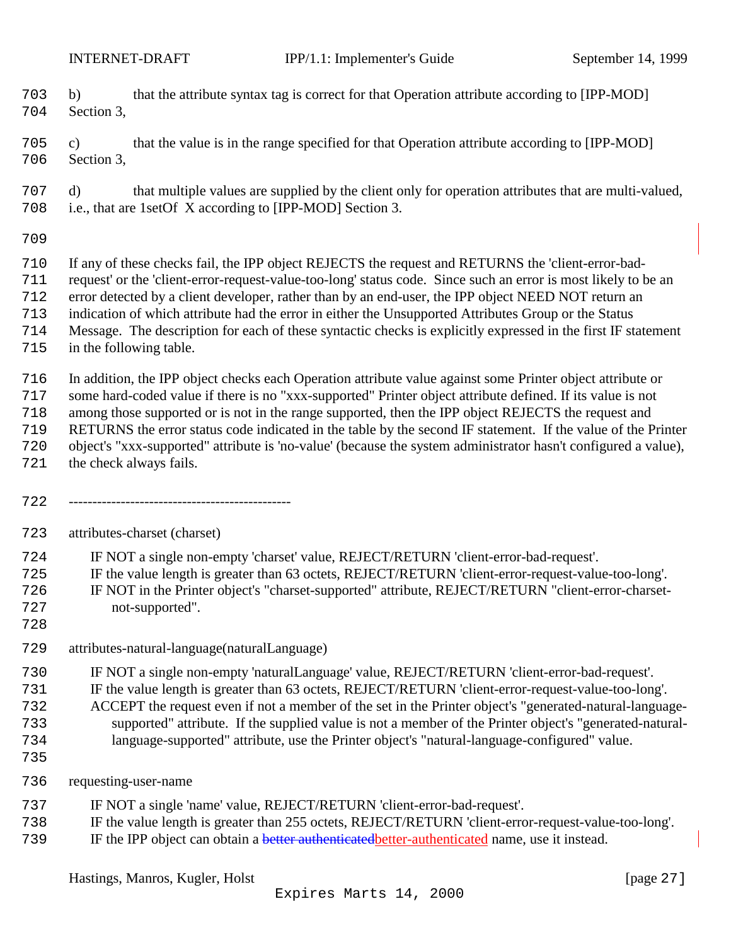b) that the attribute syntax tag is correct for that Operation attribute according to [IPP-MOD] Section 3,

 c) that the value is in the range specified for that Operation attribute according to [IPP-MOD] Section 3,

 d) that multiple values are supplied by the client only for operation attributes that are multi-valued, i.e., that are 1setOf X according to [IPP-MOD] Section 3.

 If any of these checks fail, the IPP object REJECTS the request and RETURNS the 'client-error-bad- request' or the 'client-error-request-value-too-long' status code. Since such an error is most likely to be an error detected by a client developer, rather than by an end-user, the IPP object NEED NOT return an indication of which attribute had the error in either the Unsupported Attributes Group or the Status Message. The description for each of these syntactic checks is explicitly expressed in the first IF statement

in the following table.

In addition, the IPP object checks each Operation attribute value against some Printer object attribute or

some hard-coded value if there is no "xxx-supported" Printer object attribute defined. If its value is not

among those supported or is not in the range supported, then the IPP object REJECTS the request and

RETURNS the error status code indicated in the table by the second IF statement. If the value of the Printer

object's "xxx-supported" attribute is 'no-value' (because the system administrator hasn't configured a value),

- the check always fails.
- -----------------------------------------------

attributes-charset (charset)

IF NOT a single non-empty 'charset' value, REJECT/RETURN 'client-error-bad-request'.

- IF the value length is greater than 63 octets, REJECT/RETURN 'client-error-request-value-too-long'.
- IF NOT in the Printer object's "charset-supported" attribute, REJECT/RETURN "client-error-charset-
- not-supported".
- attributes-natural-language(naturalLanguage)
- IF NOT a single non-empty 'naturalLanguage' value, REJECT/RETURN 'client-error-bad-request'.
- IF the value length is greater than 63 octets, REJECT/RETURN 'client-error-request-value-too-long'.
- ACCEPT the request even if not a member of the set in the Printer object's "generated-natural-language-
- supported" attribute. If the supplied value is not a member of the Printer object's "generated-natural-language-supported" attribute, use the Printer object's "natural-language-configured" value.
- 
- requesting-user-name
- IF NOT a single 'name' value, REJECT/RETURN 'client-error-bad-request'.
- IF the value length is greater than 255 octets, REJECT/RETURN 'client-error-request-value-too-long'.
- 739 IF the IPP object can obtain a **better authenticated better-authenticated** name, use it instead.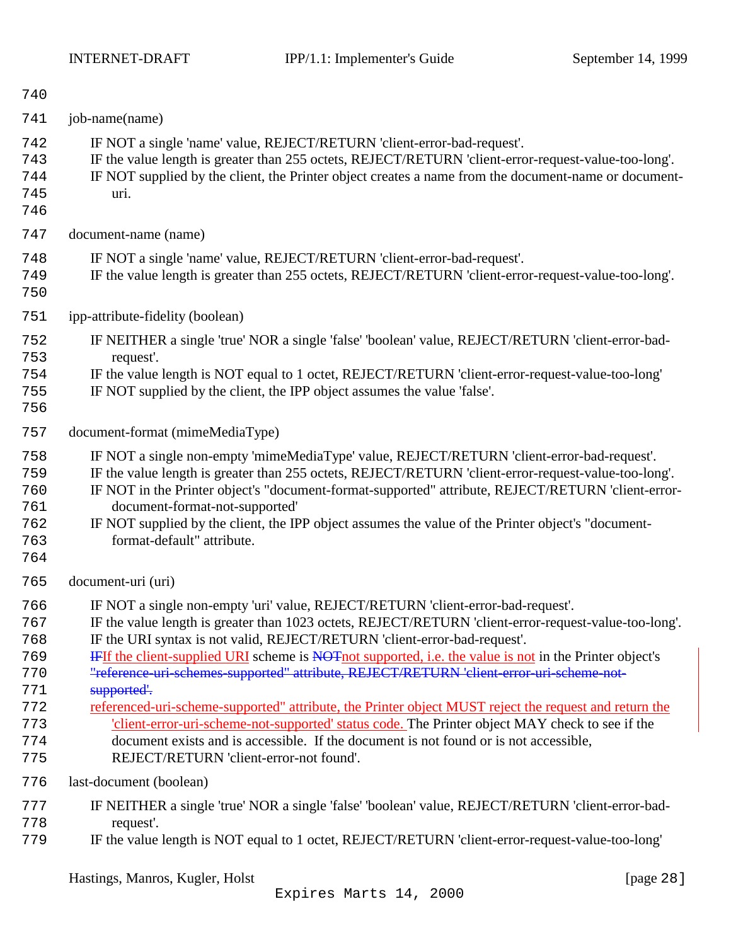| 740                                           |                                                                                                                                                                                                                                                                                                                                                                                                                                                                                                     |
|-----------------------------------------------|-----------------------------------------------------------------------------------------------------------------------------------------------------------------------------------------------------------------------------------------------------------------------------------------------------------------------------------------------------------------------------------------------------------------------------------------------------------------------------------------------------|
| 741                                           | job-name(name)                                                                                                                                                                                                                                                                                                                                                                                                                                                                                      |
| 742<br>743<br>744<br>745<br>746               | IF NOT a single 'name' value, REJECT/RETURN 'client-error-bad-request'.<br>IF the value length is greater than 255 octets, REJECT/RETURN 'client-error-request-value-too-long'.<br>IF NOT supplied by the client, the Printer object creates a name from the document-name or document-<br>uri.                                                                                                                                                                                                     |
| 747                                           | document-name (name)                                                                                                                                                                                                                                                                                                                                                                                                                                                                                |
| 748<br>749<br>750                             | IF NOT a single 'name' value, REJECT/RETURN 'client-error-bad-request'.<br>IF the value length is greater than 255 octets, REJECT/RETURN 'client-error-request-value-too-long'.                                                                                                                                                                                                                                                                                                                     |
| 751                                           | ipp-attribute-fidelity (boolean)                                                                                                                                                                                                                                                                                                                                                                                                                                                                    |
| 752<br>753<br>754<br>755<br>756               | IF NEITHER a single 'true' NOR a single 'false' 'boolean' value, REJECT/RETURN 'client-error-bad-<br>request'.<br>IF the value length is NOT equal to 1 octet, REJECT/RETURN 'client-error-request-value-too-long'<br>IF NOT supplied by the client, the IPP object assumes the value 'false'.                                                                                                                                                                                                      |
| 757                                           | document-format (mimeMediaType)                                                                                                                                                                                                                                                                                                                                                                                                                                                                     |
| 758<br>759<br>760<br>761<br>762<br>763<br>764 | IF NOT a single non-empty 'mimeMediaType' value, REJECT/RETURN 'client-error-bad-request'.<br>IF the value length is greater than 255 octets, REJECT/RETURN 'client-error-request-value-too-long'.<br>IF NOT in the Printer object's "document-format-supported" attribute, REJECT/RETURN 'client-error-<br>document-format-not-supported'<br>IF NOT supplied by the client, the IPP object assumes the value of the Printer object's "document-<br>format-default" attribute.                      |
| 765                                           | document-uri (uri)                                                                                                                                                                                                                                                                                                                                                                                                                                                                                  |
| 766<br>767<br>768<br>769<br>770<br>771        | IF NOT a single non-empty 'uri' value, REJECT/RETURN 'client-error-bad-request'.<br>IF the value length is greater than 1023 octets, REJECT/RETURN 'client-error-request-value-too-long'.<br>IF the URI syntax is not valid, REJECT/RETURN 'client-error-bad-request'.<br><b>IFIf the client-supplied URI</b> scheme is NOT not supported, i.e. the value is not in the Printer object's<br>"reference-uri-schemes-supported" attribute, REJECT/RETURN 'client-error-uri-scheme-not-<br>supported'. |
| 772<br>773<br>774<br>775                      | referenced-uri-scheme-supported" attribute, the Printer object MUST reject the request and return the<br>'client-error-uri-scheme-not-supported' status code. The Printer object MAY check to see if the<br>document exists and is accessible. If the document is not found or is not accessible,<br>REJECT/RETURN 'client-error-not found'.                                                                                                                                                        |
| 776                                           | last-document (boolean)                                                                                                                                                                                                                                                                                                                                                                                                                                                                             |
| 777<br>778<br>779                             | IF NEITHER a single 'true' NOR a single 'false' 'boolean' value, REJECT/RETURN 'client-error-bad-<br>request'.<br>IF the value length is NOT equal to 1 octet, REJECT/RETURN 'client-error-request-value-too-long'                                                                                                                                                                                                                                                                                  |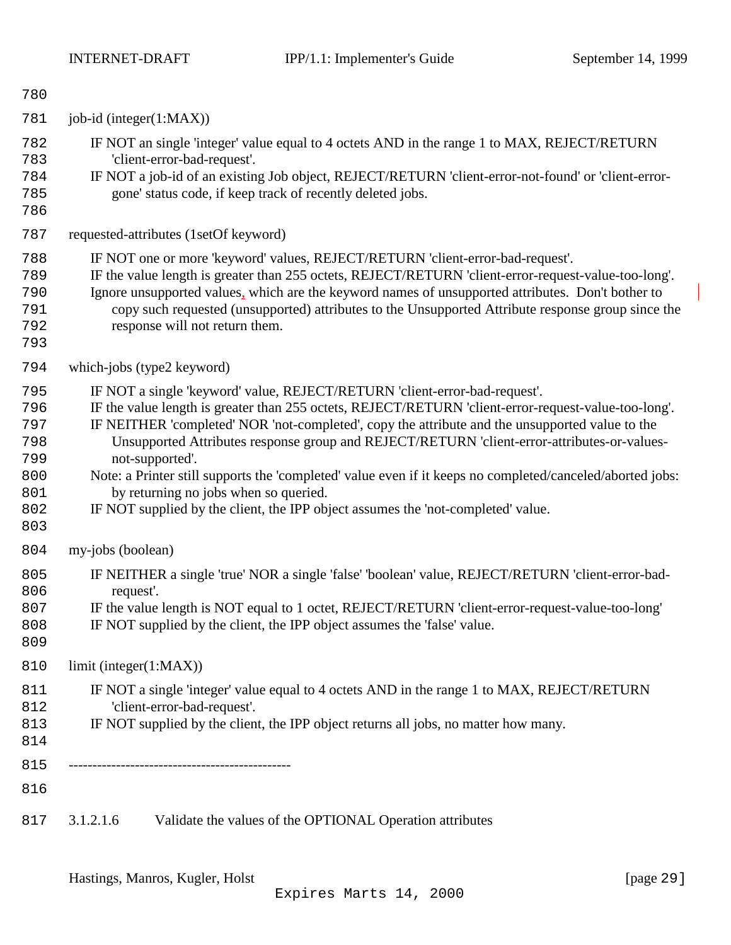<span id="page-28-0"></span>

| 780                                                         |                         |                                                                                                                                                                                                                                                                                                                                                                                                                                                                                                                                                                                                                                                   |
|-------------------------------------------------------------|-------------------------|---------------------------------------------------------------------------------------------------------------------------------------------------------------------------------------------------------------------------------------------------------------------------------------------------------------------------------------------------------------------------------------------------------------------------------------------------------------------------------------------------------------------------------------------------------------------------------------------------------------------------------------------------|
| 781                                                         | job-id (integer(1:MAX)) |                                                                                                                                                                                                                                                                                                                                                                                                                                                                                                                                                                                                                                                   |
| 782<br>783<br>784<br>785<br>786                             |                         | IF NOT an single 'integer' value equal to 4 octets AND in the range 1 to MAX, REJECT/RETURN<br>'client-error-bad-request'.<br>IF NOT a job-id of an existing Job object, REJECT/RETURN 'client-error-not-found' or 'client-error-<br>gone' status code, if keep track of recently deleted jobs.                                                                                                                                                                                                                                                                                                                                                   |
| 787                                                         |                         | requested-attributes (1setOf keyword)                                                                                                                                                                                                                                                                                                                                                                                                                                                                                                                                                                                                             |
| 788<br>789<br>790<br>791<br>792<br>793                      |                         | IF NOT one or more 'keyword' values, REJECT/RETURN 'client-error-bad-request'.<br>IF the value length is greater than 255 octets, REJECT/RETURN 'client-error-request-value-too-long'.<br>Ignore unsupported values, which are the keyword names of unsupported attributes. Don't bother to<br>copy such requested (unsupported) attributes to the Unsupported Attribute response group since the<br>response will not return them.                                                                                                                                                                                                               |
| 794                                                         |                         | which-jobs (type2 keyword)                                                                                                                                                                                                                                                                                                                                                                                                                                                                                                                                                                                                                        |
| 795<br>796<br>797<br>798<br>799<br>800<br>801<br>802<br>803 |                         | IF NOT a single 'keyword' value, REJECT/RETURN 'client-error-bad-request'.<br>IF the value length is greater than 255 octets, REJECT/RETURN 'client-error-request-value-too-long'.<br>IF NEITHER 'completed' NOR 'not-completed', copy the attribute and the unsupported value to the<br>Unsupported Attributes response group and REJECT/RETURN 'client-error-attributes-or-values-<br>not-supported'.<br>Note: a Printer still supports the 'completed' value even if it keeps no completed/canceled/aborted jobs:<br>by returning no jobs when so queried.<br>IF NOT supplied by the client, the IPP object assumes the 'not-completed' value. |
| 804                                                         | my-jobs (boolean)       |                                                                                                                                                                                                                                                                                                                                                                                                                                                                                                                                                                                                                                                   |
| 805<br>806<br>807<br>808<br>809                             | request'.               | IF NEITHER a single 'true' NOR a single 'false' 'boolean' value, REJECT/RETURN 'client-error-bad-<br>IF the value length is NOT equal to 1 octet, REJECT/RETURN 'client-error-request-value-too-long'<br>IF NOT supplied by the client, the IPP object assumes the 'false' value.                                                                                                                                                                                                                                                                                                                                                                 |
| 810                                                         | limit (integer(1:MAX))  |                                                                                                                                                                                                                                                                                                                                                                                                                                                                                                                                                                                                                                                   |
| 811<br>812<br>813<br>814                                    |                         | IF NOT a single 'integer' value equal to 4 octets AND in the range 1 to MAX, REJECT/RETURN<br>'client-error-bad-request'.<br>IF NOT supplied by the client, the IPP object returns all jobs, no matter how many.                                                                                                                                                                                                                                                                                                                                                                                                                                  |
| 815                                                         |                         |                                                                                                                                                                                                                                                                                                                                                                                                                                                                                                                                                                                                                                                   |
| 816                                                         |                         |                                                                                                                                                                                                                                                                                                                                                                                                                                                                                                                                                                                                                                                   |
| 817                                                         | 3.1.2.1.6               | Validate the values of the OPTIONAL Operation attributes                                                                                                                                                                                                                                                                                                                                                                                                                                                                                                                                                                                          |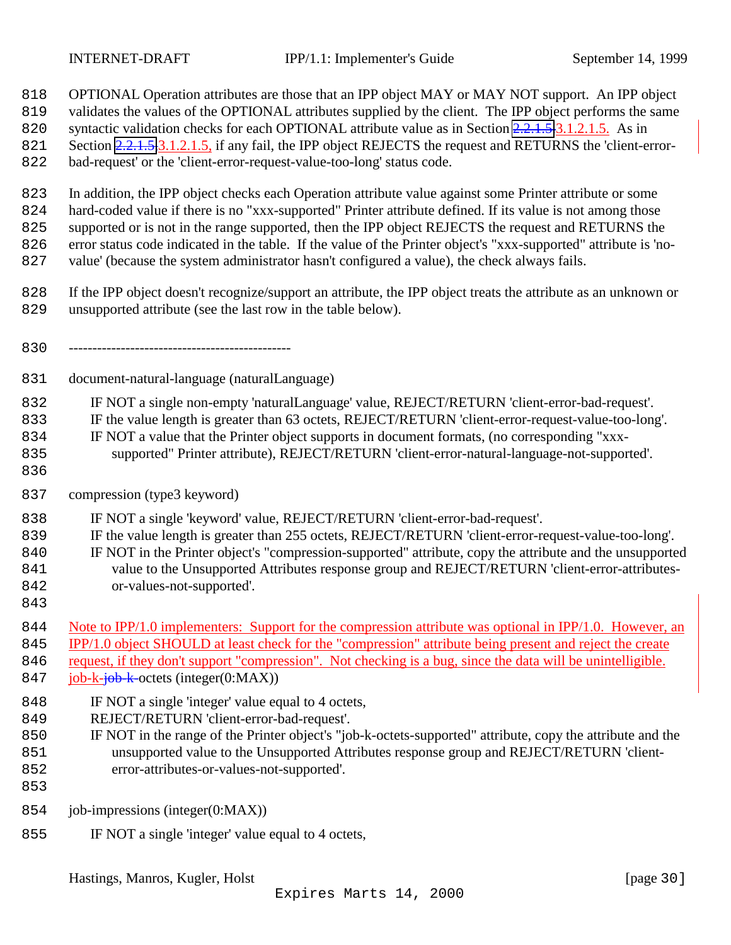- OPTIONAL Operation attributes are those that an IPP object MAY or MAY NOT support. An IPP object
- validates the values of the OPTIONAL attributes supplied by the client. The IPP object performs the same
- 820 syntactic validation checks for each OPTIONAL attribute value as in Section [2.2.1.5.](#page-25-0)3.1.2.1.5. As in
- 821 Section [2.2.1.5,](#page-25-0)3.1.2.1.5, if any fail, the IPP object REJECTS the request and RETURNS the 'client-error-
- bad-request' or the 'client-error-request-value-too-long' status code.
- In addition, the IPP object checks each Operation attribute value against some Printer attribute or some
- hard-coded value if there is no "xxx-supported" Printer attribute defined. If its value is not among those
- supported or is not in the range supported, then the IPP object REJECTS the request and RETURNS the
- error status code indicated in the table. If the value of the Printer object's "xxx-supported" attribute is 'no-
- value' (because the system administrator hasn't configured a value), the check always fails.
- If the IPP object doesn't recognize/support an attribute, the IPP object treats the attribute as an unknown or unsupported attribute (see the last row in the table below).
- -----------------------------------------------
- document-natural-language (naturalLanguage)
- IF NOT a single non-empty 'naturalLanguage' value, REJECT/RETURN 'client-error-bad-request'.
- IF the value length is greater than 63 octets, REJECT/RETURN 'client-error-request-value-too-long'.
- IF NOT a value that the Printer object supports in document formats, (no corresponding "xxx-
- supported" Printer attribute), REJECT/RETURN 'client-error-natural-language-not-supported'.
- 
- compression (type3 keyword)
- IF NOT a single 'keyword' value, REJECT/RETURN 'client-error-bad-request'.
- IF the value length is greater than 255 octets, REJECT/RETURN 'client-error-request-value-too-long'.
- IF NOT in the Printer object's "compression-supported" attribute, copy the attribute and the unsupported 841 value to the Unsupported Attributes response group and REJECT/RETURN 'client-error-attributes-or-values-not-supported'.
- 
- 844 Note to IPP/1.0 implementers: Support for the compression attribute was optional in IPP/1.0. However, an
- IPP/1.0 object SHOULD at least check for the "compression" attribute being present and reject the create
- 846 request, if they don't support "compression". Not checking is a bug, since the data will be unintelligible.
- 847 job-k-job-k-octets (integer(0:MAX))
- 848 IF NOT a single 'integer' value equal to 4 octets,
- REJECT/RETURN 'client-error-bad-request'.
- IF NOT in the range of the Printer object's "job-k-octets-supported" attribute, copy the attribute and the unsupported value to the Unsupported Attributes response group and REJECT/RETURN 'client-error-attributes-or-values-not-supported'.
- 
- job-impressions (integer(0:MAX))
- IF NOT a single 'integer' value equal to 4 octets,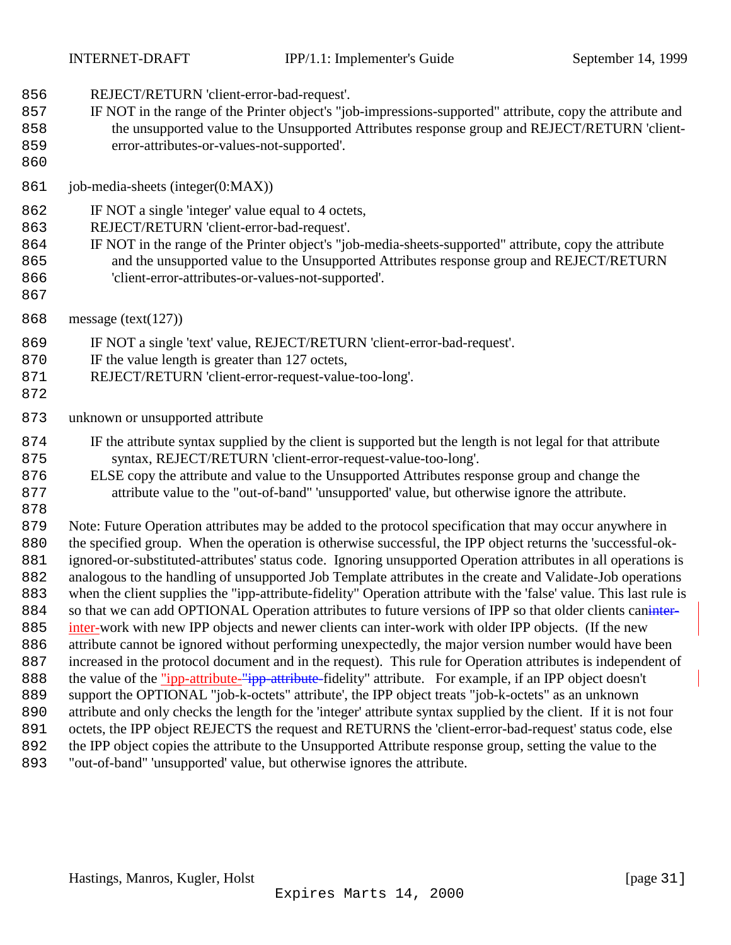- REJECT/RETURN 'client-error-bad-request'.
- IF NOT in the range of the Printer object's "job-impressions-supported" attribute, copy the attribute and the unsupported value to the Unsupported Attributes response group and REJECT/RETURN 'client-
- error-attributes-or-values-not-supported'.
- 

job-media-sheets (integer(0:MAX))

- IF NOT a single 'integer' value equal to 4 octets,
- REJECT/RETURN 'client-error-bad-request'.
- IF NOT in the range of the Printer object's "job-media-sheets-supported" attribute, copy the attribute and the unsupported value to the Unsupported Attributes response group and REJECT/RETURN 'client-error-attributes-or-values-not-supported'.
- 
- message (text(127))
- IF NOT a single 'text' value, REJECT/RETURN 'client-error-bad-request'.
- 870 IF the value length is greater than 127 octets,
- REJECT/RETURN 'client-error-request-value-too-long'.
- 
- unknown or unsupported attribute
- IF the attribute syntax supplied by the client is supported but the length is not legal for that attribute syntax, REJECT/RETURN 'client-error-request-value-too-long'.
- ELSE copy the attribute and value to the Unsupported Attributes response group and change the attribute value to the "out-of-band" 'unsupported' value, but otherwise ignore the attribute.
- 

 Note: Future Operation attributes may be added to the protocol specification that may occur anywhere in 880 the specified group. When the operation is otherwise successful, the IPP object returns the 'successful-ok- ignored-or-substituted-attributes' status code. Ignoring unsupported Operation attributes in all operations is analogous to the handling of unsupported Job Template attributes in the create and Validate-Job operations when the client supplies the "ipp-attribute-fidelity" Operation attribute with the 'false' value. This last rule is 884 so that we can add OPTIONAL Operation attributes to future versions of IPP so that older clients caninity- inter-work with new IPP objects and newer clients can inter-work with older IPP objects. (If the new attribute cannot be ignored without performing unexpectedly, the major version number would have been increased in the protocol document and in the request). This rule for Operation attributes is independent of 888 the value of the "ipp-attribute-"ipp-attribute-fidelity" attribute. For example, if an IPP object doesn't support the OPTIONAL "job-k-octets" attribute', the IPP object treats "job-k-octets" as an unknown attribute and only checks the length for the 'integer' attribute syntax supplied by the client. If it is not four octets, the IPP object REJECTS the request and RETURNS the 'client-error-bad-request' status code, else the IPP object copies the attribute to the Unsupported Attribute response group, setting the value to the "out-of-band" 'unsupported' value, but otherwise ignores the attribute.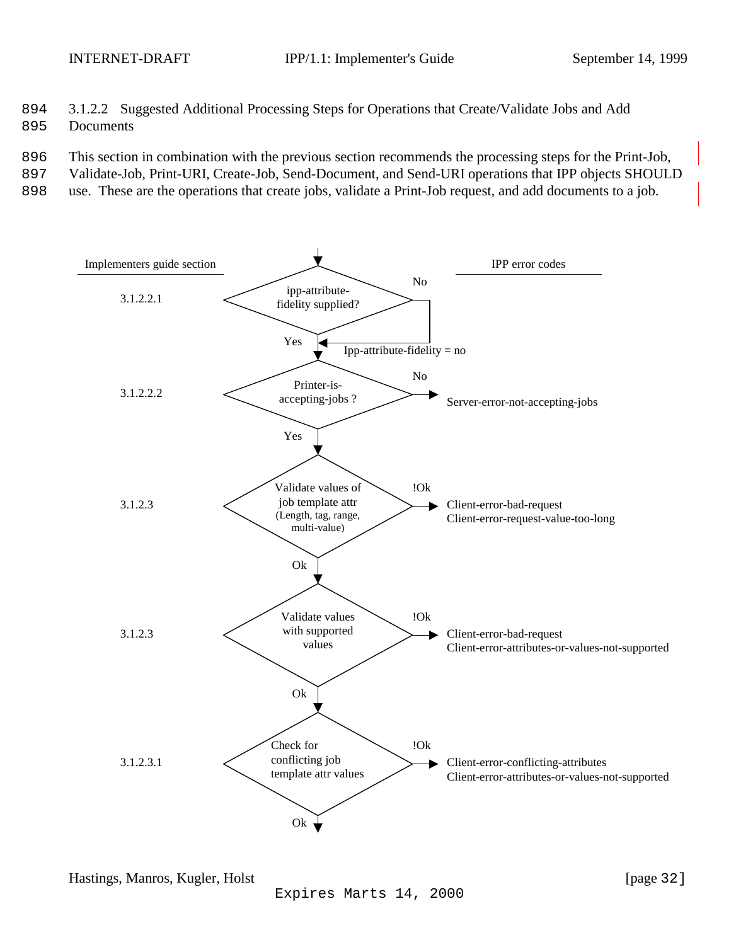- <span id="page-31-0"></span>894 3.1.2.2 Suggested Additional Processing Steps for Operations that Create/Validate Jobs and Add
- 895 Documents
- 896 This section in combination with the previous section recommends the processing steps for the Print-Job,
- 897 Validate-Job, Print-URI, Create-Job, Send-Document, and Send-URI operations that IPP objects SHOULD
- 898 use. These are the operations that create jobs, validate a Print-Job request, and add documents to a job.

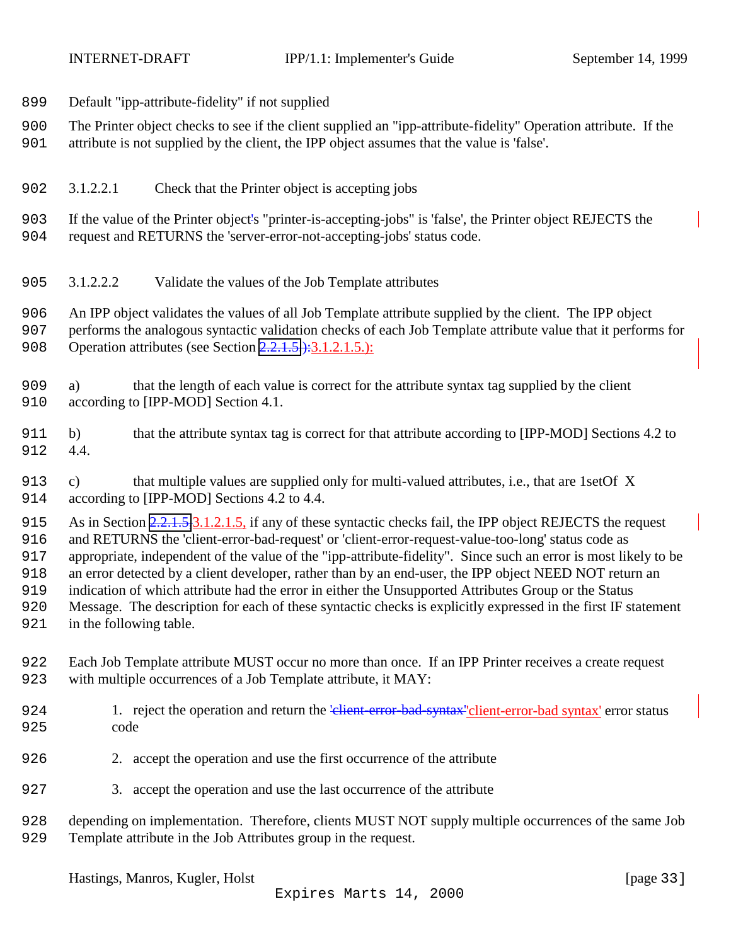<span id="page-32-0"></span>

- Default "ipp-attribute-fidelity" if not supplied
- The Printer object checks to see if the client supplied an "ipp-attribute-fidelity" Operation attribute. If the
- attribute is not supplied by the client, the IPP object assumes that the value is 'false'.
- 3.1.2.2.1 Check that the Printer object is accepting jobs
- If the value of the Printer object's "printer-is-accepting-jobs" is 'false', the Printer object REJECTS the request and RETURNS the 'server-error-not-accepting-jobs' status code.
- 3.1.2.2.2 Validate the values of the Job Template attributes
- An IPP object validates the values of all Job Template attribute supplied by the client. The IPP object
- performs the analogous syntactic validation checks of each Job Template attribute value that it performs for 908 Operation attributes (see Section [2.2.1.5.](#page-25-0)): 3.1.2.1.5.):
- a) that the length of each value is correct for the attribute syntax tag supplied by the client 910 according to [IPP-MOD] Section 4.1.
- b) that the attribute syntax tag is correct for that attribute according to [IPP-MOD] Sections 4.2 to 4.4.
- c) that multiple values are supplied only for multi-valued attributes, i.e., that are 1setOf X according to [IPP-MOD] Sections 4.2 to 4.4.
- 915 As in Section [2.2.1.5,](#page-25-0)3.1.2.1.5, if any of these syntactic checks fail, the IPP object REJECTS the request and RETURNS the 'client-error-bad-request' or 'client-error-request-value-too-long' status code as appropriate, independent of the value of the "ipp-attribute-fidelity". Since such an error is most likely to be an error detected by a client developer, rather than by an end-user, the IPP object NEED NOT return an indication of which attribute had the error in either the Unsupported Attributes Group or the Status
- Message. The description for each of these syntactic checks is explicitly expressed in the first IF statement in the following table.
- Each Job Template attribute MUST occur no more than once. If an IPP Printer receives a create request
- with multiple occurrences of a Job Template attribute, it MAY:
- 924 1. reject the operation and return the 'client-error-bad-syntax''client-error-bad syntax' error status code
- 2. accept the operation and use the first occurrence of the attribute
- 3. accept the operation and use the last occurrence of the attribute
- depending on implementation. Therefore, clients MUST NOT supply multiple occurrences of the same Job Template attribute in the Job Attributes group in the request.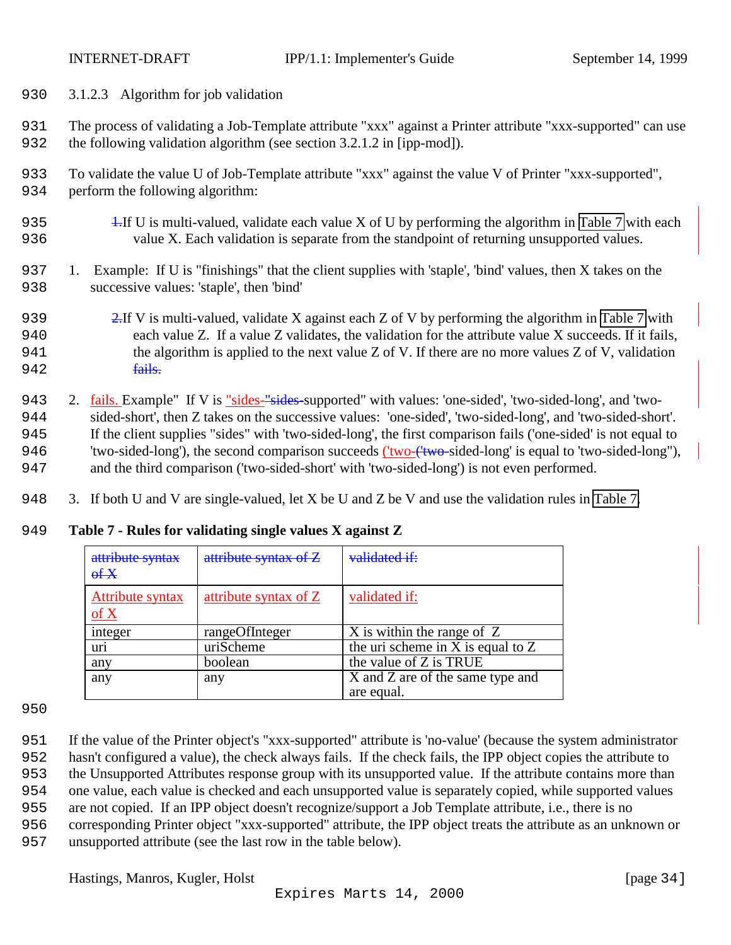<span id="page-33-0"></span>

- 930 3.1.2.3 Algorithm for job validation
- 931 The process of validating a Job-Template attribute "xxx" against a Printer attribute "xxx-supported" can use 932 the following validation algorithm (see section 3.2.1.2 in [ipp-mod]).
- 933 To validate the value U of Job-Template attribute "xxx" against the value V of Printer "xxx-supported", 934 perform the following algorithm:
- 935 1.If U is multi-valued, validate each value X of U by performing the algorithm in [Table 7](#page-44-0) with each 936 value X. Each validation is separate from the standpoint of returning unsupported values.
- 937 1. Example: If U is "finishings" that the client supplies with 'staple', 'bind' values, then X takes on the 938 successive values: 'staple', then 'bind'
- 939 2.If V is multi-valued, validate X against each Z of V by performing the algorithm in [Table 7](#page-44-0) with 940 each value Z. If a value Z validates, the validation for the attribute value X succeeds. If it fails, 941 the algorithm is applied to the next value Z of V. If there are no more values Z of V, validation 942 fails.
- 943 2. fails. Example" If V is "sides-"sides-supported" with values: 'one-sided', 'two-sided-long', and 'two-944 sided-short', then Z takes on the successive values: 'one-sided', 'two-sided-long', and 'two-sided-short'. 945 If the client supplies "sides" with 'two-sided-long', the first comparison fails ('one-sided' is not equal to 946 'two-sided-long'), the second comparison succeeds ('two-('two-sided-long' is equal to 'two-sided-long''), 947 and the third comparison ('two-sided-short' with 'two-sided-long') is not even performed.
- 948 3. If both U and V are single-valued, let X be U and Z be V and use the validation rules in [Table 7.](#page-44-0)

| attribute syntax<br>$\overline{H}$                      | attribute syntax of Z | validated if:                                  |
|---------------------------------------------------------|-----------------------|------------------------------------------------|
| <b>Attribute syntax</b><br>$\underline{\mathrm{of}}\ X$ | attribute syntax of Z | validated if:                                  |
| integer                                                 | rangeOfInteger        | X is within the range of Z                     |
| uri                                                     | uriScheme             | the uri scheme in $X$ is equal to $Z$          |
| any                                                     | boolean               | the value of Z is TRUE                         |
| any                                                     | any                   | X and Z are of the same type and<br>are equal. |

### 949 **Table 7 - Rules for validating single values X against Z**

950

- 951 If the value of the Printer object's "xxx-supported" attribute is 'no-value' (because the system administrator 952 hasn't configured a value), the check always fails. If the check fails, the IPP object copies the attribute to 953 the Unsupported Attributes response group with its unsupported value. If the attribute contains more than 954 one value, each value is checked and each unsupported value is separately copied, while supported values 955 are not copied. If an IPP object doesn't recognize/support a Job Template attribute, i.e., there is no 956 corresponding Printer object "xxx-supported" attribute, the IPP object treats the attribute as an unknown or
- 957 unsupported attribute (see the last row in the table below).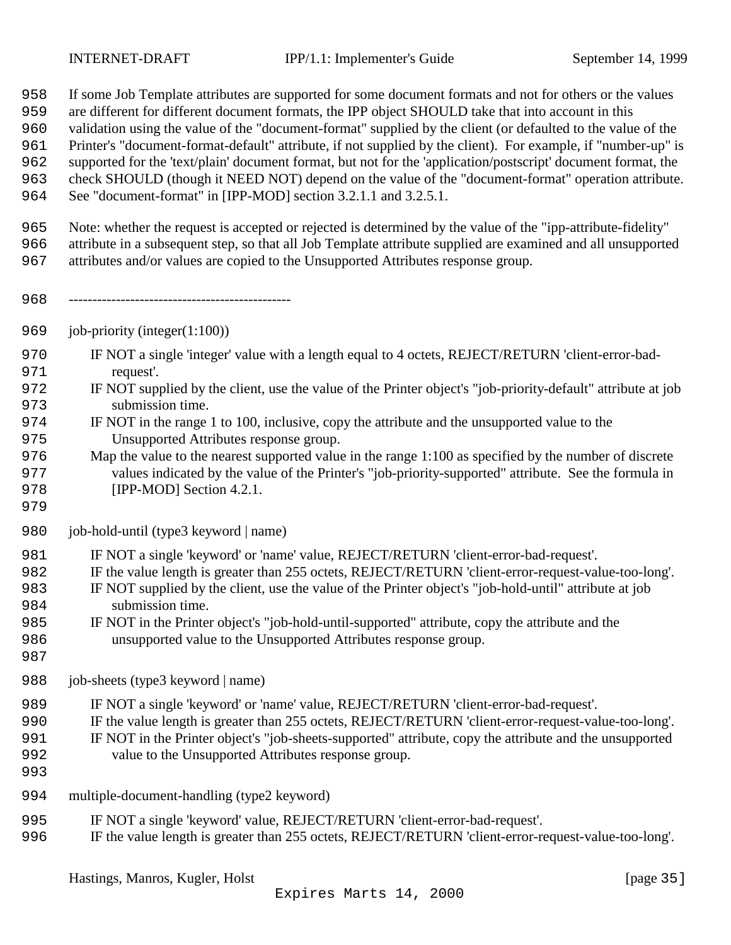- If some Job Template attributes are supported for some document formats and not for others or the values
- are different for different document formats, the IPP object SHOULD take that into account in this
- validation using the value of the "document-format" supplied by the client (or defaulted to the value of the
- Printer's "document-format-default" attribute, if not supplied by the client). For example, if "number-up" is
- supported for the 'text/plain' document format, but not for the 'application/postscript' document format, the
- check SHOULD (though it NEED NOT) depend on the value of the "document-format" operation attribute.
- See "document-format" in [IPP-MOD] section 3.2.1.1 and 3.2.5.1.
- Note: whether the request is accepted or rejected is determined by the value of the "ipp-attribute-fidelity"
- attribute in a subsequent step, so that all Job Template attribute supplied are examined and all unsupported
- attributes and/or values are copied to the Unsupported Attributes response group.
- -----------------------------------------------
- job-priority (integer(1:100))
- IF NOT a single 'integer' value with a length equal to 4 octets, REJECT/RETURN 'client-error-bad-request'.
- IF NOT supplied by the client, use the value of the Printer object's "job-priority-default" attribute at job submission time.
- IF NOT in the range 1 to 100, inclusive, copy the attribute and the unsupported value to the Unsupported Attributes response group.
- Map the value to the nearest supported value in the range 1:100 as specified by the number of discrete values indicated by the value of the Printer's "job-priority-supported" attribute. See the formula in **[IPP-MOD]** Section 4.2.1.
- 
- job-hold-until (type3 keyword | name)
- IF NOT a single 'keyword' or 'name' value, REJECT/RETURN 'client-error-bad-request'.
- IF the value length is greater than 255 octets, REJECT/RETURN 'client-error-request-value-too-long'.
- IF NOT supplied by the client, use the value of the Printer object's "job-hold-until" attribute at job submission time.
- IF NOT in the Printer object's "job-hold-until-supported" attribute, copy the attribute and the unsupported value to the Unsupported Attributes response group.
- 
- 988 job-sheets (type3 keyword | name)
- IF NOT a single 'keyword' or 'name' value, REJECT/RETURN 'client-error-bad-request'.
- IF the value length is greater than 255 octets, REJECT/RETURN 'client-error-request-value-too-long'.
- IF NOT in the Printer object's "job-sheets-supported" attribute, copy the attribute and the unsupported
- value to the Unsupported Attributes response group.
- 
- multiple-document-handling (type2 keyword)
- IF NOT a single 'keyword' value, REJECT/RETURN 'client-error-bad-request'.
- IF the value length is greater than 255 octets, REJECT/RETURN 'client-error-request-value-too-long'.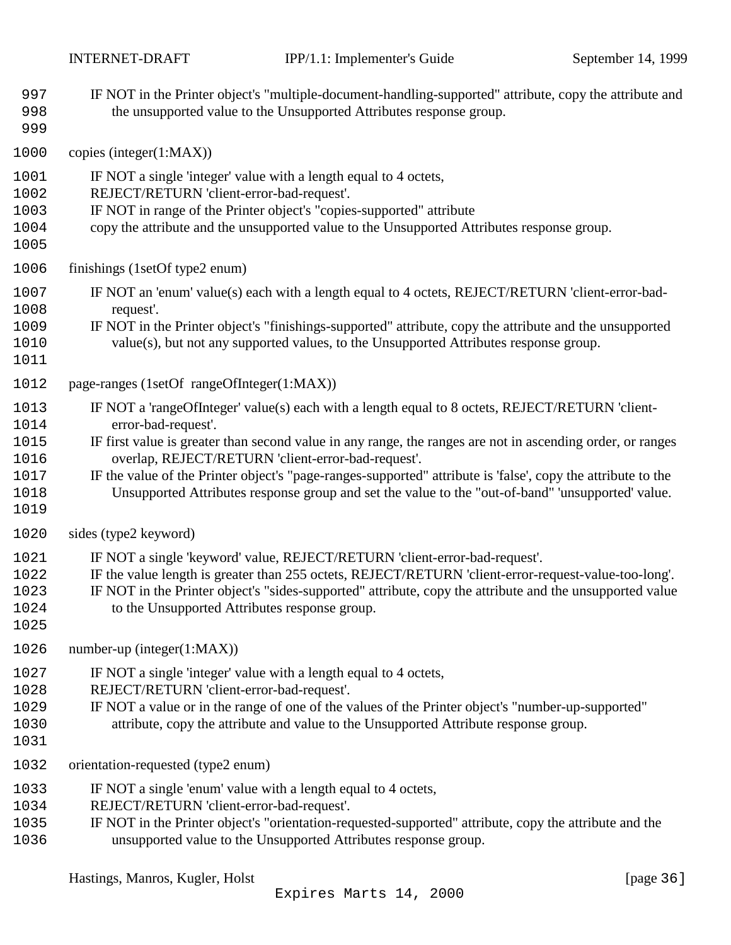| 997<br>998<br>999                                    | IF NOT in the Printer object's "multiple-document-handling-supported" attribute, copy the attribute and<br>the unsupported value to the Unsupported Attributes response group.                                                                                                                                                                                                                                                                                                                                  |
|------------------------------------------------------|-----------------------------------------------------------------------------------------------------------------------------------------------------------------------------------------------------------------------------------------------------------------------------------------------------------------------------------------------------------------------------------------------------------------------------------------------------------------------------------------------------------------|
| 1000                                                 | copies (integer $(1:MAX)$ )                                                                                                                                                                                                                                                                                                                                                                                                                                                                                     |
| 1001<br>1002<br>1003<br>1004<br>1005                 | IF NOT a single 'integer' value with a length equal to 4 octets,<br>REJECT/RETURN 'client-error-bad-request'.<br>IF NOT in range of the Printer object's "copies-supported" attribute<br>copy the attribute and the unsupported value to the Unsupported Attributes response group.                                                                                                                                                                                                                             |
| 1006                                                 | finishings (1setOf type2 enum)                                                                                                                                                                                                                                                                                                                                                                                                                                                                                  |
| 1007<br>1008<br>1009<br>1010<br>1011                 | IF NOT an 'enum' value(s) each with a length equal to 4 octets, REJECT/RETURN 'client-error-bad-<br>request'.<br>IF NOT in the Printer object's "finishings-supported" attribute, copy the attribute and the unsupported<br>value(s), but not any supported values, to the Unsupported Attributes response group.                                                                                                                                                                                               |
| 1012                                                 | page-ranges (1setOf rangeOfInteger(1:MAX))                                                                                                                                                                                                                                                                                                                                                                                                                                                                      |
| 1013<br>1014<br>1015<br>1016<br>1017<br>1018<br>1019 | IF NOT a 'rangeOfInteger' value(s) each with a length equal to 8 octets, REJECT/RETURN 'client-<br>error-bad-request'.<br>IF first value is greater than second value in any range, the ranges are not in ascending order, or ranges<br>overlap, REJECT/RETURN 'client-error-bad-request'.<br>IF the value of the Printer object's "page-ranges-supported" attribute is 'false', copy the attribute to the<br>Unsupported Attributes response group and set the value to the "out-of-band" 'unsupported' value. |
| 1020                                                 | sides (type2 keyword)                                                                                                                                                                                                                                                                                                                                                                                                                                                                                           |
| 1021<br>1022<br>1023<br>1024<br>1025                 | IF NOT a single 'keyword' value, REJECT/RETURN 'client-error-bad-request'.<br>IF the value length is greater than 255 octets, REJECT/RETURN 'client-error-request-value-too-long'.<br>IF NOT in the Printer object's "sides-supported" attribute, copy the attribute and the unsupported value<br>to the Unsupported Attributes response group.                                                                                                                                                                 |
| 1026                                                 | number-up (integer $(1:MAX)$ )                                                                                                                                                                                                                                                                                                                                                                                                                                                                                  |
| 1027<br>1028<br>1029<br>1030<br>1031                 | IF NOT a single 'integer' value with a length equal to 4 octets,<br>REJECT/RETURN 'client-error-bad-request'.<br>IF NOT a value or in the range of one of the values of the Printer object's "number-up-supported"<br>attribute, copy the attribute and value to the Unsupported Attribute response group.                                                                                                                                                                                                      |
| 1032                                                 | orientation-requested (type2 enum)                                                                                                                                                                                                                                                                                                                                                                                                                                                                              |
| 1033<br>1034<br>1035<br>1036                         | IF NOT a single 'enum' value with a length equal to 4 octets,<br>REJECT/RETURN 'client-error-bad-request'.<br>IF NOT in the Printer object's "orientation-requested-supported" attribute, copy the attribute and the<br>unsupported value to the Unsupported Attributes response group.                                                                                                                                                                                                                         |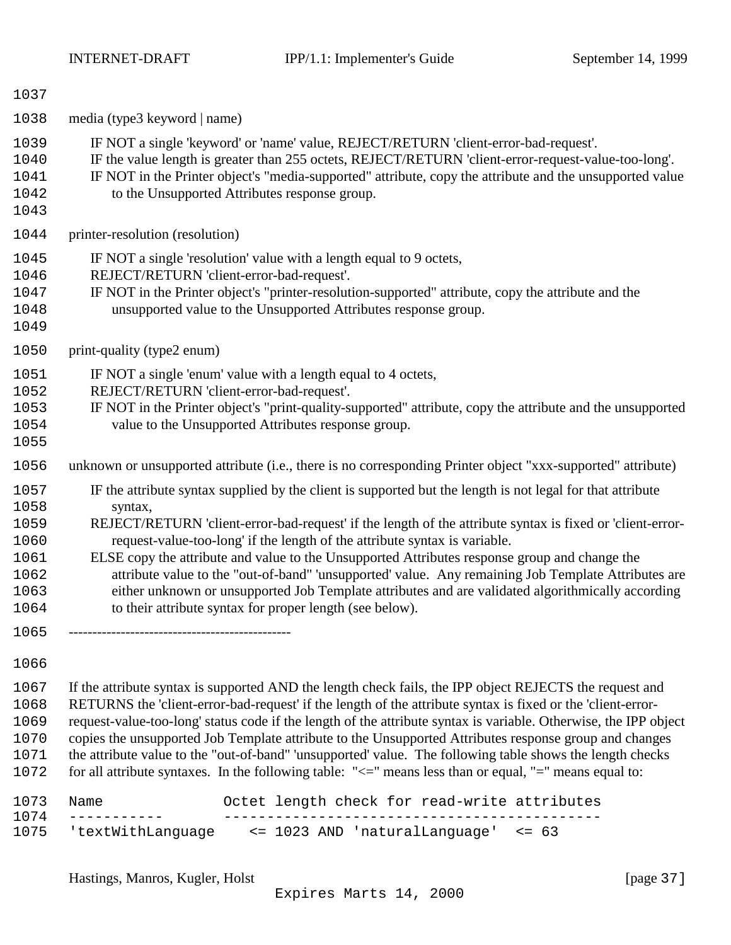| 1037                                                                 |                                                                                                                                                                                                                                                                                                                                                                                                                                                                                                                                                                                                                                                                                           |
|----------------------------------------------------------------------|-------------------------------------------------------------------------------------------------------------------------------------------------------------------------------------------------------------------------------------------------------------------------------------------------------------------------------------------------------------------------------------------------------------------------------------------------------------------------------------------------------------------------------------------------------------------------------------------------------------------------------------------------------------------------------------------|
| 1038                                                                 | media (type3 keyword   name)                                                                                                                                                                                                                                                                                                                                                                                                                                                                                                                                                                                                                                                              |
| 1039<br>1040<br>1041<br>1042<br>1043                                 | IF NOT a single 'keyword' or 'name' value, REJECT/RETURN 'client-error-bad-request'.<br>IF the value length is greater than 255 octets, REJECT/RETURN 'client-error-request-value-too-long'.<br>IF NOT in the Printer object's "media-supported" attribute, copy the attribute and the unsupported value<br>to the Unsupported Attributes response group.                                                                                                                                                                                                                                                                                                                                 |
| 1044                                                                 | printer-resolution (resolution)                                                                                                                                                                                                                                                                                                                                                                                                                                                                                                                                                                                                                                                           |
| 1045<br>1046<br>1047<br>1048<br>1049                                 | IF NOT a single 'resolution' value with a length equal to 9 octets,<br>REJECT/RETURN 'client-error-bad-request'.<br>IF NOT in the Printer object's "printer-resolution-supported" attribute, copy the attribute and the<br>unsupported value to the Unsupported Attributes response group.                                                                                                                                                                                                                                                                                                                                                                                                |
| 1050                                                                 | print-quality (type2 enum)                                                                                                                                                                                                                                                                                                                                                                                                                                                                                                                                                                                                                                                                |
| 1051<br>1052<br>1053<br>1054<br>1055                                 | IF NOT a single 'enum' value with a length equal to 4 octets,<br>REJECT/RETURN 'client-error-bad-request'.<br>IF NOT in the Printer object's "print-quality-supported" attribute, copy the attribute and the unsupported<br>value to the Unsupported Attributes response group.                                                                                                                                                                                                                                                                                                                                                                                                           |
| 1056                                                                 | unknown or unsupported attribute (i.e., there is no corresponding Printer object "xxx-supported" attribute)                                                                                                                                                                                                                                                                                                                                                                                                                                                                                                                                                                               |
| 1057<br>1058<br>1059<br>1060<br>1061<br>1062<br>1063<br>1064<br>1065 | IF the attribute syntax supplied by the client is supported but the length is not legal for that attribute<br>syntax,<br>REJECT/RETURN 'client-error-bad-request' if the length of the attribute syntax is fixed or 'client-error-<br>request-value-too-long' if the length of the attribute syntax is variable.<br>ELSE copy the attribute and value to the Unsupported Attributes response group and change the<br>attribute value to the "out-of-band" 'unsupported' value. Any remaining Job Template Attributes are<br>either unknown or unsupported Job Template attributes and are validated algorithmically according<br>to their attribute syntax for proper length (see below). |
| 1066                                                                 |                                                                                                                                                                                                                                                                                                                                                                                                                                                                                                                                                                                                                                                                                           |
| 1067<br>1068<br>1069<br>1070<br>1071<br>1072                         | If the attribute syntax is supported AND the length check fails, the IPP object REJECTS the request and<br>RETURNS the 'client-error-bad-request' if the length of the attribute syntax is fixed or the 'client-error-<br>request-value-too-long' status code if the length of the attribute syntax is variable. Otherwise, the IPP object<br>copies the unsupported Job Template attribute to the Unsupported Attributes response group and changes<br>the attribute value to the "out-of-band" 'unsupported' value. The following table shows the length checks<br>for all attribute syntaxes. In the following table: " $\le$ =" means less than or equal, "=" means equal to:         |
| 1073                                                                 | Octet length check for read-write attributes<br>Name                                                                                                                                                                                                                                                                                                                                                                                                                                                                                                                                                                                                                                      |

 ----------- -------------------------------------------- 'textWithLanguage <= 1023 AND 'naturalLanguage' <= 63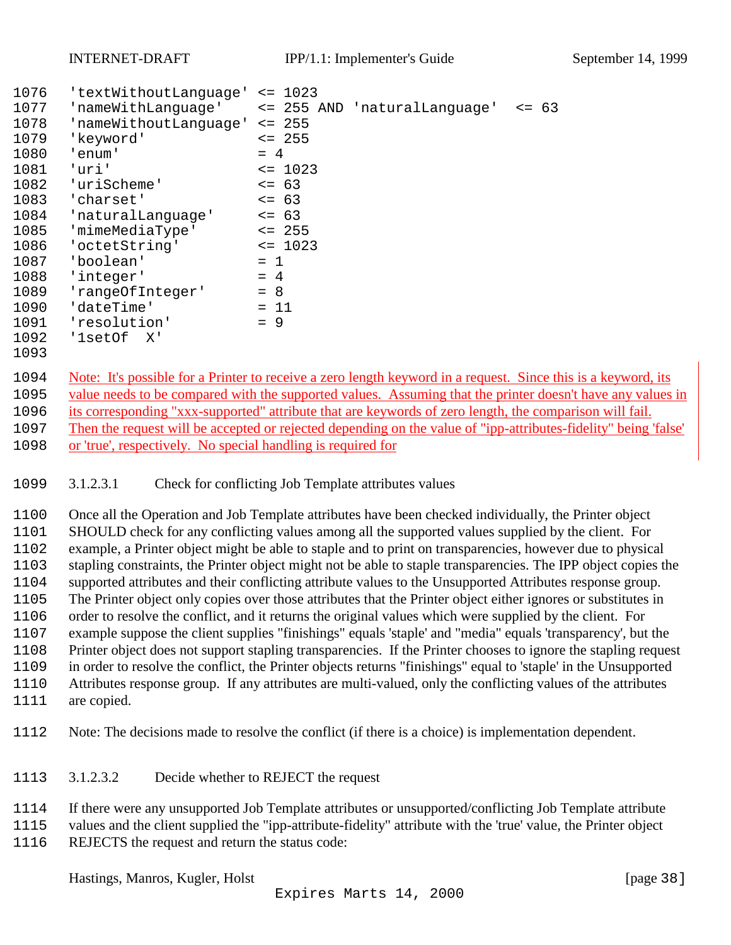<span id="page-37-0"></span>

| 1076 | 'textWithoutLanguage' <= 1023 |                                                                                                                |
|------|-------------------------------|----------------------------------------------------------------------------------------------------------------|
| 1077 | 'nameWithLanquage'            | <= 255 AND 'naturalLanguage'<br>$= 63$                                                                         |
| 1078 | 'nameWithoutLanguage'         | $\leq$ 255                                                                                                     |
| 1079 | 'keyword'                     | $\leq$ 255                                                                                                     |
| 1080 | 'enum'                        | $= 4$                                                                                                          |
| 1081 | 'uri'                         | $\leq$ 1023                                                                                                    |
| 1082 | 'uriScheme'                   | $\leq$ 63                                                                                                      |
| 1083 | 'charset'                     | $\leq$ 63                                                                                                      |
| 1084 | 'naturalLanguage'             | $\leq$ 63                                                                                                      |
| 1085 | 'mimeMediaType'               | $\leq$ 255                                                                                                     |
| 1086 | 'octetString'                 | $\leq 1023$                                                                                                    |
| 1087 | 'boolean'                     | $= 1$                                                                                                          |
| 1088 | 'integer'                     | $= 4$                                                                                                          |
| 1089 | 'rangeOfInteger'              | $= 8$                                                                                                          |
| 1090 | 'dateTime'                    | $= 11$                                                                                                         |
| 1091 | 'resolution'                  | $= 9$                                                                                                          |
| 1092 | 'lsetOf X'                    |                                                                                                                |
| 1093 |                               |                                                                                                                |
| 1094 |                               | Note: It's possible for a Printer to receive a zero length keyword in a request. Since this is a keyword, its  |
| 1095 |                               | value needs to be compared with the supported values. Assuming that the printer doesn't have any values in     |
| 1096 |                               | its corresponding "xxx-supported" attribute that are keywords of zero length, the comparison will fail.        |
| 1007 |                               | Then the request will be essented or velocited depending on the value of "inn ettyputes" fidelity" being folge |

1097 Then the request will be accepted or rejected depending on the value of "ipp-attributes-fidelity" being 'false' or 'true', respectively. No special handling is required for

3.1.2.3.1 Check for conflicting Job Template attributes values

 Once all the Operation and Job Template attributes have been checked individually, the Printer object SHOULD check for any conflicting values among all the supported values supplied by the client. For example, a Printer object might be able to staple and to print on transparencies, however due to physical stapling constraints, the Printer object might not be able to staple transparencies. The IPP object copies the supported attributes and their conflicting attribute values to the Unsupported Attributes response group. The Printer object only copies over those attributes that the Printer object either ignores or substitutes in order to resolve the conflict, and it returns the original values which were supplied by the client. For example suppose the client supplies "finishings" equals 'staple' and "media" equals 'transparency', but the Printer object does not support stapling transparencies. If the Printer chooses to ignore the stapling request in order to resolve the conflict, the Printer objects returns "finishings" equal to 'staple' in the Unsupported Attributes response group. If any attributes are multi-valued, only the conflicting values of the attributes are copied.

- 
- Note: The decisions made to resolve the conflict (if there is a choice) is implementation dependent.
- 3.1.2.3.2 Decide whether to REJECT the request
- If there were any unsupported Job Template attributes or unsupported/conflicting Job Template attribute
- values and the client supplied the "ipp-attribute-fidelity" attribute with the 'true' value, the Printer object
- REJECTS the request and return the status code: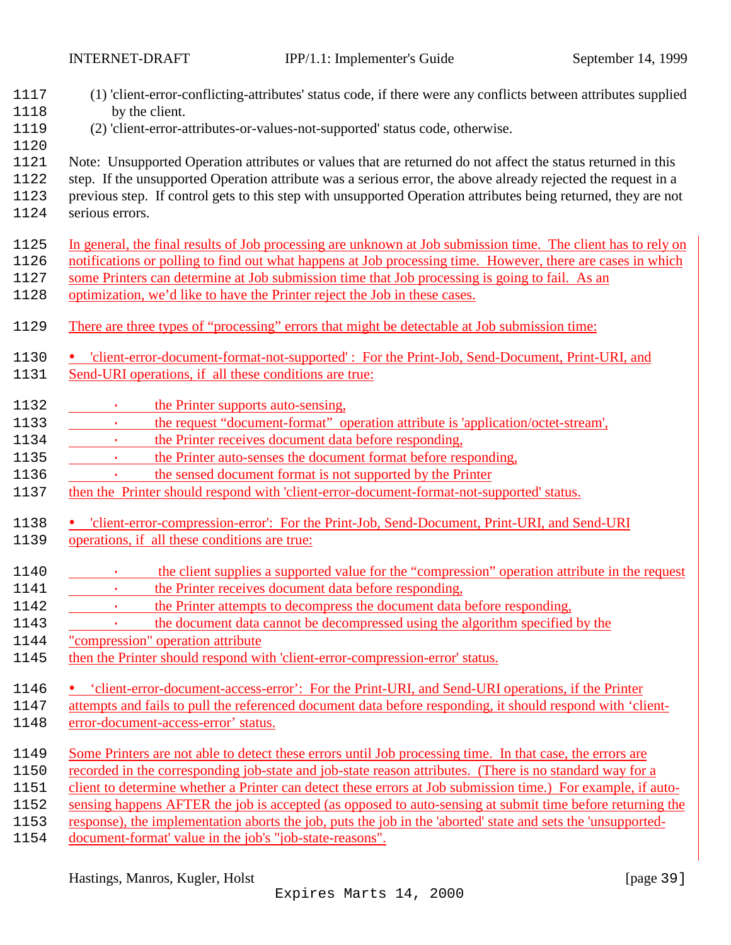(1) 'client-error-conflicting-attributes' status code, if there were any conflicts between attributes supplied by the client. (2) 'client-error-attributes-or-values-not-supported' status code, otherwise. Note: Unsupported Operation attributes or values that are returned do not affect the status returned in this step. If the unsupported Operation attribute was a serious error, the above already rejected the request in a previous step. If control gets to this step with unsupported Operation attributes being returned, they are not serious errors. In general, the final results of Job processing are unknown at Job submission time. The client has to rely on notifications or polling to find out what happens at Job processing time. However, there are cases in which some Printers can determine at Job submission time that Job processing is going to fail. As an optimization, we'd like to have the Printer reject the Job in these cases. There are three types of "processing" errors that might be detectable at Job submission time: -'client-error-document-format-not-supported' : For the Print-Job, Send-Document, Print-URI, and Send-URI operations, if all these conditions are true: 1132 · the Printer supports auto-sensing, 1133 · the request "document-format" operation attribute is 'application/octet-stream', 1134 · the Printer receives document data before responding, **· the Printer auto-senses the document format before responding,** 1136 · the sensed document format is not supported by the Printer 1137 then the Printer should respond with 'client-error-document-format-not-supported' status. 'client-error-compression-error': For the Print-Job, Send-Document, Print-URI, and Send-URI operations, if all these conditions are true: **· the client supplies a supported value for the "compression" operation attribute in the request 1141 · the Printer receives document data before responding,** 1141 · the Printer receives document data before responding, 1142 · the Printer attempts to decompress the document data before responding, · the document data cannot be decompressed using the algorithm specified by the "compression" operation attribute then the Printer should respond with 'client-error-compression-error' status. -'client-error-document-access-error': For the Print-URI, and Send-URI operations, if the Printer attempts and fails to pull the referenced document data before responding, it should respond with 'client- error-document-access-error' status. 1149 Some Printers are not able to detect these errors until Job processing time. In that case, the errors are recorded in the corresponding job-state and job-state reason attributes. (There is no standard way for a client to determine whether a Printer can detect these errors at Job submission time.) For example, if auto- sensing happens AFTER the job is accepted (as opposed to auto-sensing at submit time before returning the response), the implementation aborts the job, puts the job in the 'aborted' state and sets the 'unsupported-document-format' value in the job's "job-state-reasons".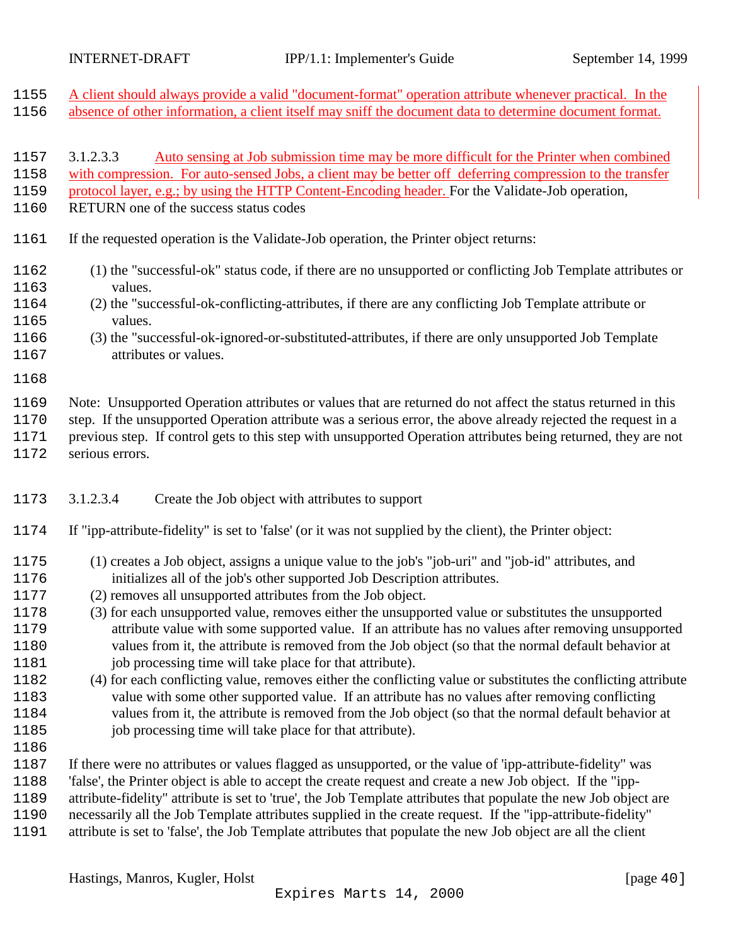<span id="page-39-0"></span>

| 1155                         | A client should always provide a valid "document-format" operation attribute whenever practical. In the                                                                                                                                                                                                                                                        |
|------------------------------|----------------------------------------------------------------------------------------------------------------------------------------------------------------------------------------------------------------------------------------------------------------------------------------------------------------------------------------------------------------|
| 1156                         | absence of other information, a client itself may sniff the document data to determine document format.                                                                                                                                                                                                                                                        |
| 1157<br>1158<br>1159<br>1160 | 3.1.2.3.3<br>Auto sensing at Job submission time may be more difficult for the Printer when combined<br>with compression. For auto-sensed Jobs, a client may be better off deferring compression to the transfer<br>protocol layer, e.g.; by using the HTTP Content-Encoding header. For the Validate-Job operation,<br>RETURN one of the success status codes |
| 1161                         | If the requested operation is the Validate-Job operation, the Printer object returns:                                                                                                                                                                                                                                                                          |
| 1162                         | (1) the "successful-ok" status code, if there are no unsupported or conflicting Job Template attributes or                                                                                                                                                                                                                                                     |
| 1163                         | values.                                                                                                                                                                                                                                                                                                                                                        |
| 1164                         | (2) the "successful-ok-conflicting-attributes, if there are any conflicting Job Template attribute or                                                                                                                                                                                                                                                          |
| 1165                         | values.                                                                                                                                                                                                                                                                                                                                                        |
| 1166                         | (3) the "successful-ok-ignored-or-substituted-attributes, if there are only unsupported Job Template                                                                                                                                                                                                                                                           |
| 1167                         | attributes or values.                                                                                                                                                                                                                                                                                                                                          |
| 1168                         |                                                                                                                                                                                                                                                                                                                                                                |
| 1169                         | Note: Unsupported Operation attributes or values that are returned do not affect the status returned in this                                                                                                                                                                                                                                                   |
| 1170                         | step. If the unsupported Operation attribute was a serious error, the above already rejected the request in a                                                                                                                                                                                                                                                  |
| 1171                         | previous step. If control gets to this step with unsupported Operation attributes being returned, they are not                                                                                                                                                                                                                                                 |
| 1172                         | serious errors.                                                                                                                                                                                                                                                                                                                                                |

- 3.1.2.3.4 Create the Job object with attributes to support
- If "ipp-attribute-fidelity" is set to 'false' (or it was not supplied by the client), the Printer object:
- (1) creates a Job object, assigns a unique value to the job's "job-uri" and "job-id" attributes, and initializes all of the job's other supported Job Description attributes.
- (2) removes all unsupported attributes from the Job object.
- (3) for each unsupported value, removes either the unsupported value or substitutes the unsupported attribute value with some supported value. If an attribute has no values after removing unsupported values from it, the attribute is removed from the Job object (so that the normal default behavior at 1181 job processing time will take place for that attribute).
- (4) for each conflicting value, removes either the conflicting value or substitutes the conflicting attribute value with some other supported value. If an attribute has no values after removing conflicting values from it, the attribute is removed from the Job object (so that the normal default behavior at 1185 job processing time will take place for that attribute).
- 

 If there were no attributes or values flagged as unsupported, or the value of 'ipp-attribute-fidelity" was 'false', the Printer object is able to accept the create request and create a new Job object. If the "ipp-

attribute-fidelity" attribute is set to 'true', the Job Template attributes that populate the new Job object are

necessarily all the Job Template attributes supplied in the create request. If the "ipp-attribute-fidelity"

attribute is set to 'false', the Job Template attributes that populate the new Job object are all the client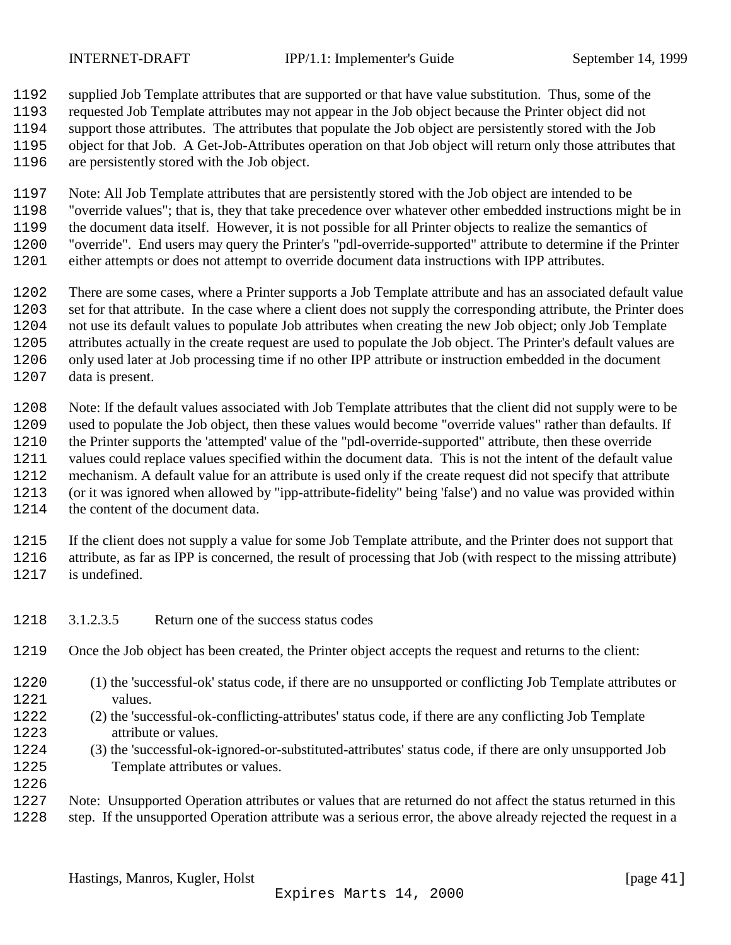<span id="page-40-0"></span>

 supplied Job Template attributes that are supported or that have value substitution. Thus, some of the requested Job Template attributes may not appear in the Job object because the Printer object did not

- support those attributes. The attributes that populate the Job object are persistently stored with the Job object for that Job. A Get-Job-Attributes operation on that Job object will return only those attributes that
- are persistently stored with the Job object.

Note: All Job Template attributes that are persistently stored with the Job object are intended to be

- "override values"; that is, they that take precedence over whatever other embedded instructions might be in the document data itself. However, it is not possible for all Printer objects to realize the semantics of "override". End users may query the Printer's "pdl-override-supported" attribute to determine if the Printer either attempts or does not attempt to override document data instructions with IPP attributes.
- There are some cases, where a Printer supports a Job Template attribute and has an associated default value set for that attribute. In the case where a client does not supply the corresponding attribute, the Printer does not use its default values to populate Job attributes when creating the new Job object; only Job Template attributes actually in the create request are used to populate the Job object. The Printer's default values are only used later at Job processing time if no other IPP attribute or instruction embedded in the document data is present.
- Note: If the default values associated with Job Template attributes that the client did not supply were to be used to populate the Job object, then these values would become "override values" rather than defaults. If the Printer supports the 'attempted' value of the "pdl-override-supported" attribute, then these override values could replace values specified within the document data. This is not the intent of the default value mechanism. A default value for an attribute is used only if the create request did not specify that attribute (or it was ignored when allowed by "ipp-attribute-fidelity" being 'false') and no value was provided within the content of the document data.
- If the client does not supply a value for some Job Template attribute, and the Printer does not support that attribute, as far as IPP is concerned, the result of processing that Job (with respect to the missing attribute) is undefined.
- 3.1.2.3.5 Return one of the success status codes
- Once the Job object has been created, the Printer object accepts the request and returns to the client:
- (1) the 'successful-ok' status code, if there are no unsupported or conflicting Job Template attributes or values.
- (2) the 'successful-ok-conflicting-attributes' status code, if there are any conflicting Job Template attribute or values.
- (3) the 'successful-ok-ignored-or-substituted-attributes' status code, if there are only unsupported Job Template attributes or values.
- Note: Unsupported Operation attributes or values that are returned do not affect the status returned in this step. If the unsupported Operation attribute was a serious error, the above already rejected the request in a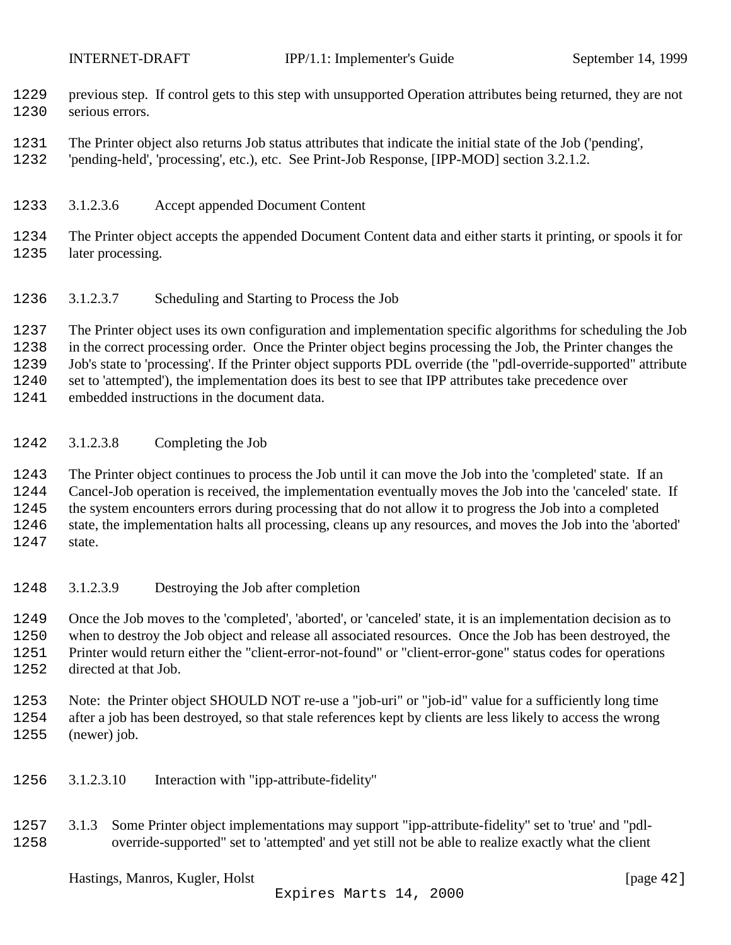- <span id="page-41-0"></span> previous step. If control gets to this step with unsupported Operation attributes being returned, they are not serious errors.
- The Printer object also returns Job status attributes that indicate the initial state of the Job ('pending',
- 'pending-held', 'processing', etc.), etc. See Print-Job Response, [IPP-MOD] section 3.2.1.2.
- 3.1.2.3.6 Accept appended Document Content
- The Printer object accepts the appended Document Content data and either starts it printing, or spools it for later processing.
- 3.1.2.3.7 Scheduling and Starting to Process the Job
- The Printer object uses its own configuration and implementation specific algorithms for scheduling the Job

in the correct processing order. Once the Printer object begins processing the Job, the Printer changes the

Job's state to 'processing'. If the Printer object supports PDL override (the "pdl-override-supported" attribute

set to 'attempted'), the implementation does its best to see that IPP attributes take precedence over

embedded instructions in the document data.

#### 3.1.2.3.8 Completing the Job

 The Printer object continues to process the Job until it can move the Job into the 'completed' state. If an Cancel-Job operation is received, the implementation eventually moves the Job into the 'canceled' state. If the system encounters errors during processing that do not allow it to progress the Job into a completed state, the implementation halts all processing, cleans up any resources, and moves the Job into the 'aborted' state.

3.1.2.3.9 Destroying the Job after completion

 Once the Job moves to the 'completed', 'aborted', or 'canceled' state, it is an implementation decision as to when to destroy the Job object and release all associated resources. Once the Job has been destroyed, the Printer would return either the "client-error-not-found" or "client-error-gone" status codes for operations directed at that Job.

 Note: the Printer object SHOULD NOT re-use a "job-uri" or "job-id" value for a sufficiently long time after a job has been destroyed, so that stale references kept by clients are less likely to access the wrong (newer) job.

- 3.1.2.3.10 Interaction with "ipp-attribute-fidelity"
- 3.1.3 Some Printer object implementations may support "ipp-attribute-fidelity" set to 'true' and "pdl-override-supported" set to 'attempted' and yet still not be able to realize exactly what the client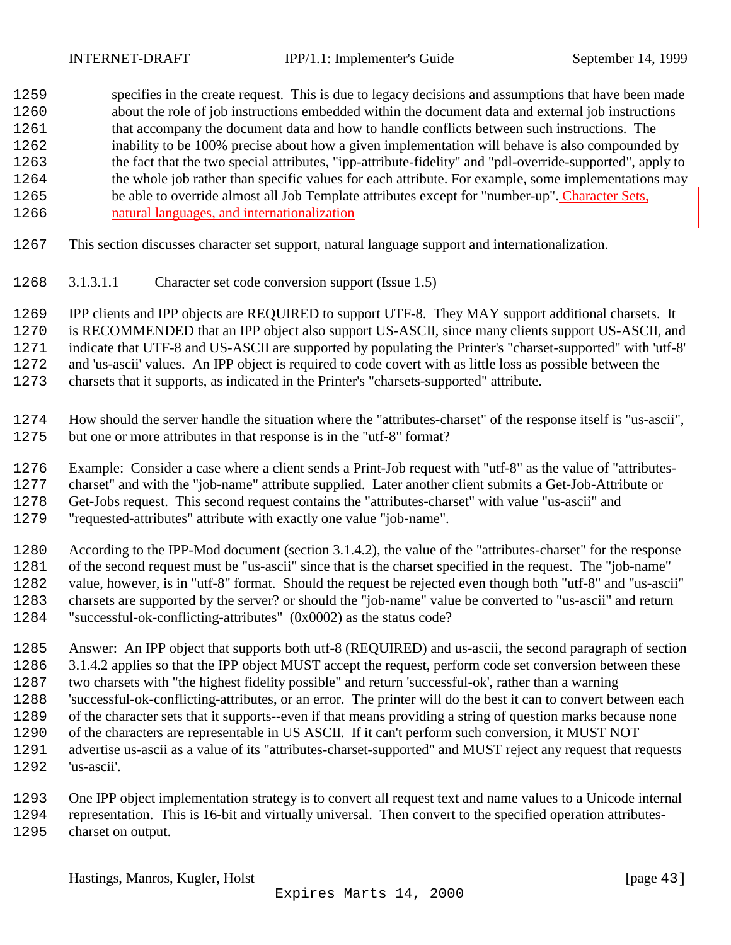<span id="page-42-0"></span> specifies in the create request. This is due to legacy decisions and assumptions that have been made about the role of job instructions embedded within the document data and external job instructions that accompany the document data and how to handle conflicts between such instructions. The inability to be 100% precise about how a given implementation will behave is also compounded by the fact that the two special attributes, "ipp-attribute-fidelity" and "pdl-override-supported", apply to the whole job rather than specific values for each attribute. For example, some implementations may be able to override almost all Job Template attributes except for "number-up". Character Sets, natural languages, and internationalization

- This section discusses character set support, natural language support and internationalization.
- 3.1.3.1.1 Character set code conversion support (Issue 1.5)

 IPP clients and IPP objects are REQUIRED to support UTF-8. They MAY support additional charsets. It is RECOMMENDED that an IPP object also support US-ASCII, since many clients support US-ASCII, and

 indicate that UTF-8 and US-ASCII are supported by populating the Printer's "charset-supported" with 'utf-8' and 'us-ascii' values. An IPP object is required to code covert with as little loss as possible between the

charsets that it supports, as indicated in the Printer's "charsets-supported" attribute.

- How should the server handle the situation where the "attributes-charset" of the response itself is "us-ascii", but one or more attributes in that response is in the "utf-8" format?
- Example: Consider a case where a client sends a Print-Job request with "utf-8" as the value of "attributes-
- charset" and with the "job-name" attribute supplied. Later another client submits a Get-Job-Attribute or
- Get-Jobs request. This second request contains the "attributes-charset" with value "us-ascii" and
- "requested-attributes" attribute with exactly one value "job-name".

 According to the IPP-Mod document (section 3.1.4.2), the value of the "attributes-charset" for the response of the second request must be "us-ascii" since that is the charset specified in the request. The "job-name" value, however, is in "utf-8" format. Should the request be rejected even though both "utf-8" and "us-ascii" charsets are supported by the server? or should the "job-name" value be converted to "us-ascii" and return "successful-ok-conflicting-attributes" (0x0002) as the status code?

- Answer: An IPP object that supports both utf-8 (REQUIRED) and us-ascii, the second paragraph of section 3.1.4.2 applies so that the IPP object MUST accept the request, perform code set conversion between these two charsets with "the highest fidelity possible" and return 'successful-ok', rather than a warning 'successful-ok-conflicting-attributes, or an error. The printer will do the best it can to convert between each of the character sets that it supports--even if that means providing a string of question marks because none of the characters are representable in US ASCII. If it can't perform such conversion, it MUST NOT advertise us-ascii as a value of its "attributes-charset-supported" and MUST reject any request that requests 'us-ascii'.
- One IPP object implementation strategy is to convert all request text and name values to a Unicode internal representation. This is 16-bit and virtually universal. Then convert to the specified operation attributes- charset on output.
	- Hastings, Manros, Kugler, Holst [page 43]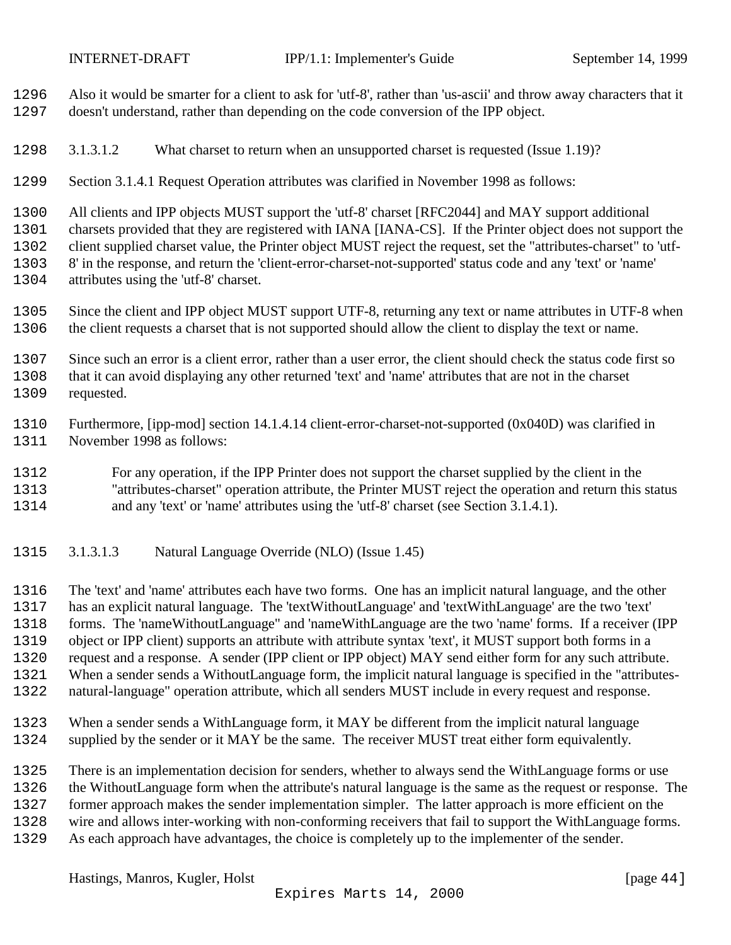<span id="page-43-0"></span>

 Also it would be smarter for a client to ask for 'utf-8', rather than 'us-ascii' and throw away characters that it doesn't understand, rather than depending on the code conversion of the IPP object.

3.1.3.1.2 What charset to return when an unsupported charset is requested (Issue 1.19)?

Section 3.1.4.1 Request Operation attributes was clarified in November 1998 as follows:

All clients and IPP objects MUST support the 'utf-8' charset [RFC2044] and MAY support additional

charsets provided that they are registered with IANA [IANA-CS]. If the Printer object does not support the

client supplied charset value, the Printer object MUST reject the request, set the "attributes-charset" to 'utf-

8' in the response, and return the 'client-error-charset-not-supported' status code and any 'text' or 'name'

- attributes using the 'utf-8' charset.
- Since the client and IPP object MUST support UTF-8, returning any text or name attributes in UTF-8 when the client requests a charset that is not supported should allow the client to display the text or name.

 Since such an error is a client error, rather than a user error, the client should check the status code first so that it can avoid displaying any other returned 'text' and 'name' attributes that are not in the charset requested.

 Furthermore, [ipp-mod] section 14.1.4.14 client-error-charset-not-supported (0x040D) was clarified in November 1998 as follows:

For any operation, if the IPP Printer does not support the charset supplied by the client in the

"attributes-charset" operation attribute, the Printer MUST reject the operation and return this status

and any 'text' or 'name' attributes using the 'utf-8' charset (see Section 3.1.4.1).

3.1.3.1.3 Natural Language Override (NLO) (Issue 1.45)

 The 'text' and 'name' attributes each have two forms. One has an implicit natural language, and the other has an explicit natural language. The 'textWithoutLanguage' and 'textWithLanguage' are the two 'text' forms. The 'nameWithoutLanguage" and 'nameWithLanguage are the two 'name' forms. If a receiver (IPP object or IPP client) supports an attribute with attribute syntax 'text', it MUST support both forms in a request and a response. A sender (IPP client or IPP object) MAY send either form for any such attribute. When a sender sends a WithoutLanguage form, the implicit natural language is specified in the "attributes-natural-language" operation attribute, which all senders MUST include in every request and response.

 When a sender sends a WithLanguage form, it MAY be different from the implicit natural language supplied by the sender or it MAY be the same. The receiver MUST treat either form equivalently.

 There is an implementation decision for senders, whether to always send the WithLanguage forms or use the WithoutLanguage form when the attribute's natural language is the same as the request or response. The former approach makes the sender implementation simpler. The latter approach is more efficient on the wire and allows inter-working with non-conforming receivers that fail to support the WithLanguage forms. As each approach have advantages, the choice is completely up to the implementer of the sender.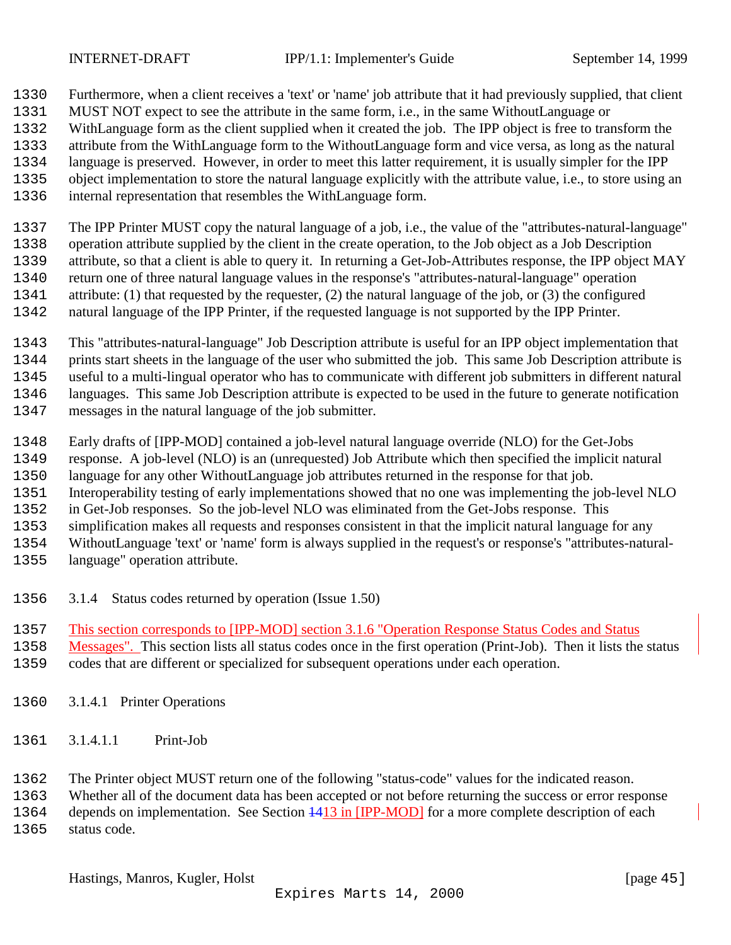<span id="page-44-0"></span>

- Furthermore, when a client receives a 'text' or 'name' job attribute that it had previously supplied, that client
- MUST NOT expect to see the attribute in the same form, i.e., in the same WithoutLanguage or
- WithLanguage form as the client supplied when it created the job. The IPP object is free to transform the
- attribute from the WithLanguage form to the WithoutLanguage form and vice versa, as long as the natural
- language is preserved. However, in order to meet this latter requirement, it is usually simpler for the IPP
- object implementation to store the natural language explicitly with the attribute value, i.e., to store using an
- internal representation that resembles the WithLanguage form.

 The IPP Printer MUST copy the natural language of a job, i.e., the value of the "attributes-natural-language" operation attribute supplied by the client in the create operation, to the Job object as a Job Description attribute, so that a client is able to query it. In returning a Get-Job-Attributes response, the IPP object MAY return one of three natural language values in the response's "attributes-natural-language" operation attribute: (1) that requested by the requester, (2) the natural language of the job, or (3) the configured natural language of the IPP Printer, if the requested language is not supported by the IPP Printer.

 This "attributes-natural-language" Job Description attribute is useful for an IPP object implementation that prints start sheets in the language of the user who submitted the job. This same Job Description attribute is useful to a multi-lingual operator who has to communicate with different job submitters in different natural languages. This same Job Description attribute is expected to be used in the future to generate notification messages in the natural language of the job submitter.

- Early drafts of [IPP-MOD] contained a job-level natural language override (NLO) for the Get-Jobs response. A job-level (NLO) is an (unrequested) Job Attribute which then specified the implicit natural
- language for any other WithoutLanguage job attributes returned in the response for that job.
- Interoperability testing of early implementations showed that no one was implementing the job-level NLO
- in Get-Job responses. So the job-level NLO was eliminated from the Get-Jobs response. This
- simplification makes all requests and responses consistent in that the implicit natural language for any
- WithoutLanguage 'text' or 'name' form is always supplied in the request's or response's "attributes-natural-
- language" operation attribute.
- 3.1.4 Status codes returned by operation (Issue 1.50)
- 1357 This section corresponds to [IPP-MOD] section 3.1.6 "Operation Response Status Codes and Status
- Messages". This section lists all status codes once in the first operation (Print-Job). Then it lists the status
- codes that are different or specialized for subsequent operations under each operation.
- 3.1.4.1 Printer Operations
- 3.1.4.1.1 Print-Job
- The Printer object MUST return one of the following "status-code" values for the indicated reason.
- Whether all of the document data has been accepted or not before returning the success or error response

1364 depends on implementation. See Section  $\frac{1413 \text{ in [IPP-MOD]}}{120 \text{ for a more complete description of each}}$ status code.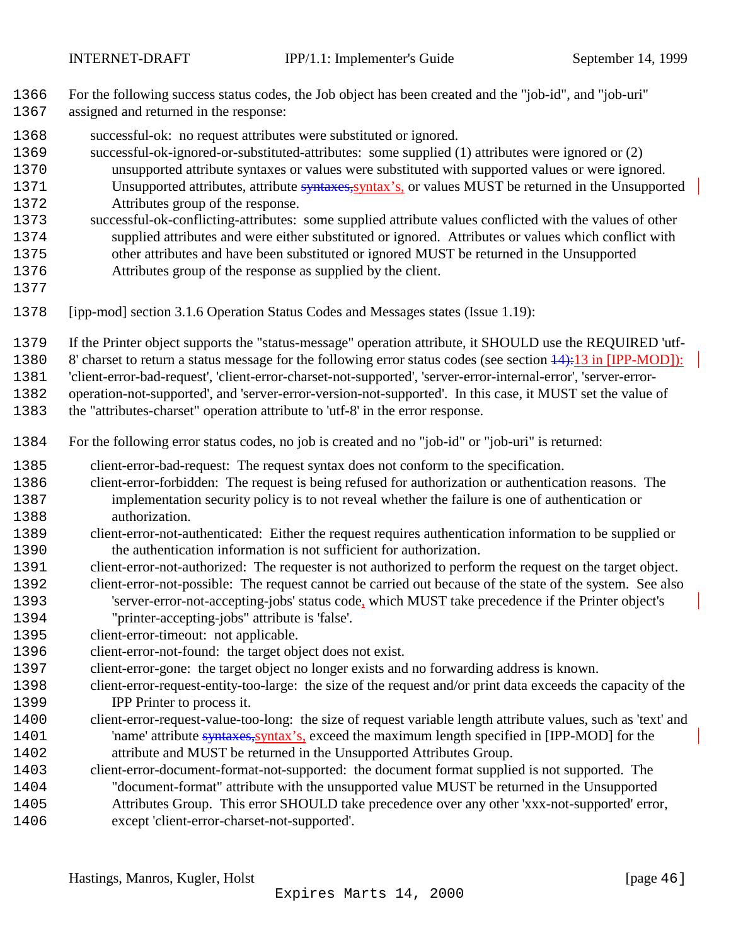- For the following success status codes, the Job object has been created and the "job-id", and "job-uri"
- assigned and returned in the response:
- successful-ok: no request attributes were substituted or ignored.
- successful-ok-ignored-or-substituted-attributes: some supplied (1) attributes were ignored or (2)
- unsupported attribute syntaxes or values were substituted with supported values or were ignored. 1371 Unsupported attributes, attribute syntaxes, syntax's, or values MUST be returned in the Unsupported Attributes group of the response.
- successful-ok-conflicting-attributes: some supplied attribute values conflicted with the values of other supplied attributes and were either substituted or ignored. Attributes or values which conflict with other attributes and have been substituted or ignored MUST be returned in the Unsupported
- Attributes group of the response as supplied by the client.
- 
- [ipp-mod] section 3.1.6 Operation Status Codes and Messages states (Issue 1.19):
- If the Printer object supports the "status-message" operation attribute, it SHOULD use the REQUIRED 'utf-
- 1380 8' charset to return a status message for the following error status codes (see section  $\frac{14}{13}$  in [IPP-MOD]):

'client-error-bad-request', 'client-error-charset-not-supported', 'server-error-internal-error', 'server-error-

operation-not-supported', and 'server-error-version-not-supported'. In this case, it MUST set the value of

the "attributes-charset" operation attribute to 'utf-8' in the error response.

- For the following error status codes, no job is created and no "job-id" or "job-uri" is returned:
- client-error-bad-request: The request syntax does not conform to the specification.
- client-error-forbidden: The request is being refused for authorization or authentication reasons. The implementation security policy is to not reveal whether the failure is one of authentication or authorization.
- client-error-not-authenticated: Either the request requires authentication information to be supplied or the authentication information is not sufficient for authorization.
- client-error-not-authorized: The requester is not authorized to perform the request on the target object.
- client-error-not-possible: The request cannot be carried out because of the state of the system. See also 'server-error-not-accepting-jobs' status code, which MUST take precedence if the Printer object's "printer-accepting-jobs" attribute is 'false'.
- client-error-timeout: not applicable.
- client-error-not-found: the target object does not exist.
- client-error-gone: the target object no longer exists and no forwarding address is known.
- client-error-request-entity-too-large: the size of the request and/or print data exceeds the capacity of the IPP Printer to process it.
- client-error-request-value-too-long: the size of request variable length attribute values, such as 'text' and 'name' attribute syntaxes,syntax's, exceed the maximum length specified in [IPP-MOD] for the attribute and MUST be returned in the Unsupported Attributes Group.
- client-error-document-format-not-supported: the document format supplied is not supported. The "document-format" attribute with the unsupported value MUST be returned in the Unsupported Attributes Group. This error SHOULD take precedence over any other 'xxx-not-supported' error,
- except 'client-error-charset-not-supported'.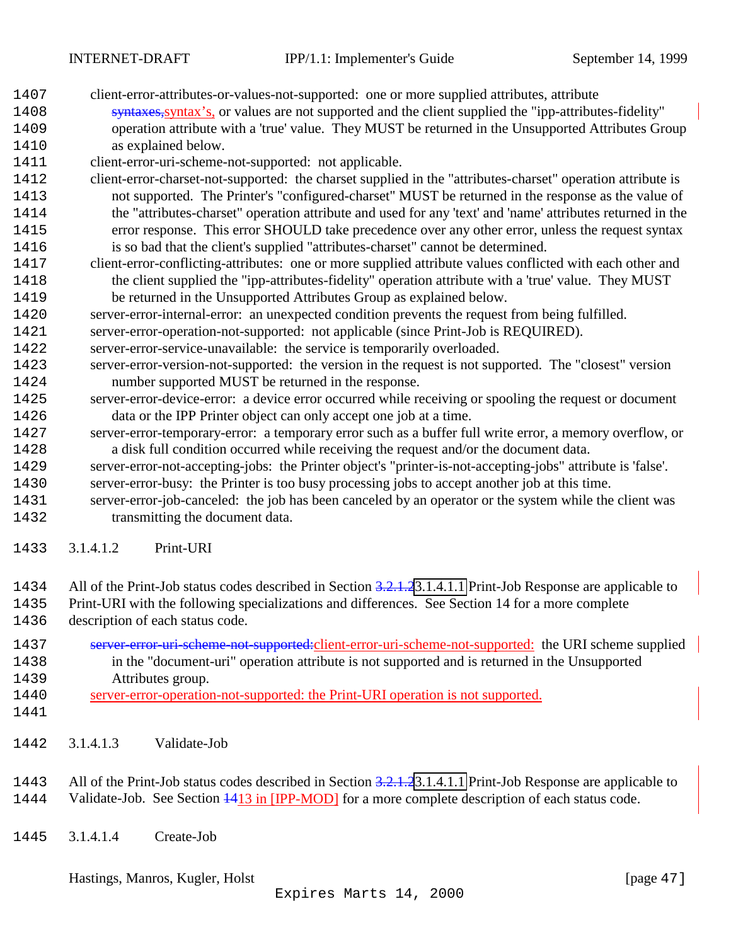- <span id="page-46-0"></span>client-error-attributes-or-values-not-supported: one or more supplied attributes, attribute
- syntaxes,syntax's, or values are not supported and the client supplied the "ipp-attributes-fidelity" operation attribute with a 'true' value. They MUST be returned in the Unsupported Attributes Group as explained below.
- client-error-uri-scheme-not-supported: not applicable.
- client-error-charset-not-supported: the charset supplied in the "attributes-charset" operation attribute is not supported. The Printer's "configured-charset" MUST be returned in the response as the value of the "attributes-charset" operation attribute and used for any 'text' and 'name' attributes returned in the error response. This error SHOULD take precedence over any other error, unless the request syntax is so bad that the client's supplied "attributes-charset" cannot be determined.
- client-error-conflicting-attributes: one or more supplied attribute values conflicted with each other and the client supplied the "ipp-attributes-fidelity" operation attribute with a 'true' value. They MUST be returned in the Unsupported Attributes Group as explained below.
- server-error-internal-error: an unexpected condition prevents the request from being fulfilled.
- server-error-operation-not-supported: not applicable (since Print-Job is REQUIRED).
- server-error-service-unavailable: the service is temporarily overloaded.
- server-error-version-not-supported: the version in the request is not supported. The "closest" version number supported MUST be returned in the response.
- server-error-device-error: a device error occurred while receiving or spooling the request or document data or the IPP Printer object can only accept one job at a time.
- server-error-temporary-error: a temporary error such as a buffer full write error, a memory overflow, or a disk full condition occurred while receiving the request and/or the document data.
- server-error-not-accepting-jobs: the Printer object's "printer-is-not-accepting-jobs" attribute is 'false'. server-error-busy: the Printer is too busy processing jobs to accept another job at this time.
- server-error-job-canceled: the job has been canceled by an operator or the system while the client was transmitting the document data.
- 3.1.4.1.2 Print-URI
- 1434 All of the Print-Job status codes described in Section 3.2.1.[23.1.4.1.1](#page-44-0) Print-Job Response are applicable to
- Print-URI with the following specializations and differences. See Section 14 for a more complete description of each status code.
- server-error-uri-scheme-not-supported:client-error-uri-scheme-not-supported: the URI scheme supplied in the "document-uri" operation attribute is not supported and is returned in the Unsupported Attributes group.
- server-error-operation-not-supported: the Print-URI operation is not supported.
- 

3.1.4.1.3 Validate-Job

1443 All of the Print-Job status codes described in Section 3.2.1.[23.1.4.1.1](#page-44-0) Print-Job Response are applicable to 1444 Validate-Job. See Section  $\frac{1413 \text{ in [IPP-MOD]} }{2}$  for a more complete description of each status code.

3.1.4.1.4 Create-Job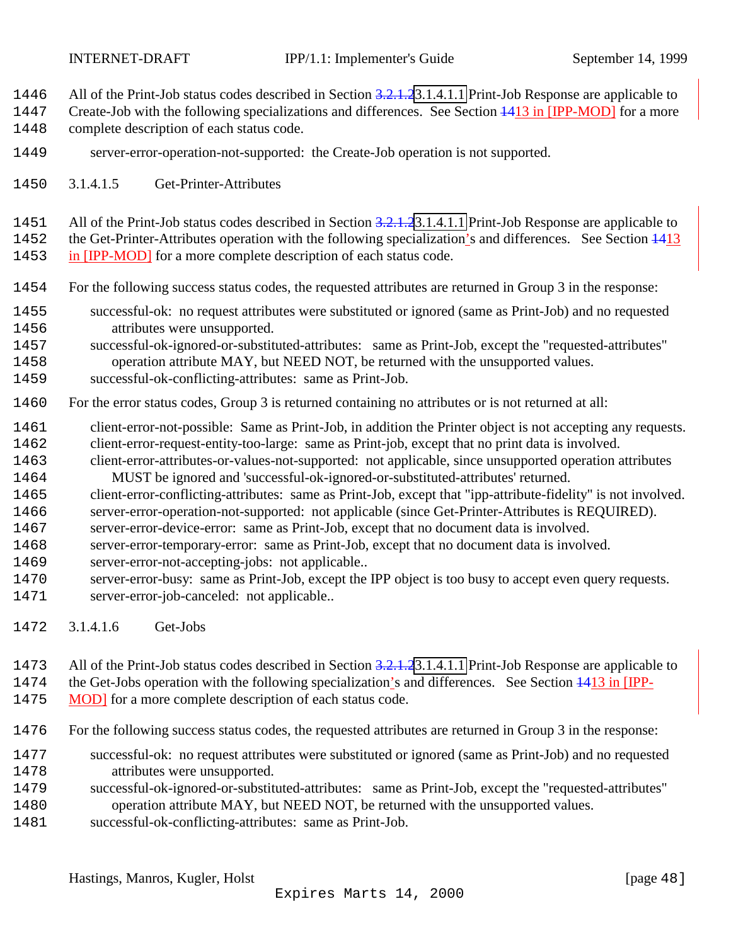- <span id="page-47-0"></span>1446 All of the Print-Job status codes described in Section 3.2.1.[23.1.4.1.1](#page-44-0) Print-Job Response are applicable to
- 1447 Create-Job with the following specializations and differences. See Section  $\frac{1413 \text{ in [IPP-MOD]}}{149 \text{ in [IPP-MOD]}}$  for a more
- complete description of each status code.
- server-error-operation-not-supported: the Create-Job operation is not supported.
- 3.1.4.1.5 Get-Printer-Attributes
- 1451 All of the Print-Job status codes described in Section 3.2.1.[23.1.4.1.1](#page-44-0) Print-Job Response are applicable to

1452 the Get-Printer-Attributes operation with the following specialization's and differences. See Section 1413

1453 in [IPP-MOD] for a more complete description of each status code.

- For the following success status codes, the requested attributes are returned in Group 3 in the response:
- successful-ok: no request attributes were substituted or ignored (same as Print-Job) and no requested attributes were unsupported.
- successful-ok-ignored-or-substituted-attributes: same as Print-Job, except the "requested-attributes" operation attribute MAY, but NEED NOT, be returned with the unsupported values.
- successful-ok-conflicting-attributes: same as Print-Job.
- For the error status codes, Group 3 is returned containing no attributes or is not returned at all:
- 1461 client-error-not-possible: Same as Print-Job, in addition the Printer object is not accepting any requests. client-error-request-entity-too-large: same as Print-job, except that no print data is involved.
- client-error-attributes-or-values-not-supported: not applicable, since unsupported operation attributes MUST be ignored and 'successful-ok-ignored-or-substituted-attributes' returned.
- client-error-conflicting-attributes: same as Print-Job, except that "ipp-attribute-fidelity" is not involved.
- server-error-operation-not-supported: not applicable (since Get-Printer-Attributes is REQUIRED).
- server-error-device-error: same as Print-Job, except that no document data is involved.
- server-error-temporary-error: same as Print-Job, except that no document data is involved.
- server-error-not-accepting-jobs: not applicable..
- server-error-busy: same as Print-Job, except the IPP object is too busy to accept even query requests. server-error-job-canceled: not applicable..
- 3.1.4.1.6 Get-Jobs
- 1473 All of the Print-Job status codes described in Section 3.2.1.[23.1.4.1.1](#page-44-0) Print-Job Response are applicable to
- 1474 the Get-Jobs operation with the following specialization's and differences. See Section  $\frac{1413 \text{ in [IPP-}}{1299 \text{ m/s}}$
- 1475 MOD] for a more complete description of each status code.
- For the following success status codes, the requested attributes are returned in Group 3 in the response:
- successful-ok: no request attributes were substituted or ignored (same as Print-Job) and no requested attributes were unsupported.
- successful-ok-ignored-or-substituted-attributes: same as Print-Job, except the "requested-attributes" operation attribute MAY, but NEED NOT, be returned with the unsupported values.
- successful-ok-conflicting-attributes: same as Print-Job.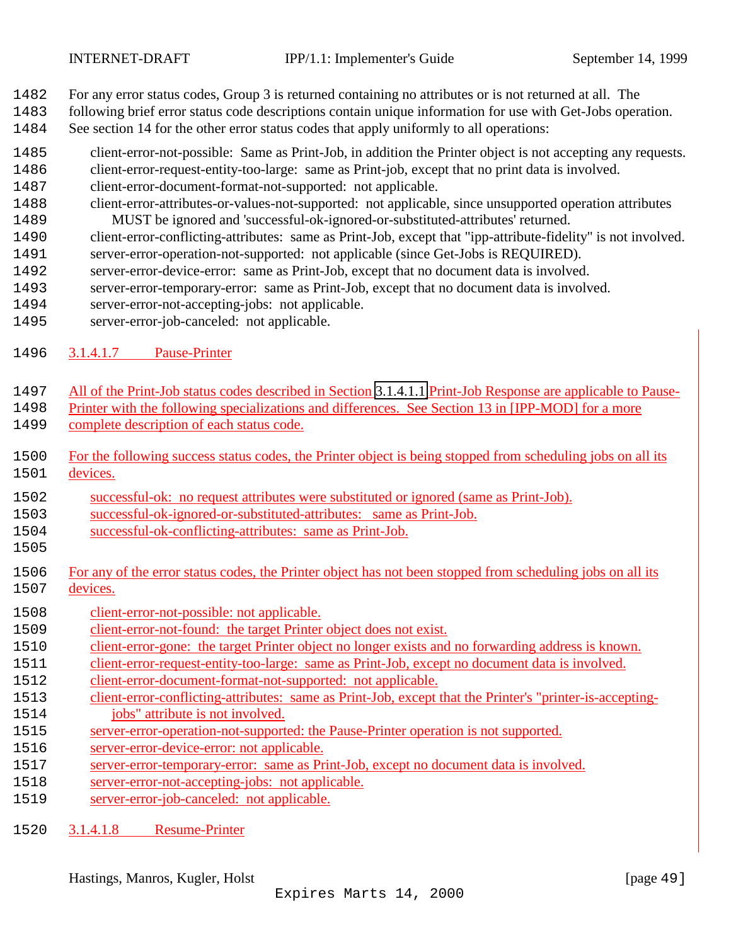<span id="page-48-0"></span>

- For any error status codes, Group 3 is returned containing no attributes or is not returned at all. The
- following brief error status code descriptions contain unique information for use with Get-Jobs operation.
- See section 14 for the other error status codes that apply uniformly to all operations:
- client-error-not-possible: Same as Print-Job, in addition the Printer object is not accepting any requests.
- client-error-request-entity-too-large: same as Print-job, except that no print data is involved.
- client-error-document-format-not-supported: not applicable.
- client-error-attributes-or-values-not-supported: not applicable, since unsupported operation attributes MUST be ignored and 'successful-ok-ignored-or-substituted-attributes' returned.
- client-error-conflicting-attributes: same as Print-Job, except that "ipp-attribute-fidelity" is not involved.
- server-error-operation-not-supported: not applicable (since Get-Jobs is REQUIRED).
- server-error-device-error: same as Print-Job, except that no document data is involved.
- server-error-temporary-error: same as Print-Job, except that no document data is involved.
- server-error-not-accepting-jobs: not applicable.
- server-error-job-canceled: not applicable.
- 3.1.4.1.7 Pause-Printer
- All of the Print-Job status codes described in Section [3.1.4.1.1](#page-44-0) Print-Job Response are applicable to Pause-
- Printer with the following specializations and differences. See Section 13 in [IPP-MOD] for a more
- 1499 complete description of each status code.
- For the following success status codes, the Printer object is being stopped from scheduling jobs on all its devices.
- successful-ok: no request attributes were substituted or ignored (same as Print-Job).
- successful-ok-ignored-or-substituted-attributes: same as Print-Job.
- successful-ok-conflicting-attributes: same as Print-Job.
- 
- For any of the error status codes, the Printer object has not been stopped from scheduling jobs on all its devices.
- client-error-not-possible: not applicable.
- client-error-not-found: the target Printer object does not exist.
- client-error-gone: the target Printer object no longer exists and no forwarding address is known.
- client-error-request-entity-too-large: same as Print-Job, except no document data is involved.
- client-error-document-format-not-supported: not applicable.
- client-error-conflicting-attributes: same as Print-Job, except that the Printer's "printer-is-accepting-1514 jobs" attribute is not involved.
- server-error-operation-not-supported: the Pause-Printer operation is not supported.
- server-error-device-error: not applicable.
- server-error-temporary-error: same as Print-Job, except no document data is involved.
- server-error-not-accepting-jobs: not applicable.
- server-error-job-canceled: not applicable.
- 3.1.4.1.8 Resume-Printer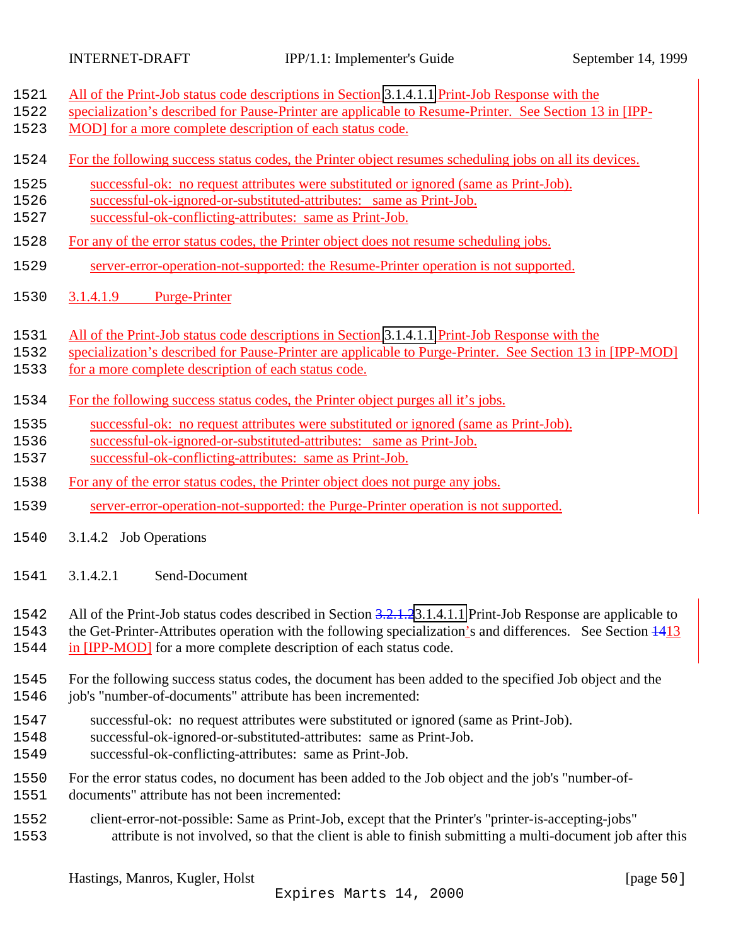<span id="page-49-0"></span>

| 1521 | All of the Print-Job status code descriptions in Section 3.1.4.1.1 Print-Job Response with the               |
|------|--------------------------------------------------------------------------------------------------------------|
| 1522 | specialization's described for Pause-Printer are applicable to Resume-Printer. See Section 13 in [IPP-       |
| 1523 | MOD] for a more complete description of each status code.                                                    |
| 1524 | For the following success status codes, the Printer object resumes scheduling jobs on all its devices.       |
| 1525 | successful-ok: no request attributes were substituted or ignored (same as Print-Job).                        |
| 1526 | successful-ok-ignored-or-substituted-attributes: same as Print-Job.                                          |
| 1527 | successful-ok-conflicting-attributes: same as Print-Job.                                                     |
| 1528 | For any of the error status codes, the Printer object does not resume scheduling jobs.                       |
| 1529 | server-error-operation-not-supported: the Resume-Printer operation is not supported.                         |
| 1530 | 3.1.4.1.9<br><b>Purge-Printer</b>                                                                            |
| 1531 | All of the Print-Job status code descriptions in Section 3.1.4.1.1 Print-Job Response with the               |
| 1532 | specialization's described for Pause-Printer are applicable to Purge-Printer. See Section 13 in [IPP-MOD]    |
| 1533 | for a more complete description of each status code.                                                         |
| 1534 | For the following success status codes, the Printer object purges all it's jobs.                             |
| 1535 | successful-ok: no request attributes were substituted or ignored (same as Print-Job).                        |
| 1536 | successful-ok-ignored-or-substituted-attributes: same as Print-Job.                                          |
| 1537 | successful-ok-conflicting-attributes: same as Print-Job.                                                     |
| 1538 | For any of the error status codes, the Printer object does not purge any jobs.                               |
| 1539 | server-error-operation-not-supported: the Purge-Printer operation is not supported.                          |
| 1540 | 3.1.4.2 Job Operations                                                                                       |
| 1541 | 3.1.4.2.1<br>Send-Document                                                                                   |
| 1542 | All of the Print-Job status codes described in Section 3.2.1.23.1.4.1.1 Print-Job Response are applicable to |
| 1543 | the Get-Printer-Attributes operation with the following specialization's and differences. See Section 4413   |
| 1544 | in [IPP-MOD] for a more complete description of each status code.                                            |
| 1545 | For the following success status codes, the document has been added to the specified Job object and the      |
| 1546 | job's "number-of-documents" attribute has been incremented:                                                  |
| 1547 | successful-ok: no request attributes were substituted or ignored (same as Print-Job).                        |
| 1548 | successful-ok-ignored-or-substituted-attributes: same as Print-Job.                                          |
| 1549 | successful-ok-conflicting-attributes: same as Print-Job.                                                     |
| 1550 | For the error status codes, no document has been added to the Job object and the job's "number-of-           |
| 1551 | documents" attribute has not been incremented:                                                               |
| 1552 | client-error-not-possible: Same as Print-Job, except that the Printer's "printer-is-accepting-jobs"          |
| 1553 | attribute is not involved, so that the client is able to finish submitting a multi-document job after this   |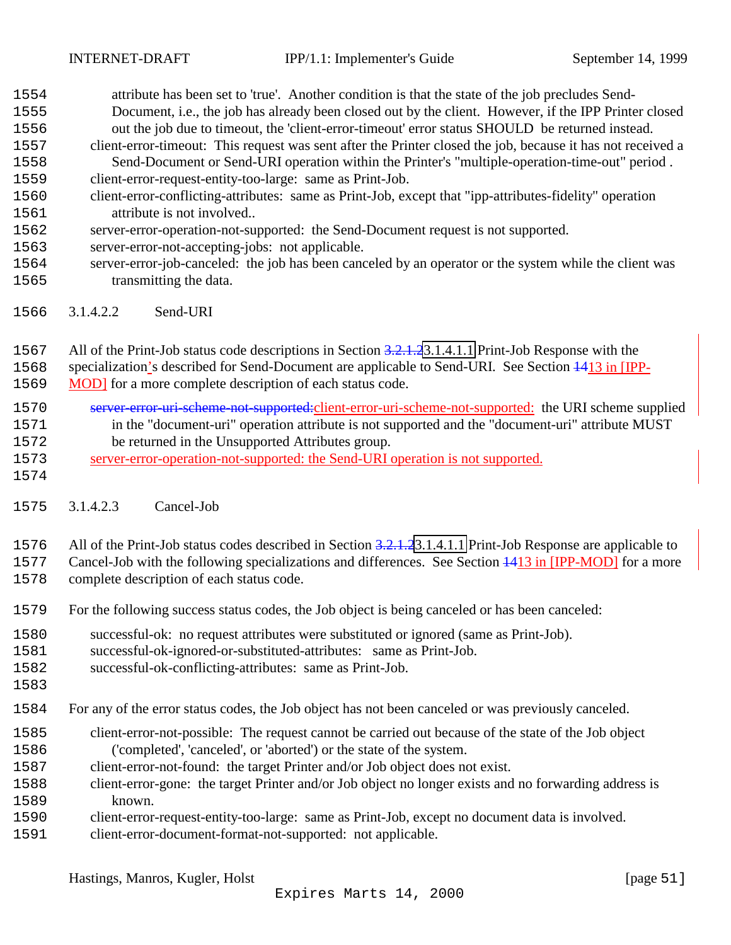- <span id="page-50-0"></span> attribute has been set to 'true'. Another condition is that the state of the job precludes Send- Document, i.e., the job has already been closed out by the client. However, if the IPP Printer closed out the job due to timeout, the 'client-error-timeout' error status SHOULD be returned instead. client-error-timeout: This request was sent after the Printer closed the job, because it has not received a Send-Document or Send-URI operation within the Printer's "multiple-operation-time-out" period .
- client-error-request-entity-too-large: same as Print-Job.
- client-error-conflicting-attributes: same as Print-Job, except that "ipp-attributes-fidelity" operation attribute is not involved..
- server-error-operation-not-supported: the Send-Document request is not supported.
- server-error-not-accepting-jobs: not applicable.
- server-error-job-canceled: the job has been canceled by an operator or the system while the client was transmitting the data.
- 3.1.4.2.2 Send-URI
- 1567 All of the Print-Job status code descriptions in Section 3.2.1.[23.1.4.1.1](#page-44-0) Print-Job Response with the
- specialization's described for Send-Document are applicable to Send-URI. See Section 1413 in [IPP-
- MOD] for a more complete description of each status code.
- server-error-uri-scheme-not-supported:client-error-uri-scheme-not-supported: the URI scheme supplied in the "document-uri" operation attribute is not supported and the "document-uri" attribute MUST be returned in the Unsupported Attributes group.
- server-error-operation-not-supported: the Send-URI operation is not supported.
- 

3.1.4.2.3 Cancel-Job

1576 All of the Print-Job status codes described in Section 3.2.1.[23.1.4.1.1](#page-44-0) Print-Job Response are applicable to

Cancel-Job with the following specializations and differences. See Section 1413 in [IPP-MOD] for a more

- complete description of each status code.
- For the following success status codes, the Job object is being canceled or has been canceled:
- successful-ok: no request attributes were substituted or ignored (same as Print-Job).
- successful-ok-ignored-or-substituted-attributes: same as Print-Job.
- successful-ok-conflicting-attributes: same as Print-Job.
- 
- For any of the error status codes, the Job object has not been canceled or was previously canceled.
- client-error-not-possible: The request cannot be carried out because of the state of the Job object ('completed', 'canceled', or 'aborted') or the state of the system.
- client-error-not-found: the target Printer and/or Job object does not exist.
- client-error-gone: the target Printer and/or Job object no longer exists and no forwarding address is known.
- client-error-request-entity-too-large: same as Print-Job, except no document data is involved.
- client-error-document-format-not-supported: not applicable.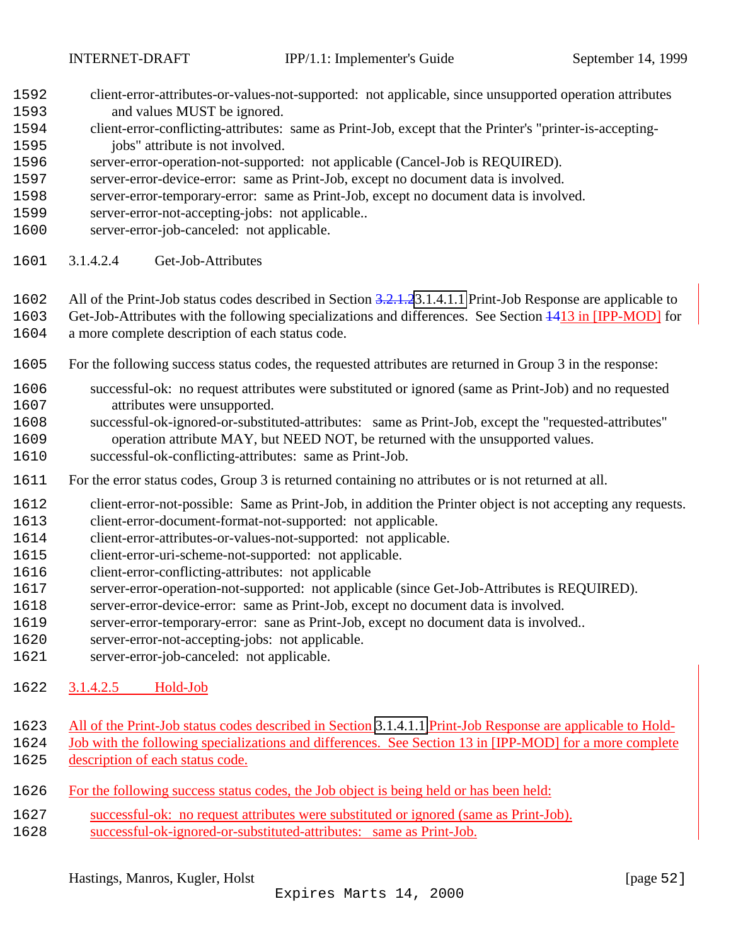- <span id="page-51-0"></span> client-error-attributes-or-values-not-supported: not applicable, since unsupported operation attributes and values MUST be ignored.
- client-error-conflicting-attributes: same as Print-Job, except that the Printer's "printer-is-accepting-jobs" attribute is not involved.
- server-error-operation-not-supported: not applicable (Cancel-Job is REQUIRED).
- server-error-device-error: same as Print-Job, except no document data is involved.
- server-error-temporary-error: same as Print-Job, except no document data is involved.
- server-error-not-accepting-jobs: not applicable..
- server-error-job-canceled: not applicable.
- 3.1.4.2.4 Get-Job-Attributes
- 1602 All of the Print-Job status codes described in Section 3.2.1.[23.1.4.1.1](#page-44-0) Print-Job Response are applicable to
- Get-Job-Attributes with the following specializations and differences. See Section 1413 in [IPP-MOD] for a more complete description of each status code.
- For the following success status codes, the requested attributes are returned in Group 3 in the response:
- successful-ok: no request attributes were substituted or ignored (same as Print-Job) and no requested attributes were unsupported.
- successful-ok-ignored-or-substituted-attributes: same as Print-Job, except the "requested-attributes" operation attribute MAY, but NEED NOT, be returned with the unsupported values.
- successful-ok-conflicting-attributes: same as Print-Job.
- For the error status codes, Group 3 is returned containing no attributes or is not returned at all.
- client-error-not-possible: Same as Print-Job, in addition the Printer object is not accepting any requests. client-error-document-format-not-supported: not applicable.
- client-error-attributes-or-values-not-supported: not applicable.
- client-error-uri-scheme-not-supported: not applicable.
- client-error-conflicting-attributes: not applicable
- server-error-operation-not-supported: not applicable (since Get-Job-Attributes is REQUIRED).
- server-error-device-error: same as Print-Job, except no document data is involved.
- server-error-temporary-error: sane as Print-Job, except no document data is involved..
- server-error-not-accepting-jobs: not applicable.
- server-error-job-canceled: not applicable.
- 3.1.4.2.5 Hold-Job
- All of the Print-Job status codes described in Section [3.1.4.1.1](#page-44-0) Print-Job Response are applicable to Hold-
- Job with the following specializations and differences. See Section 13 in [IPP-MOD] for a more complete 1625 description of each status code.
- For the following success status codes, the Job object is being held or has been held:
- successful-ok: no request attributes were substituted or ignored (same as Print-Job).
- successful-ok-ignored-or-substituted-attributes: same as Print-Job.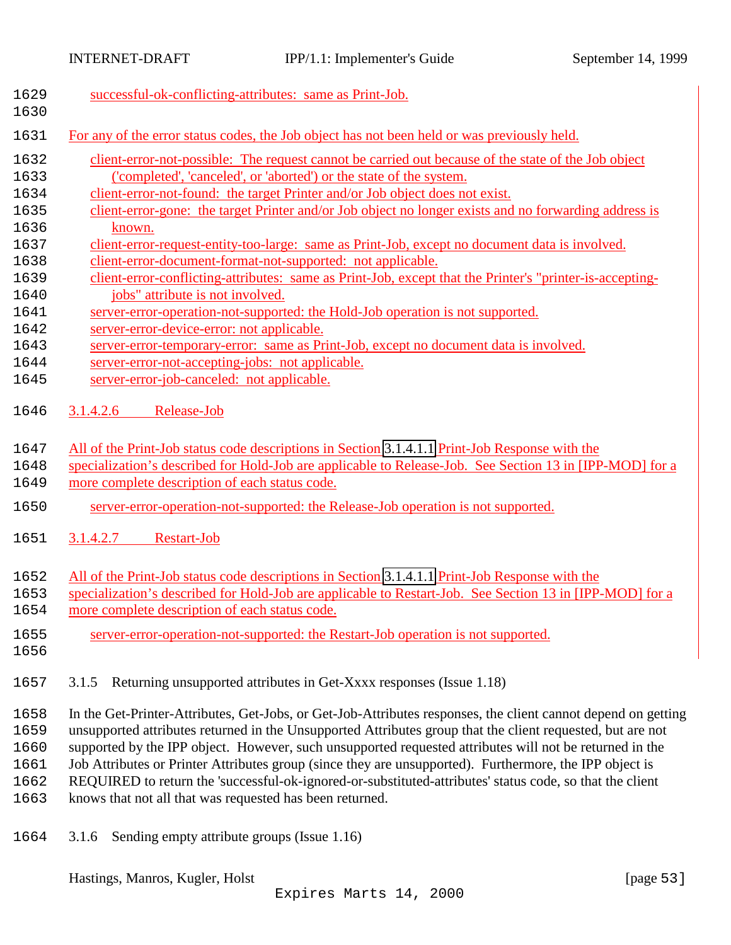<span id="page-52-0"></span>

| 1629 | successful-ok-conflicting-attributes: same as Print-Job.                                                      |
|------|---------------------------------------------------------------------------------------------------------------|
| 1630 |                                                                                                               |
| 1631 | For any of the error status codes, the Job object has not been held or was previously held.                   |
| 1632 | client-error-not-possible: The request cannot be carried out because of the state of the Job object           |
| 1633 | ('completed', 'canceled', or 'aborted') or the state of the system.                                           |
| 1634 | client-error-not-found: the target Printer and/or Job object does not exist.                                  |
| 1635 | client-error-gone: the target Printer and/or Job object no longer exists and no forwarding address is         |
| 1636 | known.                                                                                                        |
| 1637 | client-error-request-entity-too-large: same as Print-Job, except no document data is involved.                |
| 1638 | client-error-document-format-not-supported: not applicable.                                                   |
| 1639 | client-error-conflicting-attributes: same as Print-Job, except that the Printer's "printer-is-accepting-      |
| 1640 | jobs" attribute is not involved.                                                                              |
| 1641 | server-error-operation-not-supported: the Hold-Job operation is not supported.                                |
| 1642 | server-error-device-error: not applicable.                                                                    |
| 1643 | server-error-temporary-error: same as Print-Job, except no document data is involved.                         |
| 1644 | server-error-not-accepting-jobs: not applicable.                                                              |
| 1645 | server-error-job-canceled: not applicable.                                                                    |
| 1646 | 3.1.4.2.6<br>Release-Job                                                                                      |
|      |                                                                                                               |
| 1647 | All of the Print-Job status code descriptions in Section 3.1.4.1.1 Print-Job Response with the                |
| 1648 | specialization's described for Hold-Job are applicable to Release-Job. See Section 13 in [IPP-MOD] for a      |
| 1649 | more complete description of each status code.                                                                |
|      |                                                                                                               |
| 1650 | server-error-operation-not-supported: the Release-Job operation is not supported.                             |
| 1651 | 3.1.4.2.7<br><b>Restart-Job</b>                                                                               |
| 1652 | All of the Print-Job status code descriptions in Section 3.1.4.1.1 Print-Job Response with the                |
| 1653 | specialization's described for Hold-Job are applicable to Restart-Job. See Section 13 in [IPP-MOD] for a      |
| 1654 | more complete description of each status code.                                                                |
|      |                                                                                                               |
| 1655 | server-error-operation-not-supported: the Restart-Job operation is not supported.                             |
| 1656 |                                                                                                               |
| 1657 | Returning unsupported attributes in Get-Xxxx responses (Issue 1.18)<br>3.1.5                                  |
|      |                                                                                                               |
| 1658 | In the Get-Printer-Attributes, Get-Jobs, or Get-Job-Attributes responses, the client cannot depend on getting |
| 1659 | unsupported attributes returned in the Unsupported Attributes group that the client requested, but are not    |
| 1660 | supported by the IPP object. However, such unsupported requested attributes will not be returned in the       |
| 1661 | Job Attributes or Printer Attributes group (since they are unsupported). Furthermore, the IPP object is       |
| 1662 | REQUIRED to return the 'successful-ok-ignored-or-substituted-attributes' status code, so that the client      |
| 1663 | knows that not all that was requested has been returned.                                                      |
|      |                                                                                                               |
|      |                                                                                                               |

1664 3.1.6 Sending empty attribute groups (Issue 1.16)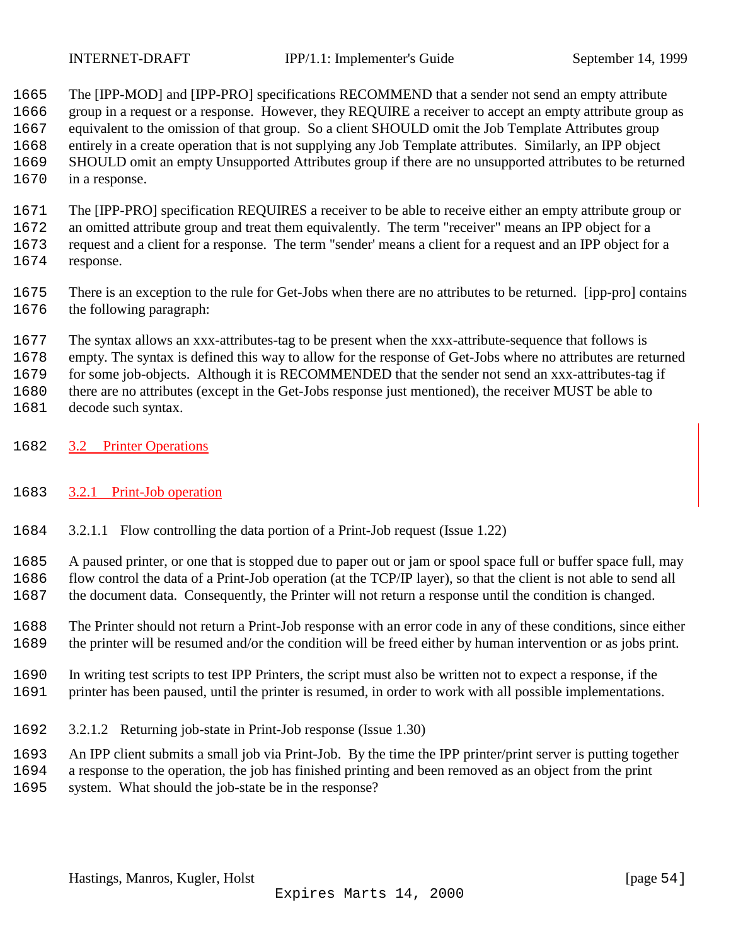<span id="page-53-0"></span>

 The [IPP-MOD] and [IPP-PRO] specifications RECOMMEND that a sender not send an empty attribute group in a request or a response. However, they REQUIRE a receiver to accept an empty attribute group as equivalent to the omission of that group. So a client SHOULD omit the Job Template Attributes group entirely in a create operation that is not supplying any Job Template attributes. Similarly, an IPP object SHOULD omit an empty Unsupported Attributes group if there are no unsupported attributes to be returned in a response.

- The [IPP-PRO] specification REQUIRES a receiver to be able to receive either an empty attribute group or an omitted attribute group and treat them equivalently. The term "receiver" means an IPP object for a request and a client for a response. The term "sender' means a client for a request and an IPP object for a response.
- There is an exception to the rule for Get-Jobs when there are no attributes to be returned. [ipp-pro] contains the following paragraph:
- The syntax allows an xxx-attributes-tag to be present when the xxx-attribute-sequence that follows is

empty. The syntax is defined this way to allow for the response of Get-Jobs where no attributes are returned

1679 for some job-objects. Although it is RECOMMENDED that the sender not send an xxx-attributes-tag if

there are no attributes (except in the Get-Jobs response just mentioned), the receiver MUST be able to

- decode such syntax.
- 3.2 Printer Operations

# 3.2.1 Print-Job operation

3.2.1.1 Flow controlling the data portion of a Print-Job request (Issue 1.22)

A paused printer, or one that is stopped due to paper out or jam or spool space full or buffer space full, may

- flow control the data of a Print-Job operation (at the TCP/IP layer), so that the client is not able to send all the document data. Consequently, the Printer will not return a response until the condition is changed.
- The Printer should not return a Print-Job response with an error code in any of these conditions, since either the printer will be resumed and/or the condition will be freed either by human intervention or as jobs print.
- In writing test scripts to test IPP Printers, the script must also be written not to expect a response, if the printer has been paused, until the printer is resumed, in order to work with all possible implementations.
- 3.2.1.2 Returning job-state in Print-Job response (Issue 1.30)

An IPP client submits a small job via Print-Job. By the time the IPP printer/print server is putting together

 a response to the operation, the job has finished printing and been removed as an object from the print system. What should the job-state be in the response?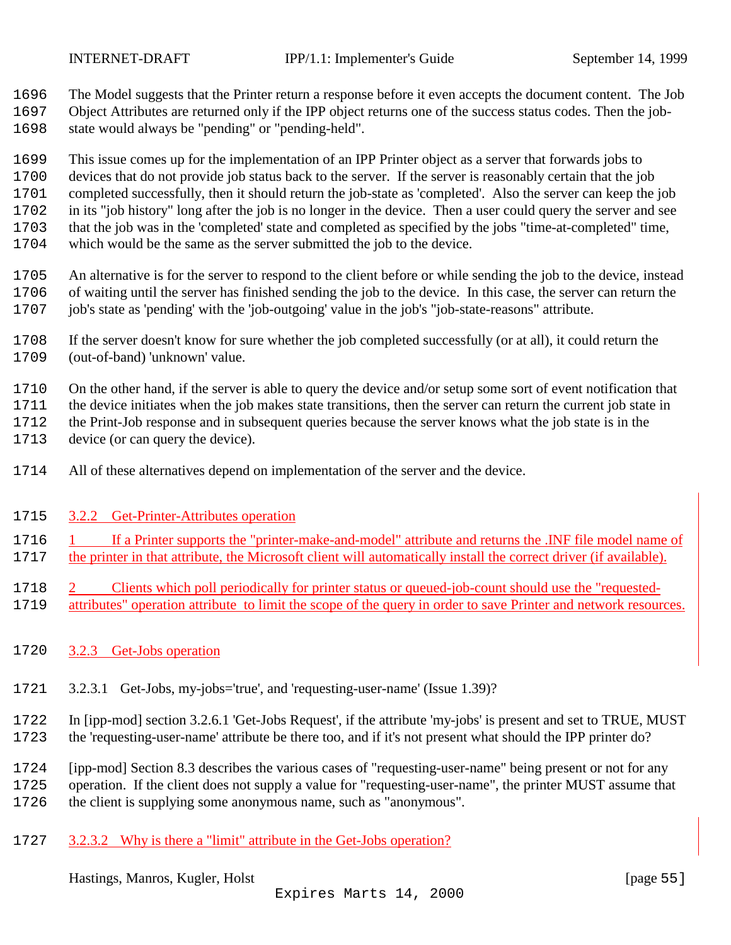<span id="page-54-0"></span>

The Model suggests that the Printer return a response before it even accepts the document content. The Job

 Object Attributes are returned only if the IPP object returns one of the success status codes. Then the job-state would always be "pending" or "pending-held".

 This issue comes up for the implementation of an IPP Printer object as a server that forwards jobs to devices that do not provide job status back to the server. If the server is reasonably certain that the job completed successfully, then it should return the job-state as 'completed'. Also the server can keep the job in its "job history" long after the job is no longer in the device. Then a user could query the server and see that the job was in the 'completed' state and completed as specified by the jobs "time-at-completed" time,

which would be the same as the server submitted the job to the device.

 An alternative is for the server to respond to the client before or while sending the job to the device, instead of waiting until the server has finished sending the job to the device. In this case, the server can return the job's state as 'pending' with the 'job-outgoing' value in the job's "job-state-reasons" attribute.

 If the server doesn't know for sure whether the job completed successfully (or at all), it could return the (out-of-band) 'unknown' value.

On the other hand, if the server is able to query the device and/or setup some sort of event notification that

the device initiates when the job makes state transitions, then the server can return the current job state in

the Print-Job response and in subsequent queries because the server knows what the job state is in the

- device (or can query the device).
- All of these alternatives depend on implementation of the server and the device.

#### 3.2.2 Get-Printer-Attributes operation

1716 1 If a Printer supports the "printer-make-and-model" attribute and returns the .INF file model name of the printer in that attribute, the Microsoft client will automatically install the correct driver (if available).

- 2 Clients which poll periodically for printer status or queued-job-count should use the "requested-
- attributes" operation attribute to limit the scope of the query in order to save Printer and network resources.
- 3.2.3 Get-Jobs operation
- 3.2.3.1 Get-Jobs, my-jobs='true', and 'requesting-user-name' (Issue 1.39)?

 In [ipp-mod] section 3.2.6.1 'Get-Jobs Request', if the attribute 'my-jobs' is present and set to TRUE, MUST the 'requesting-user-name' attribute be there too, and if it's not present what should the IPP printer do?

 [ipp-mod] Section 8.3 describes the various cases of "requesting-user-name" being present or not for any operation. If the client does not supply a value for "requesting-user-name", the printer MUST assume that

- the client is supplying some anonymous name, such as "anonymous".
- 3.2.3.2 Why is there a "limit" attribute in the Get-Jobs operation?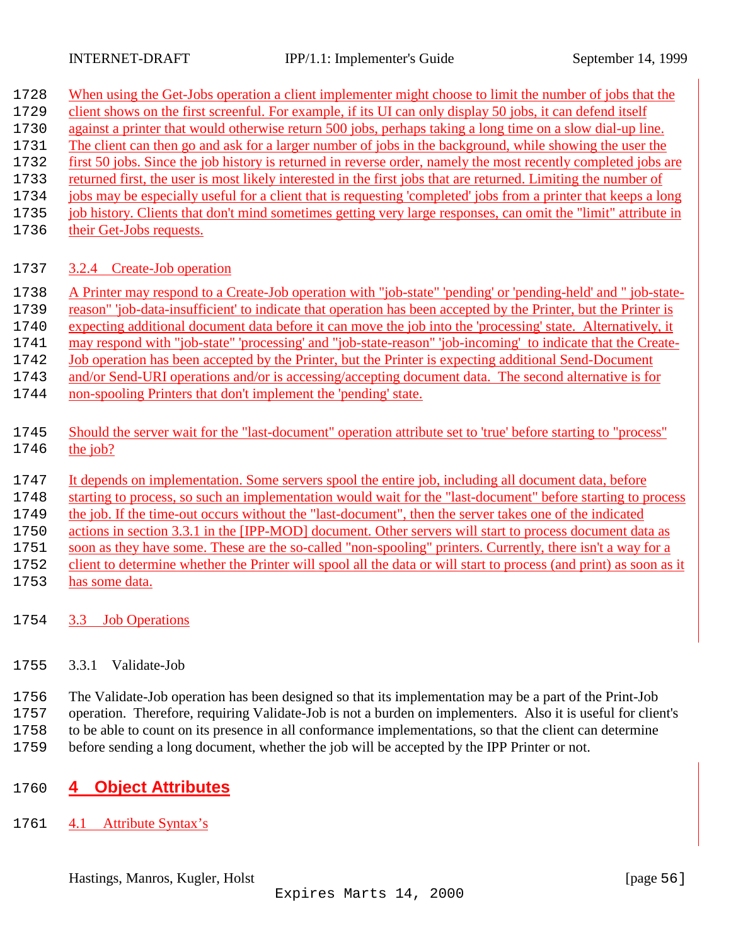<span id="page-55-0"></span>

| 1728 | When using the Get-Jobs operation a client implementer might choose to limit the number of jobs that the           |
|------|--------------------------------------------------------------------------------------------------------------------|
| 1729 | client shows on the first screenful. For example, if its UI can only display 50 jobs, it can defend itself         |
| 1730 | against a printer that would otherwise return 500 jobs, perhaps taking a long time on a slow dial-up line.         |
| 1731 | The client can then go and ask for a larger number of jobs in the background, while showing the user the           |
| 1732 | first 50 jobs. Since the job history is returned in reverse order, namely the most recently completed jobs are     |
| 1733 | returned first, the user is most likely interested in the first jobs that are returned. Limiting the number of     |
| 1734 | jobs may be especially useful for a client that is requesting 'completed' jobs from a printer that keeps a long    |
| 1735 | job history. Clients that don't mind sometimes getting very large responses, can omit the "limit" attribute in     |
| 1736 | their Get-Jobs requests.                                                                                           |
|      |                                                                                                                    |
| 1737 | 3.2.4 Create-Job operation                                                                                         |
|      |                                                                                                                    |
| 1738 | A Printer may respond to a Create-Job operation with "job-state" 'pending' or 'pending-held' and " job-state-      |
| 1739 | reason" 'job-data-insufficient' to indicate that operation has been accepted by the Printer, but the Printer is    |
| 1740 | expecting additional document data before it can move the job into the 'processing' state. Alternatively, it       |
| 1741 | may respond with "job-state" 'processing' and "job-state-reason" 'job-incoming' to indicate that the Create-       |
| 1742 | Job operation has been accepted by the Printer, but the Printer is expecting additional Send-Document              |
| 1743 | and/or Send-URI operations and/or is accessing/accepting document data. The second alternative is for              |
| 1744 | non-spooling Printers that don't implement the 'pending' state.                                                    |
|      |                                                                                                                    |
| 1745 | Should the server wait for the "last-document" operation attribute set to 'true' before starting to "process"      |
| 1746 | the job?                                                                                                           |
|      |                                                                                                                    |
| 1747 | It depends on implementation. Some servers spool the entire job, including all document data, before               |
| 1748 | starting to process, so such an implementation would wait for the "last-document" before starting to process       |
| 1749 | the job. If the time-out occurs without the "last-document", then the server takes one of the indicated            |
| 1750 | actions in section 3.3.1 in the [IPP-MOD] document. Other servers will start to process document data as           |
| 1751 | soon as they have some. These are the so-called "non-spooling" printers. Currently, there isn't a way for a        |
| 1752 | client to determine whether the Printer will spool all the data or will start to process (and print) as soon as it |
| 1753 | has some data.                                                                                                     |
|      |                                                                                                                    |
|      |                                                                                                                    |

- 1754 3.3 Job Operations
- 1755 3.3.1 Validate-Job

 The Validate-Job operation has been designed so that its implementation may be a part of the Print-Job operation. Therefore, requiring Validate-Job is not a burden on implementers. Also it is useful for client's to be able to count on its presence in all conformance implementations, so that the client can determine before sending a long document, whether the job will be accepted by the IPP Printer or not.

# 1760 **4 Object Attributes**

1761 4.1 Attribute Syntax's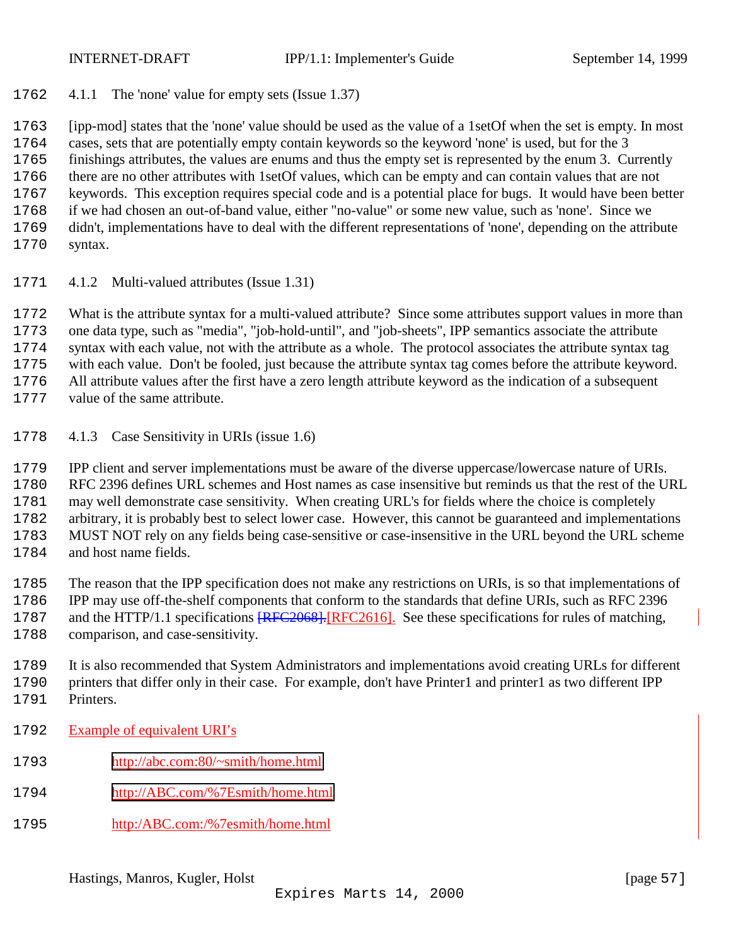<span id="page-56-0"></span>

4.1.1 The 'none' value for empty sets (Issue 1.37)

 [ipp-mod] states that the 'none' value should be used as the value of a 1setOf when the set is empty. In most cases, sets that are potentially empty contain keywords so the keyword 'none' is used, but for the 3 finishings attributes, the values are enums and thus the empty set is represented by the enum 3. Currently there are no other attributes with 1setOf values, which can be empty and can contain values that are not keywords. This exception requires special code and is a potential place for bugs. It would have been better if we had chosen an out-of-band value, either "no-value" or some new value, such as 'none'. Since we didn't, implementations have to deal with the different representations of 'none', depending on the attribute syntax.

4.1.2 Multi-valued attributes (Issue 1.31)

 What is the attribute syntax for a multi-valued attribute? Since some attributes support values in more than one data type, such as "media", "job-hold-until", and "job-sheets", IPP semantics associate the attribute syntax with each value, not with the attribute as a whole. The protocol associates the attribute syntax tag with each value. Don't be fooled, just because the attribute syntax tag comes before the attribute keyword. All attribute values after the first have a zero length attribute keyword as the indication of a subsequent value of the same attribute.

4.1.3 Case Sensitivity in URIs (issue 1.6)

 IPP client and server implementations must be aware of the diverse uppercase/lowercase nature of URIs. RFC 2396 defines URL schemes and Host names as case insensitive but reminds us that the rest of the URL may well demonstrate case sensitivity. When creating URL's for fields where the choice is completely arbitrary, it is probably best to select lower case. However, this cannot be guaranteed and implementations MUST NOT rely on any fields being case-sensitive or case-insensitive in the URL beyond the URL scheme and host name fields.

 The reason that the IPP specification does not make any restrictions on URIs, is so that implementations of IPP may use off-the-shelf components that conform to the standards that define URIs, such as RFC 2396 1787 and the HTTP/1.1 specifications  $RFC2068$ . [RFC2616]. See these specifications for rules of matching, comparison, and case-sensitivity.

 It is also recommended that System Administrators and implementations avoid creating URLs for different printers that differ only in their case. For example, don't have Printer1 and printer1 as two different IPP Printers.

- Example of equivalent URI's
- [http://abc.com:80/~smith/home.html](http://abc.com/~smith/home.html)
- [http://ABC.com/%7Esmith/home.html](http://abc.com/%7Esmith/home.html)
- http:/ABC.com:/%7esmith/home.html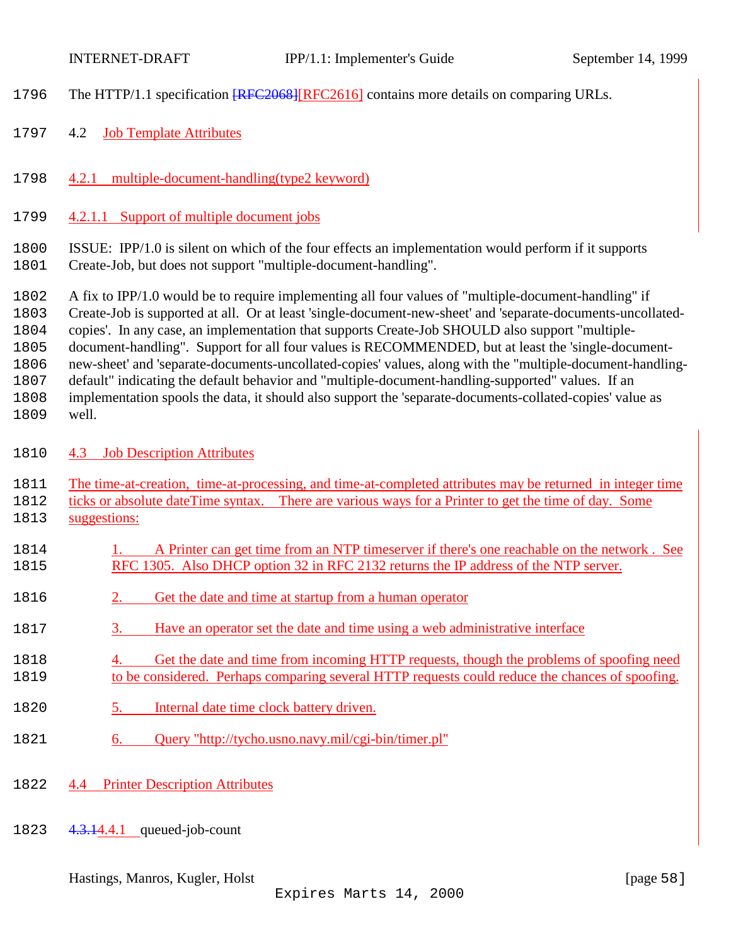<span id="page-57-0"></span>

- 1796 The HTTP/1.1 specification  $RFC2068$  [RFC2616] contains more details on comparing URLs.
- 4.2 Job Template Attributes
- 4.2.1 multiple-document-handling(type2 keyword)
- 4.2.1.1 Support of multiple document jobs

ISSUE: IPP/1.0 is silent on which of the four effects an implementation would perform if it supports

Create-Job, but does not support "multiple-document-handling".

 A fix to IPP/1.0 would be to require implementing all four values of "multiple-document-handling" if Create-Job is supported at all. Or at least 'single-document-new-sheet' and 'separate-documents-uncollated- copies'. In any case, an implementation that supports Create-Job SHOULD also support "multiple- document-handling". Support for all four values is RECOMMENDED, but at least the 'single-document- new-sheet' and 'separate-documents-uncollated-copies' values, along with the "multiple-document-handling- default" indicating the default behavior and "multiple-document-handling-supported" values. If an implementation spools the data, it should also support the 'separate-documents-collated-copies' value as

- well.
- 4.3 Job Description Attributes
- The time-at-creation, time-at-processing, and time-at-completed attributes may be returned in integer time
- ticks or absolute dateTime syntax. There are various ways for a Printer to get the time of day. Some 1813 suggestions:
- 1814 1. A Printer can get time from an NTP timeserver if there's one reachable on the network. See RFC 1305. Also DHCP option 32 in RFC 2132 returns the IP address of the NTP server.
- 2. Get the date and time at startup from a human operator
- 3. Have an operator set the date and time using a web administrative interface
- 4. Get the date and time from incoming HTTP requests, though the problems of spoofing need to be considered. Perhaps comparing several HTTP requests could reduce the chances of spoofing.
- 5. Internal date time clock battery driven.
- 6. Query "http://tycho.usno.navy.mil/cgi-bin/timer.pl"
- 4.4 Printer Description Attributes
- 1823 4.3.14.4.1 queued-job-count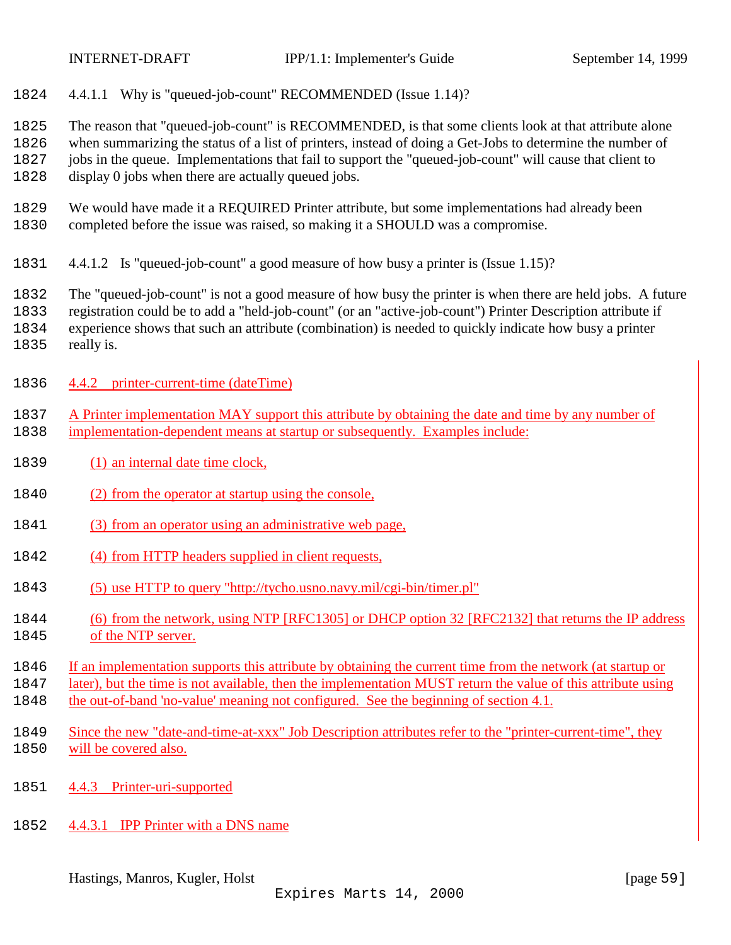<span id="page-58-0"></span>

4.4.1.1 Why is "queued-job-count" RECOMMENDED (Issue 1.14)?

The reason that "queued-job-count" is RECOMMENDED, is that some clients look at that attribute alone

 when summarizing the status of a list of printers, instead of doing a Get-Jobs to determine the number of jobs in the queue. Implementations that fail to support the "queued-job-count" will cause that client to

display 0 jobs when there are actually queued jobs.

- We would have made it a REQUIRED Printer attribute, but some implementations had already been completed before the issue was raised, so making it a SHOULD was a compromise.
- 4.4.1.2 Is "queued-job-count" a good measure of how busy a printer is (Issue 1.15)?

The "queued-job-count" is not a good measure of how busy the printer is when there are held jobs. A future

registration could be to add a "held-job-count" (or an "active-job-count") Printer Description attribute if

experience shows that such an attribute (combination) is needed to quickly indicate how busy a printer

- really is.
- 4.4.2 printer-current-time (dateTime)
- A Printer implementation MAY support this attribute by obtaining the date and time by any number of implementation-dependent means at startup or subsequently. Examples include:
- 1839 (1) an internal date time clock,
- (2) from the operator at startup using the console,
- 1841 (3) from an operator using an administrative web page,
- 1842 (4) from HTTP headers supplied in client requests,
- (5) use HTTP to query "http://tycho.usno.navy.mil/cgi-bin/timer.pl"
- (6) from the network, using NTP [RFC1305] or DHCP option 32 [RFC2132] that returns the IP address of the NTP server.
- If an implementation supports this attribute by obtaining the current time from the network (at startup or

later), but the time is not available, then the implementation MUST return the value of this attribute using

- the out-of-band 'no-value' meaning not configured. See the beginning of section 4.1.
- Since the new "date-and-time-at-xxx" Job Description attributes refer to the "printer-current-time", they will be covered also.
- 4.4.3 Printer-uri-supported
- 4.4.3.1 IPP Printer with a DNS name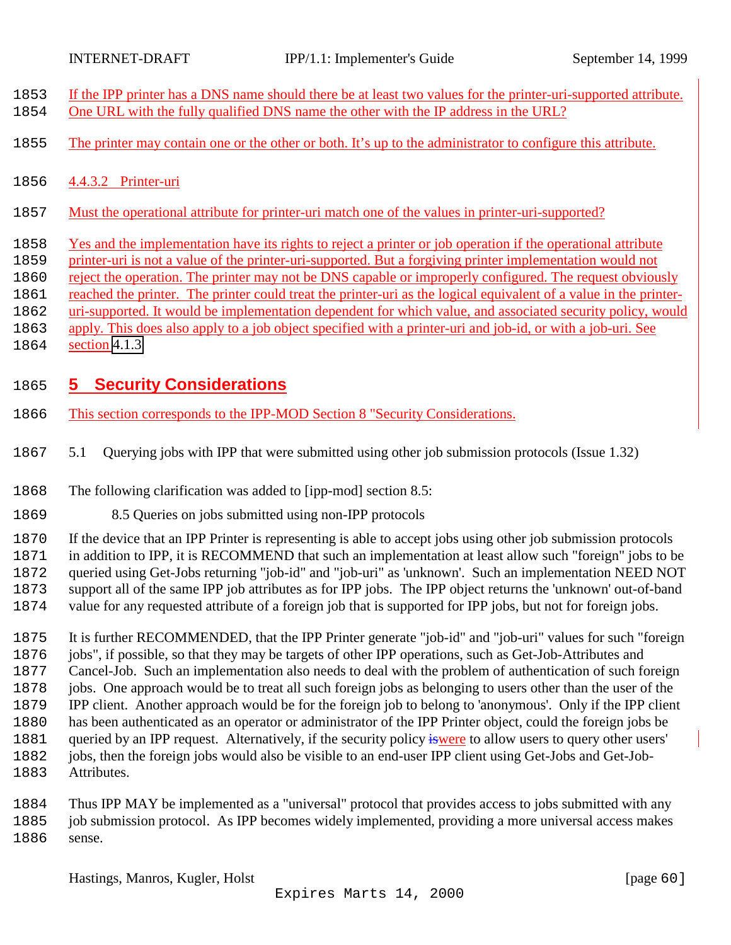<span id="page-59-0"></span>

- If the IPP printer has a DNS name should there be at least two values for the printer-uri-supported attribute.
- One URL with the fully qualified DNS name the other with the IP address in the URL?
- 1855 The printer may contain one or the other or both. It's up to the administrator to configure this attribute.
- 4.4.3.2 Printer-uri
- Must the operational attribute for printer-uri match one of the values in printer-uri-supported?
- Yes and the implementation have its rights to reject a printer or job operation if the operational attribute
- printer-uri is not a value of the printer-uri-supported. But a forgiving printer implementation would not
- reject the operation. The printer may not be DNS capable or improperly configured. The request obviously
- 1861 reached the printer. The printer could treat the printer-uri as the logical equivalent of a value in the printer-
- uri-supported. It would be implementation dependent for which value, and associated security policy, would
- apply. This does also apply to a job object specified with a printer-uri and job-id, or with a job-uri. See
- section [4.1.3](#page-56-0)

# **5 Security Considerations**

- This section corresponds to the IPP-MOD Section 8 "Security Considerations.
- 5.1 Querying jobs with IPP that were submitted using other job submission protocols (Issue 1.32)
- The following clarification was added to [ipp-mod] section 8.5:
- 8.5 Queries on jobs submitted using non-IPP protocols
- If the device that an IPP Printer is representing is able to accept jobs using other job submission protocols
- in addition to IPP, it is RECOMMEND that such an implementation at least allow such "foreign" jobs to be queried using Get-Jobs returning "job-id" and "job-uri" as 'unknown'. Such an implementation NEED NOT
- support all of the same IPP job attributes as for IPP jobs. The IPP object returns the 'unknown' out-of-band
- value for any requested attribute of a foreign job that is supported for IPP jobs, but not for foreign jobs.
- It is further RECOMMENDED, that the IPP Printer generate "job-id" and "job-uri" values for such "foreign jobs", if possible, so that they may be targets of other IPP operations, such as Get-Job-Attributes and Cancel-Job. Such an implementation also needs to deal with the problem of authentication of such foreign jobs. One approach would be to treat all such foreign jobs as belonging to users other than the user of the IPP client. Another approach would be for the foreign job to belong to 'anonymous'. Only if the IPP client has been authenticated as an operator or administrator of the IPP Printer object, could the foreign jobs be 1881 queried by an IPP request. Alternatively, if the security policy iswere to allow users to query other users' jobs, then the foreign jobs would also be visible to an end-user IPP client using Get-Jobs and Get-Job-Attributes.
- Thus IPP MAY be implemented as a "universal" protocol that provides access to jobs submitted with any job submission protocol. As IPP becomes widely implemented, providing a more universal access makes sense.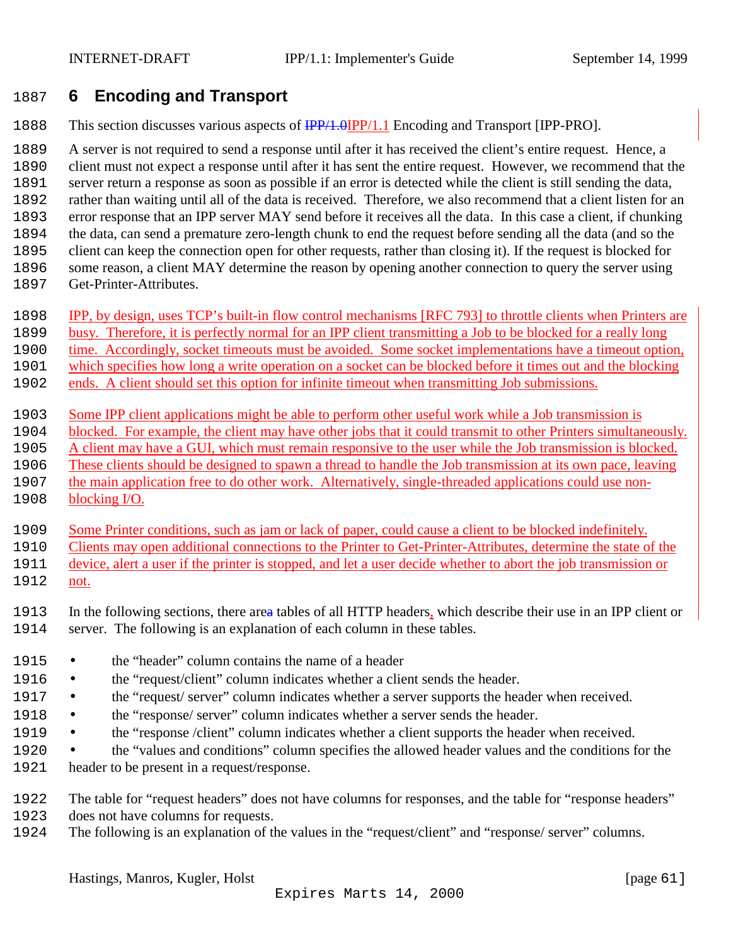# <span id="page-60-0"></span>**6 Encoding and Transport**

1888 This section discusses various aspects of  $\frac{IPP}{1.0}$   $IPP/1.1$  Encoding and Transport [IPP-PRO].

 A server is not required to send a response until after it has received the client's entire request. Hence, a client must not expect a response until after it has sent the entire request. However, we recommend that the server return a response as soon as possible if an error is detected while the client is still sending the data, rather than waiting until all of the data is received. Therefore, we also recommend that a client listen for an error response that an IPP server MAY send before it receives all the data. In this case a client, if chunking the data, can send a premature zero-length chunk to end the request before sending all the data (and so the client can keep the connection open for other requests, rather than closing it). If the request is blocked for some reason, a client MAY determine the reason by opening another connection to query the server using

- Get-Printer-Attributes.
- IPP, by design, uses TCP's built-in flow control mechanisms [RFC 793] to throttle clients when Printers are
- busy. Therefore, it is perfectly normal for an IPP client transmitting a Job to be blocked for a really long
- time. Accordingly, socket timeouts must be avoided. Some socket implementations have a timeout option,
- which specifies how long a write operation on a socket can be blocked before it times out and the blocking
- ends. A client should set this option for infinite timeout when transmitting Job submissions.
- Some IPP client applications might be able to perform other useful work while a Job transmission is
- blocked. For example, the client may have other jobs that it could transmit to other Printers simultaneously.
- A client may have a GUI, which must remain responsive to the user while the Job transmission is blocked.
- These clients should be designed to spawn a thread to handle the Job transmission at its own pace, leaving
- the main application free to do other work. Alternatively, single-threaded applications could use non-
- blocking I/O.

Some Printer conditions, such as jam or lack of paper, could cause a client to be blocked indefinitely.

- Clients may open additional connections to the Printer to Get-Printer-Attributes, determine the state of the
- device, alert a user if the printer is stopped, and let a user decide whether to abort the job transmission or
- not.
- In the following sections, there area tables of all HTTP headers, which describe their use in an IPP client or server. The following is an explanation of each column in these tables.
- the "header" column contains the name of a header
- 1916 the "request/client" column indicates whether a client sends the header.
- 1917 the "request' server" column indicates whether a server supports the header when received.
- 1918 the "response/ server" column indicates whether a server sends the header.
- the "response /client" column indicates whether a client supports the header when received.
- the "values and conditions" column specifies the allowed header values and the conditions for the header to be present in a request/response.
- The table for "request headers" does not have columns for responses, and the table for "response headers"
- does not have columns for requests.
- The following is an explanation of the values in the "request/client" and "response/ server" columns.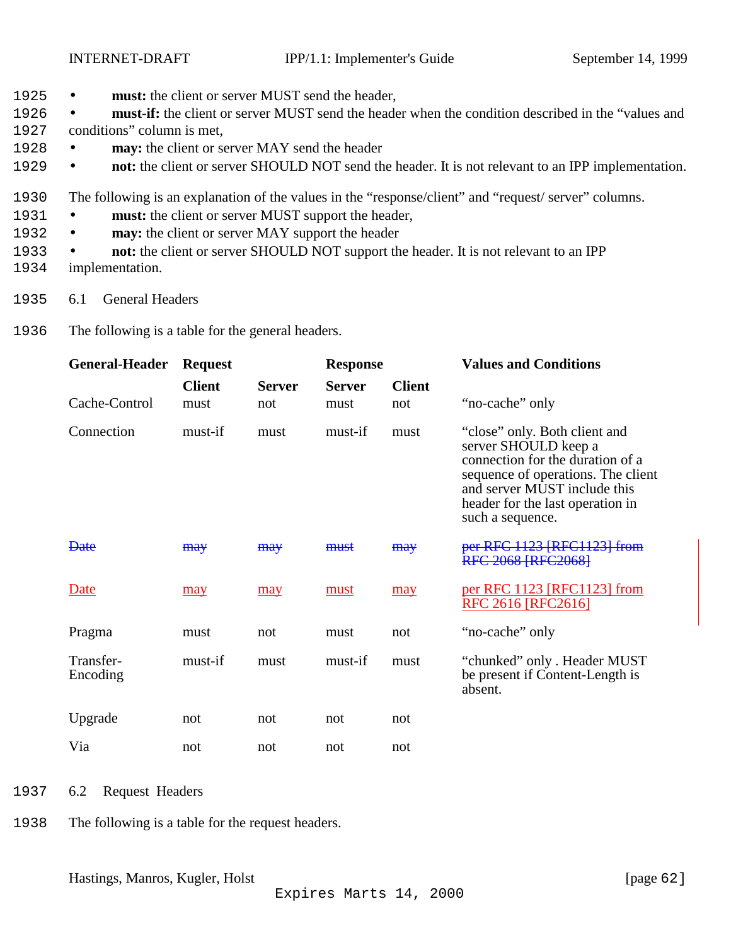- <span id="page-61-0"></span>1925 • **must:** the client or server MUST send the header,
- 1926 **must-if:** the client or server MUST send the header when the condition described in the "values and
- 1927 conditions" column is met,
- 1928 **may:** the client or server MAY send the header
- 1929 **not:** the client or server SHOULD NOT send the header. It is not relevant to an IPP implementation.
- 1930 The following is an explanation of the values in the "response/client" and "request/ server" columns.
- 1931 **must:** the client or server MUST support the header,
- 1932 **may:** the client or server MAY support the header
- 1933 **not:** the client or server SHOULD NOT support the header. It is not relevant to an IPP
- 1934 implementation.
- 1935 6.1 General Headers
- 1936 The following is a table for the general headers.

| <b>General-Header</b> | <b>Request</b>        |                      | <b>Response</b>       |                      | <b>Values and Conditions</b>                                                                                                                                                                                            |
|-----------------------|-----------------------|----------------------|-----------------------|----------------------|-------------------------------------------------------------------------------------------------------------------------------------------------------------------------------------------------------------------------|
| Cache-Control         | <b>Client</b><br>must | <b>Server</b><br>not | <b>Server</b><br>must | <b>Client</b><br>not | "no-cache" only                                                                                                                                                                                                         |
| Connection            | must-if               | must                 | must-if               | must                 | "close" only. Both client and<br>server SHOULD keep a<br>connection for the duration of a<br>sequence of operations. The client<br>and server MUST include this<br>header for the last operation in<br>such a sequence. |
| <del>Date</del>       | <b>may</b>            | <b>may</b>           | must                  | <b>may</b>           | per RFC 1123 [RFC1123] from<br><b>RFC 2068 [RFC2068]</b>                                                                                                                                                                |
| Date                  | may                   | may                  | must                  | may                  | per RFC 1123 [RFC1123] from<br>RFC 2616 [RFC2616]                                                                                                                                                                       |
| Pragma                | must                  | not                  | must                  | not                  | "no-cache" only                                                                                                                                                                                                         |
| Transfer-<br>Encoding | must-if               | must                 | must-if               | must                 | "chunked" only . Header MUST<br>be present if Content-Length is<br>absent.                                                                                                                                              |
| Upgrade               | not                   | not                  | not                   | not                  |                                                                                                                                                                                                                         |
| Via                   | not                   | not                  | not                   | not                  |                                                                                                                                                                                                                         |

- 1937 6.2 Request Headers
- 1938 The following is a table for the request headers.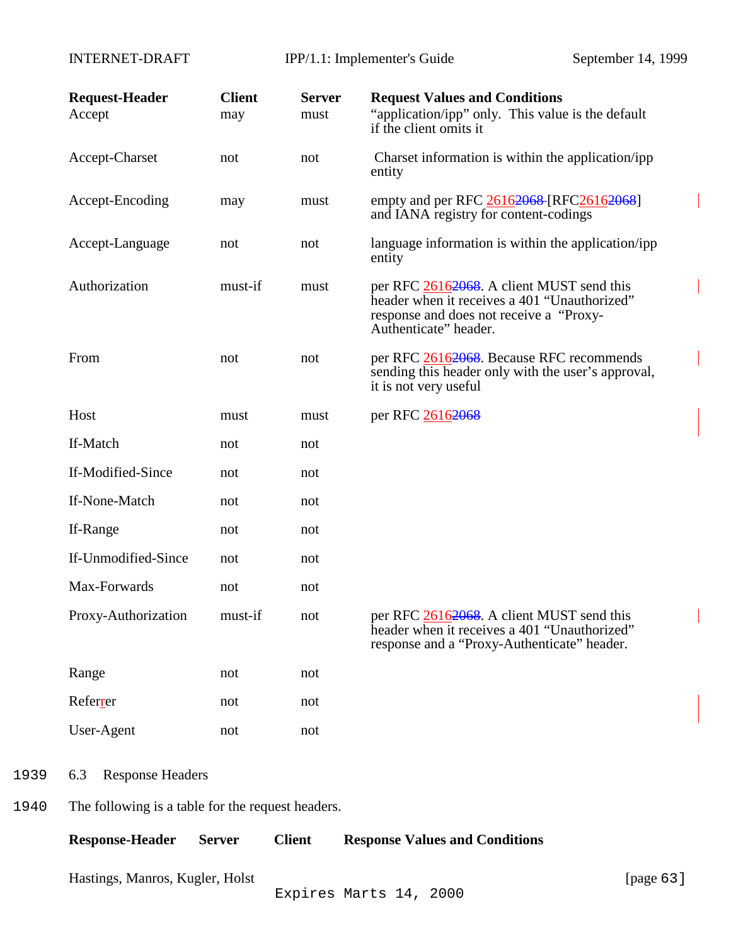<span id="page-62-0"></span>INTERNET-DRAFT IPP/1.1: Implementer's Guide September 14, 1999

| <b>Request-Header</b><br>Accept                   | <b>Client</b><br>may | <b>Server</b><br>must | <b>Request Values and Conditions</b><br>"application/ipp" only. This value is the default<br>if the client omits it                                           |
|---------------------------------------------------|----------------------|-----------------------|---------------------------------------------------------------------------------------------------------------------------------------------------------------|
| Accept-Charset                                    | not                  | not                   | Charset information is within the application/ipp<br>entity                                                                                                   |
| Accept-Encoding                                   | may                  | must                  | empty and per RFC 26162068 [RFC26162068]<br>and IANA registry for content-codings                                                                             |
| Accept-Language                                   | not                  | not                   | language information is within the application/ipp<br>entity                                                                                                  |
| Authorization                                     | must-if              | must                  | per RFC 26162068. A client MUST send this<br>header when it receives a 401 "Unauthorized"<br>response and does not receive a "Proxy-<br>Authenticate" header. |
| From                                              | not                  | not                   | per RFC 26162068. Because RFC recommends<br>sending this header only with the user's approval,<br>it is not very useful                                       |
| Host                                              | must                 | must                  | per RFC 26162068                                                                                                                                              |
| If-Match                                          | not                  | not                   |                                                                                                                                                               |
| If-Modified-Since                                 | not                  | not                   |                                                                                                                                                               |
| If-None-Match                                     | not                  | not                   |                                                                                                                                                               |
| If-Range                                          | not                  | not                   |                                                                                                                                                               |
| If-Unmodified-Since                               | not                  | not                   |                                                                                                                                                               |
| Max-Forwards                                      | not                  | not                   |                                                                                                                                                               |
| Proxy-Authorization                               | must-if              | not                   | per RFC 26162068. A client MUST send this<br>header when it receives a 401 "Unauthorized"<br>response and a "Proxy-Authenticate" header.                      |
| Range                                             | not                  | not                   |                                                                                                                                                               |
| Referrer                                          | not                  | not                   |                                                                                                                                                               |
| User-Agent                                        | not                  | not                   |                                                                                                                                                               |
| <b>Response Headers</b><br>6.3                    |                      |                       |                                                                                                                                                               |
| The following is a table for the request headers. |                      |                       |                                                                                                                                                               |
| <b>Response-Header</b>                            | <b>Server</b>        | <b>Client</b>         | <b>Response Values and Conditions</b>                                                                                                                         |

Hastings, Manros, Kugler, Holst [page 63]

1939

1940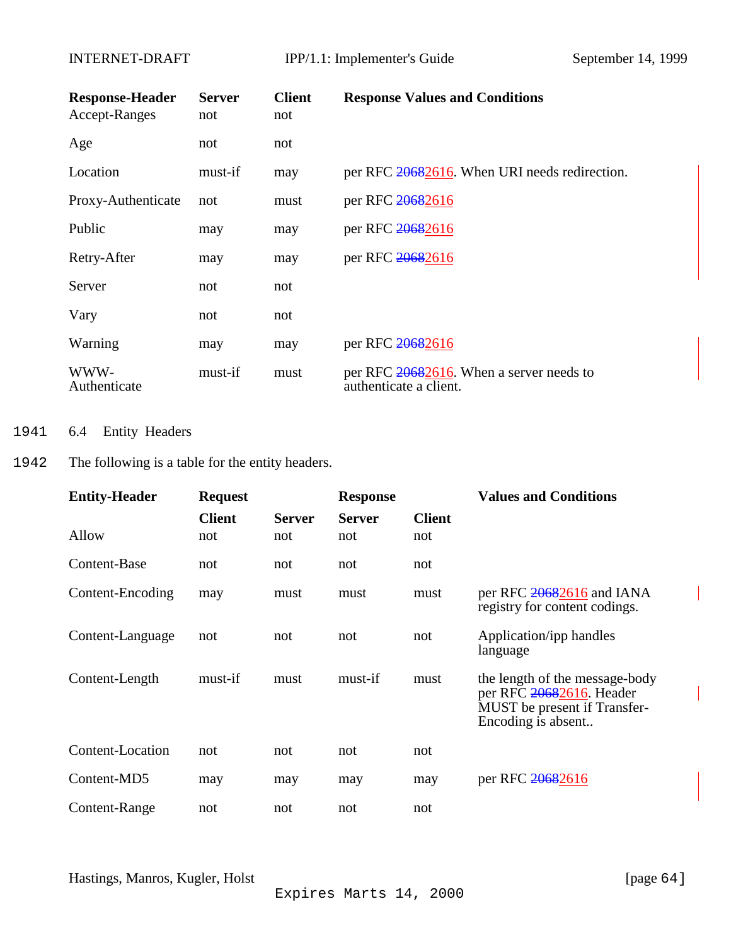<span id="page-63-0"></span>

| <b>Response-Header</b><br>Accept-Ranges | <b>Server</b><br>not | <b>Client</b><br>not | <b>Response Values and Conditions</b>                              |
|-----------------------------------------|----------------------|----------------------|--------------------------------------------------------------------|
| Age                                     | not                  | not                  |                                                                    |
| Location                                | must-if              | may                  | per RFC 20682616. When URI needs redirection.                      |
| Proxy-Authenticate                      | not                  | must                 | per RFC 20682616                                                   |
| Public                                  | may                  | may                  | per RFC 20682616                                                   |
| Retry-After                             | may                  | may                  | per RFC 20682616                                                   |
| Server                                  | not                  | not                  |                                                                    |
| Vary                                    | not                  | not                  |                                                                    |
| Warning                                 | may                  | may                  | per RFC 20682616                                                   |
| WWW-<br>Authenticate                    | must-if              | must                 | per RFC 20682616. When a server needs to<br>authenticate a client. |

## 1941 6.4 Entity Headers

# 1942 The following is a table for the entity headers.

| <b>Entity-Header</b> | <b>Request</b> |               | <b>Response</b> |               | <b>Values and Conditions</b>                                                                                     |
|----------------------|----------------|---------------|-----------------|---------------|------------------------------------------------------------------------------------------------------------------|
|                      | <b>Client</b>  | <b>Server</b> | <b>Server</b>   | <b>Client</b> |                                                                                                                  |
| Allow                | not            | not           | not             | not           |                                                                                                                  |
| Content-Base         | not            | not           | not             | not           |                                                                                                                  |
| Content-Encoding     | may            | must          | must            | must          | registry for content codings.                                                                                    |
| Content-Language     | not            | not           | not             | not           | Application/ipp handles<br>language                                                                              |
| Content-Length       | must-if        | must          | must-if         | must          | the length of the message-body<br>per RFC 20682616. Header<br>MUST be present if Transfer-<br>Encoding is absent |
| Content-Location     | not            | not           | not             | not           |                                                                                                                  |
| Content-MD5          | may            | may           | may             | may           | per RFC 20682616                                                                                                 |
| Content-Range        | not            | not           | not             | not           |                                                                                                                  |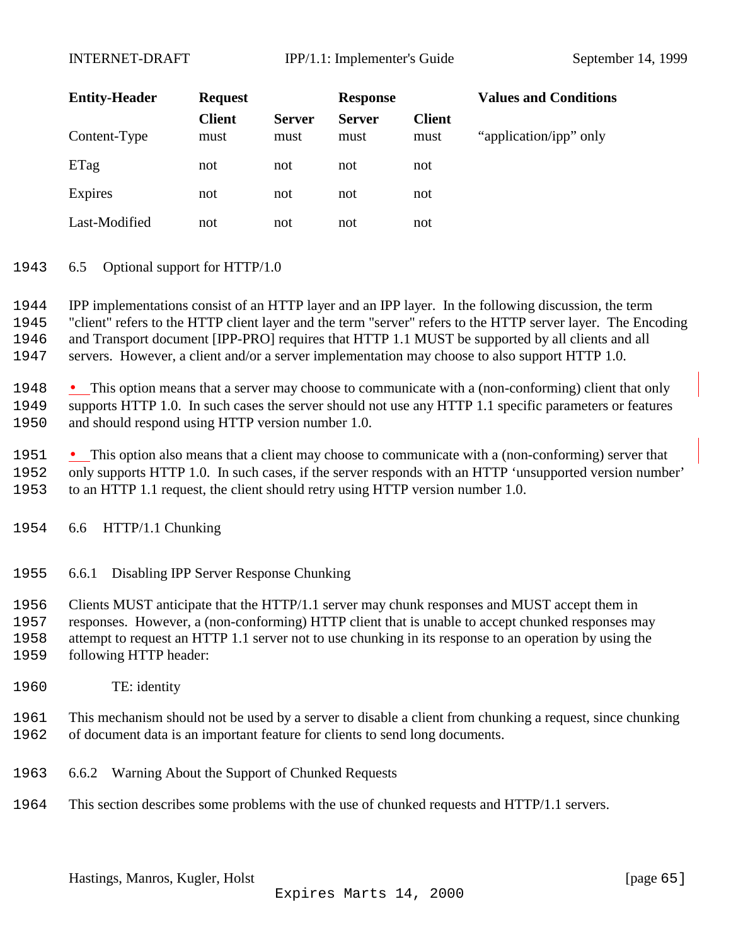<span id="page-64-0"></span>INTERNET-DRAFT IPP/1.1: Implementer's Guide September 14, 1999

| <b>Entity-Header</b> | <b>Request</b>        |                       | <b>Response</b>       |                       | <b>Values and Conditions</b> |
|----------------------|-----------------------|-----------------------|-----------------------|-----------------------|------------------------------|
| Content-Type         | <b>Client</b><br>must | <b>Server</b><br>must | <b>Server</b><br>must | <b>Client</b><br>must | "application/ipp" only       |
| ETag                 | not                   | not                   | not                   | not                   |                              |
| Expires              | not                   | not                   | not                   | not                   |                              |
| Last-Modified        | not                   | not                   | not                   | not                   |                              |

#### 6.5 Optional support for HTTP/1.0

 IPP implementations consist of an HTTP layer and an IPP layer. In the following discussion, the term "client" refers to the HTTP client layer and the term "server" refers to the HTTP server layer. The Encoding and Transport document [IPP-PRO] requires that HTTP 1.1 MUST be supported by all clients and all servers. However, a client and/or a server implementation may choose to also support HTTP 1.0.

1948 • This option means that a server may choose to communicate with a (non-conforming) client that only supports HTTP 1.0. In such cases the server should not use any HTTP 1.1 specific parameters or features and should respond using HTTP version number 1.0.

 • This option also means that a client may choose to communicate with a (non-conforming) server that only supports HTTP 1.0. In such cases, if the server responds with an HTTP 'unsupported version number' to an HTTP 1.1 request, the client should retry using HTTP version number 1.0.

- 6.6 HTTP/1.1 Chunking
- 6.6.1 Disabling IPP Server Response Chunking

 Clients MUST anticipate that the HTTP/1.1 server may chunk responses and MUST accept them in responses. However, a (non-conforming) HTTP client that is unable to accept chunked responses may attempt to request an HTTP 1.1 server not to use chunking in its response to an operation by using the following HTTP header:

TE: identity

 This mechanism should not be used by a server to disable a client from chunking a request, since chunking of document data is an important feature for clients to send long documents.

- 6.6.2 Warning About the Support of Chunked Requests
- This section describes some problems with the use of chunked requests and HTTP/1.1 servers.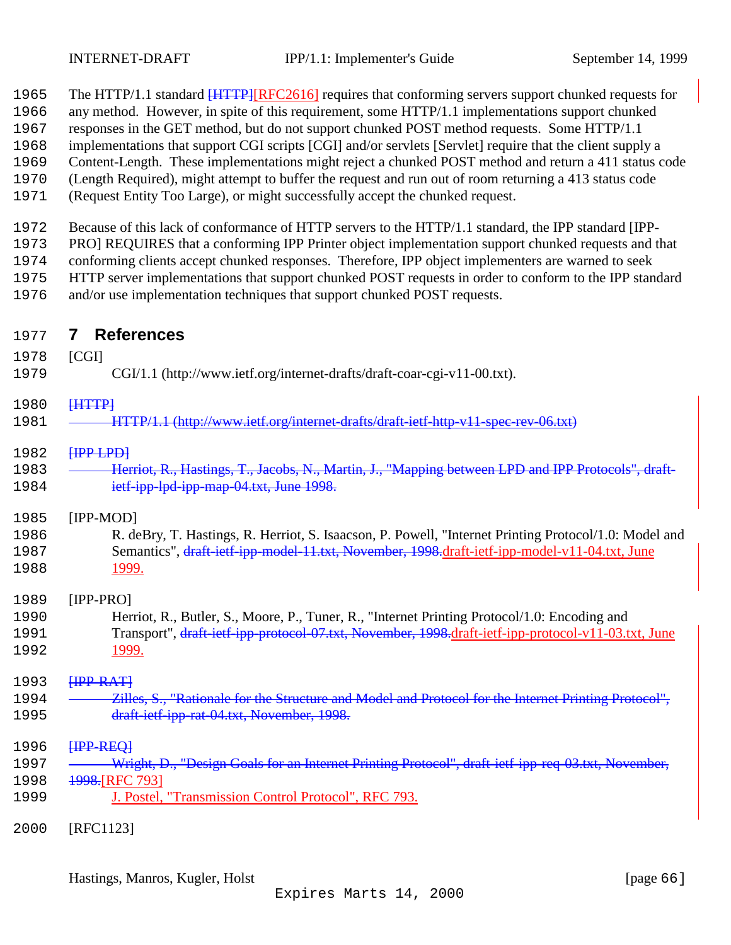<span id="page-65-0"></span>

|  |  | 1965 The HTTP/1.1 standard <b>[HTTP][RFC2616]</b> requires that conforming servers support chunked requests for |  |  |  |
|--|--|-----------------------------------------------------------------------------------------------------------------|--|--|--|
|--|--|-----------------------------------------------------------------------------------------------------------------|--|--|--|

- any method. However, in spite of this requirement, some HTTP/1.1 implementations support chunked
- responses in the GET method, but do not support chunked POST method requests. Some HTTP/1.1
- implementations that support CGI scripts [CGI] and/or servlets [Servlet] require that the client supply a
- Content-Length. These implementations might reject a chunked POST method and return a 411 status code
- (Length Required), might attempt to buffer the request and run out of room returning a 413 status code
- (Request Entity Too Large), or might successfully accept the chunked request.

Because of this lack of conformance of HTTP servers to the HTTP/1.1 standard, the IPP standard [IPP-

PRO] REQUIRES that a conforming IPP Printer object implementation support chunked requests and that

conforming clients accept chunked responses. Therefore, IPP object implementers are warned to seek

- HTTP server implementations that support chunked POST requests in order to conform to the IPP standard
- and/or use implementation techniques that support chunked POST requests.
- **7 References**
- [CGI]
- CGI/1.1 (http://www.ietf.org/internet-drafts/draft-coar-cgi-v11-00.txt).

### **[HTTP]**

HTTP/1.1 (http://www.ietf.org/internet-drafts/draft-ietf-http-v11-spec-rev-06.txt)

### **HPP LPD**

1983 <del>- Herriot, R., Hastings, T., Jacobs, N., Martin, J., "Mapping between LPD and IPP Protocols", draft-</del> 1984 ietf-ipp-lpd-ipp-map-04.txt, June 1998.

### [IPP-MOD]

 R. deBry, T. Hastings, R. Herriot, S. Isaacson, P. Powell, "Internet Printing Protocol/1.0: Model and 1987 Semantics", draft-ietf-ipp-model-11.txt, November, 1998.draft-ietf-ipp-model-v11-04.txt, June 1999.

### [IPP-PRO]

 Herriot, R., Butler, S., Moore, P., Tuner, R., "Internet Printing Protocol/1.0: Encoding and 1991 Transport", draft-ietf-ipp-protocol-07.txt, November, 1998.draft-ietf-ipp-protocol-v11-03.txt, June 1999.

# 1993 <del>[IPP-RAT]</del>

1994 - Zilles, S., "Rationale for the Structure and Model and Protocol for the Internet Printing Protocol", 1995 draft-ietf-ipp-rat-04.txt, November, 1998.

### **HPP-REQ1**

- 1997 <del>- Wright, D., "Design Goals for an Internet Printing Protocol", draft-ietf-ipp-req-03.txt, November,</del> 1998 1998.[RFC 793]
- J. Postel, "Transmission Control Protocol", RFC 793.
- [RFC1123]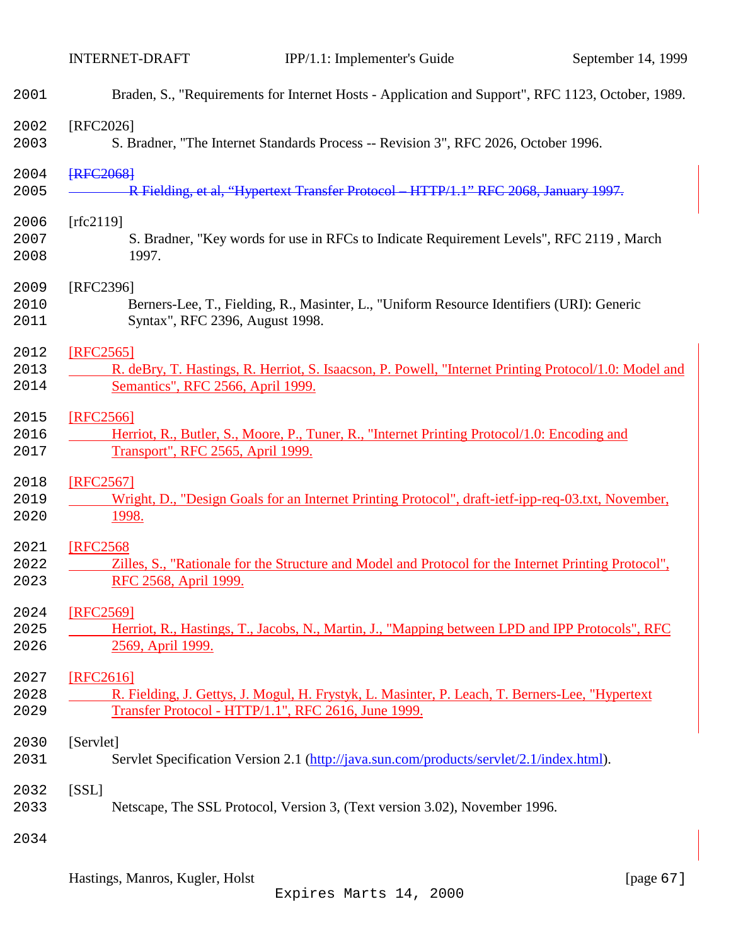| 2001 | Braden, S., "Requirements for Internet Hosts - Application and Support", RFC 1123, October, 1989.     |
|------|-------------------------------------------------------------------------------------------------------|
| 2002 | [RFC2026]                                                                                             |
| 2003 | S. Bradner, "The Internet Standards Process -- Revision 3", RFC 2026, October 1996.                   |
| 2004 | <b>FRFC2068</b>                                                                                       |
| 2005 | R Fielding, et al, "Hypertext Transfer Protocol HTTP/1.1" RFC 2068, January 1997.                     |
| 2006 | [rfc2119]                                                                                             |
| 2007 | S. Bradner, "Key words for use in RFCs to Indicate Requirement Levels", RFC 2119, March               |
| 2008 | 1997.                                                                                                 |
| 2009 | [RFC2396]                                                                                             |
| 2010 | Berners-Lee, T., Fielding, R., Masinter, L., "Uniform Resource Identifiers (URI): Generic             |
| 2011 | Syntax", RFC 2396, August 1998.                                                                       |
| 2012 | [RFC2565]                                                                                             |
| 2013 | R. deBry, T. Hastings, R. Herriot, S. Isaacson, P. Powell, "Internet Printing Protocol/1.0: Model and |
| 2014 | Semantics", RFC 2566, April 1999.                                                                     |
| 2015 | [RFC2566]                                                                                             |
| 2016 | Herriot, R., Butler, S., Moore, P., Tuner, R., "Internet Printing Protocol/1.0: Encoding and          |
| 2017 | Transport", RFC 2565, April 1999.                                                                     |
| 2018 | [RFC2567]                                                                                             |
| 2019 | Wright, D., "Design Goals for an Internet Printing Protocol", draft-ietf-ipp-req-03.txt, November,    |
| 2020 | 1998.                                                                                                 |
| 2021 | <b>[RFC2568</b>                                                                                       |
| 2022 | Zilles, S., "Rationale for the Structure and Model and Protocol for the Internet Printing Protocol",  |
| 2023 | RFC 2568, April 1999.                                                                                 |
| 2024 | [RFC2569]                                                                                             |
| 2025 | Herriot, R., Hastings, T., Jacobs, N., Martin, J., "Mapping between LPD and IPP Protocols", RFC       |
| 2026 | 2569, April 1999.                                                                                     |
| 2027 | [RFC2616]                                                                                             |
| 2028 | R. Fielding, J. Gettys, J. Mogul, H. Frystyk, L. Masinter, P. Leach, T. Berners-Lee, "Hypertext       |
| 2029 | Transfer Protocol - HTTP/1.1", RFC 2616, June 1999.                                                   |
| 2030 | [Servlet]                                                                                             |
| 2031 | Servlet Specification Version 2.1 (http://java.sun.com/products/servlet/2.1/index.html).              |
| 2032 | [SSL]                                                                                                 |
| 2033 | Netscape, The SSL Protocol, Version 3, (Text version 3.02), November 1996.                            |
| 2034 |                                                                                                       |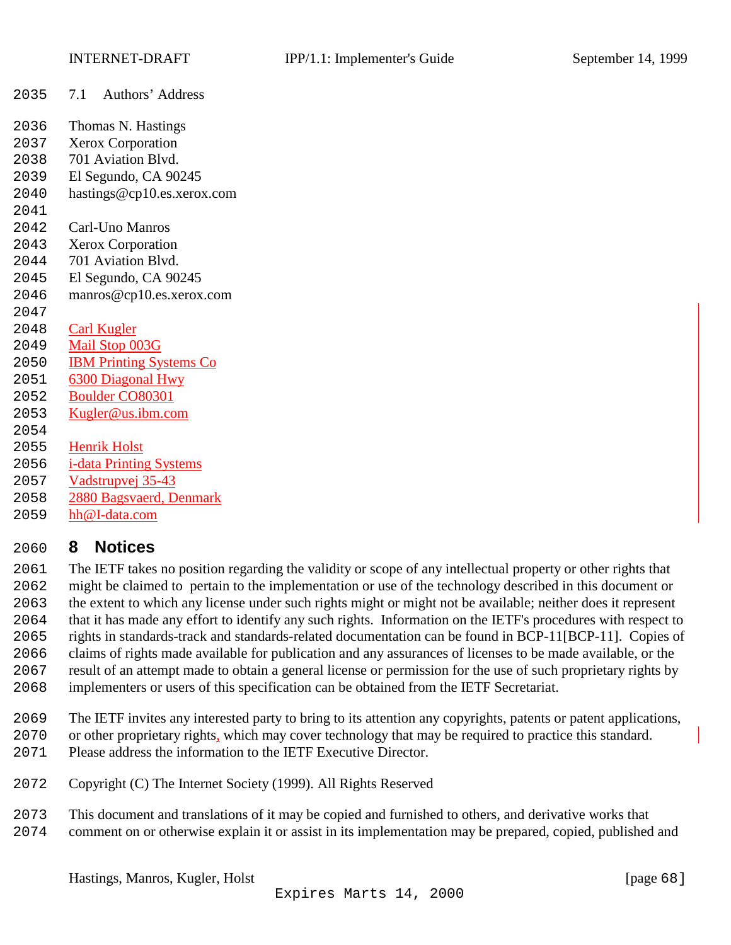- <span id="page-67-0"></span>7.1 Authors' Address
- Thomas N. Hastings
- Xerox Corporation
- 701 Aviation Blvd.
- El Segundo, CA 90245
- hastings@cp10.es.xerox.com
- 
- Carl-Uno Manros
- Xerox Corporation
- 701 Aviation Blvd.
- El Segundo, CA 90245
- manros@cp10.es.xerox.com
- Carl Kugler
- Mail Stop 003G
- IBM Printing Systems Co
- 6300 Diagonal Hwy
- Boulder CO80301
- Kugler@us.ibm.com
- 
- Henrik Holst i-data Printing Systems
- Vadstrupvej 35-43
- 2880 Bagsvaerd, Denmark
- 
- hh@I-data.com

# **8 Notices**

 The IETF takes no position regarding the validity or scope of any intellectual property or other rights that might be claimed to pertain to the implementation or use of the technology described in this document or the extent to which any license under such rights might or might not be available; neither does it represent that it has made any effort to identify any such rights. Information on the IETF's procedures with respect to rights in standards-track and standards-related documentation can be found in BCP-11[BCP-11]. Copies of claims of rights made available for publication and any assurances of licenses to be made available, or the result of an attempt made to obtain a general license or permission for the use of such proprietary rights by implementers or users of this specification can be obtained from the IETF Secretariat.

- The IETF invites any interested party to bring to its attention any copyrights, patents or patent applications, or other proprietary rights, which may cover technology that may be required to practice this standard.
- Please address the information to the IETF Executive Director.
- Copyright (C) The Internet Society (1999). All Rights Reserved
- This document and translations of it may be copied and furnished to others, and derivative works that comment on or otherwise explain it or assist in its implementation may be prepared, copied, published and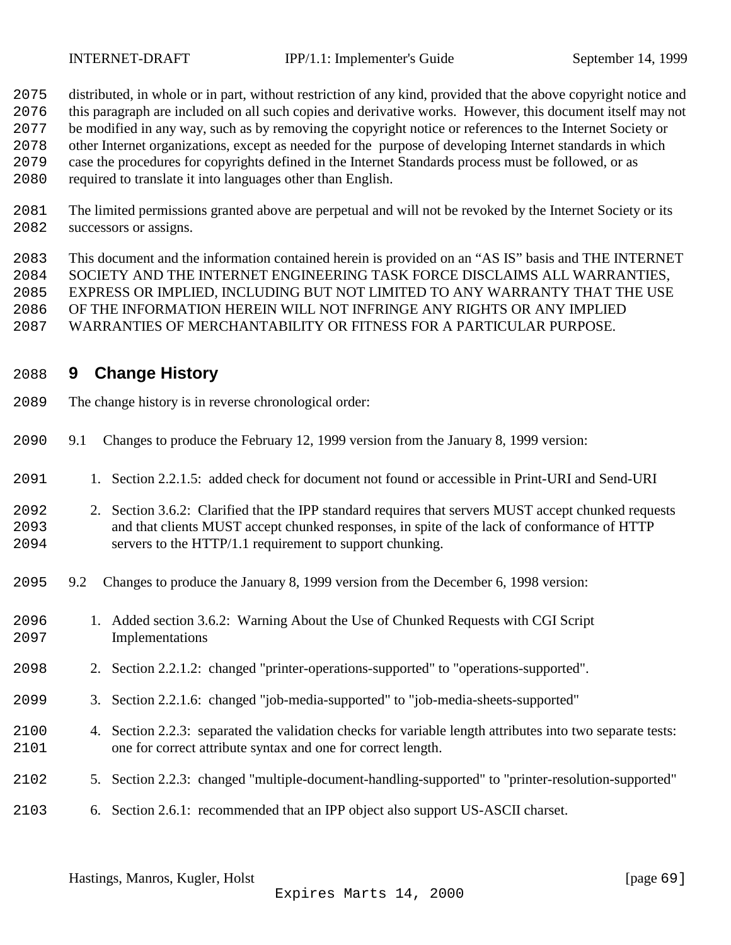<span id="page-68-0"></span>

distributed, in whole or in part, without restriction of any kind, provided that the above copyright notice and

this paragraph are included on all such copies and derivative works. However, this document itself may not

- be modified in any way, such as by removing the copyright notice or references to the Internet Society or
- other Internet organizations, except as needed for the purpose of developing Internet standards in which
- case the procedures for copyrights defined in the Internet Standards process must be followed, or as
- required to translate it into languages other than English.
- The limited permissions granted above are perpetual and will not be revoked by the Internet Society or its successors or assigns.
- This document and the information contained herein is provided on an "AS IS" basis and THE INTERNET SOCIETY AND THE INTERNET ENGINEERING TASK FORCE DISCLAIMS ALL WARRANTIES, EXPRESS OR IMPLIED, INCLUDING BUT NOT LIMITED TO ANY WARRANTY THAT THE USE OF THE INFORMATION HEREIN WILL NOT INFRINGE ANY RIGHTS OR ANY IMPLIED WARRANTIES OF MERCHANTABILITY OR FITNESS FOR A PARTICULAR PURPOSE.

# **9 Change History**

- The change history is in reverse chronological order:
- 9.1 Changes to produce the February 12, 1999 version from the January 8, 1999 version:
- 1. Section 2.2.1.5: added check for document not found or accessible in Print-URI and Send-URI
- 2. Section 3.6.2: Clarified that the IPP standard requires that servers MUST accept chunked requests and that clients MUST accept chunked responses, in spite of the lack of conformance of HTTP servers to the HTTP/1.1 requirement to support chunking.
- 9.2 Changes to produce the January 8, 1999 version from the December 6, 1998 version:
- 1. Added section 3.6.2: Warning About the Use of Chunked Requests with CGI Script Implementations
- 2. Section 2.2.1.2: changed "printer-operations-supported" to "operations-supported".
- 3. Section 2.2.1.6: changed "job-media-supported" to "job-media-sheets-supported"
- 4. Section 2.2.3: separated the validation checks for variable length attributes into two separate tests: one for correct attribute syntax and one for correct length.
- 5. Section 2.2.3: changed "multiple-document-handling-supported" to "printer-resolution-supported"
- 6. Section 2.6.1: recommended that an IPP object also support US-ASCII charset.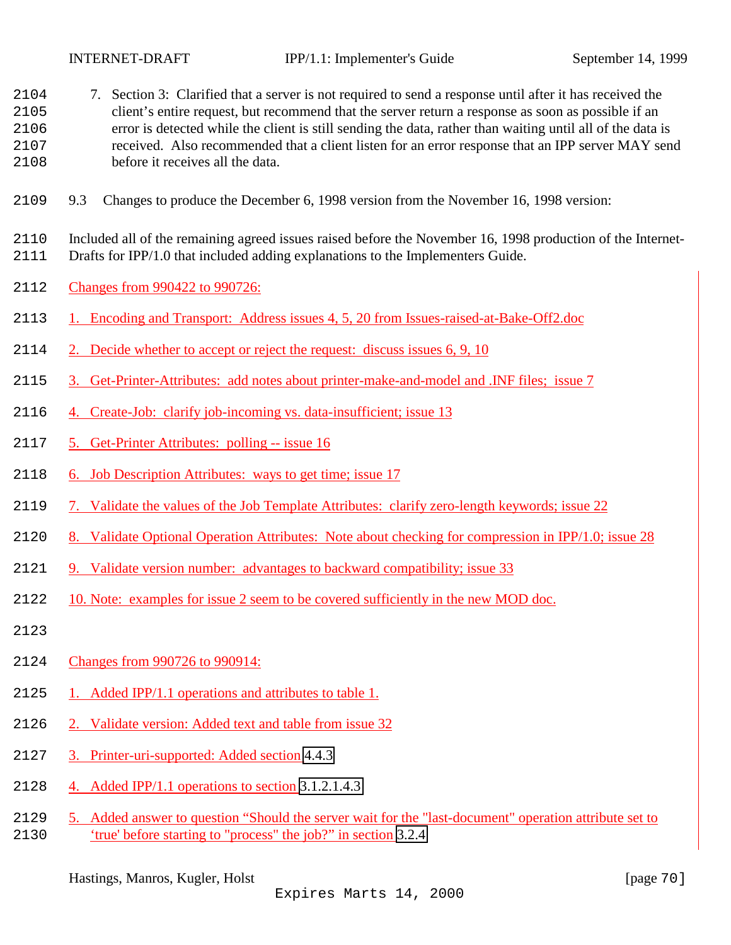<span id="page-69-0"></span>

- 7. Section 3: Clarified that a server is not required to send a response until after it has received the client's entire request, but recommend that the server return a response as soon as possible if an error is detected while the client is still sending the data, rather than waiting until all of the data is received. Also recommended that a client listen for an error response that an IPP server MAY send before it receives all the data.
- 9.3 Changes to produce the December 6, 1998 version from the November 16, 1998 version:

 Included all of the remaining agreed issues raised before the November 16, 1998 production of the Internet-Drafts for IPP/1.0 that included adding explanations to the Implementers Guide.

- Changes from 990422 to 990726:
- 1. Encoding and Transport: Address issues 4, 5, 20 from Issues-raised-at-Bake-Off2.doc
- 2. Decide whether to accept or reject the request: discuss issues 6, 9, 10
- 3. Get-Printer-Attributes: add notes about printer-make-and-model and .INF files; issue 7
- 4. Create-Job: clarify job-incoming vs. data-insufficient; issue 13
- 5. Get-Printer Attributes: polling -- issue 16
- 6. Job Description Attributes: ways to get time; issue 17
- 7. Validate the values of the Job Template Attributes: clarify zero-length keywords; issue 22
- 8. Validate Optional Operation Attributes: Note about checking for compression in IPP/1.0; issue 28
- 9. Validate version number: advantages to backward compatibility; issue 33
- 10. Note: examples for issue 2 seem to be covered sufficiently in the new MOD doc.
- 
- Changes from 990726 to 990914:
- 2125 1. Added IPP/1.1 operations and attributes to table 1.
- 2. Validate version: Added text and table from issue 32
- 3. Printer-uri-supported: Added section [4.4.3](#page-58-0)
- 4. Added IPP/1.1 operations to section [3.1.2.1.4.3](#page-18-0)
- 5. Added answer to question "Should the server wait for the "last-document" operation attribute set to 'true' before starting to "process" the job?" in section [3.2.4](#page-55-0)